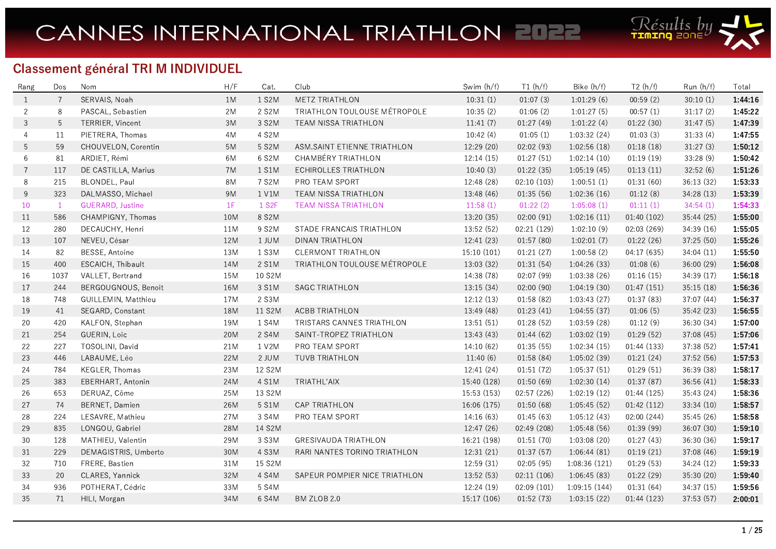

## Classement général TRI M INDIVIDUEL

| Rang           | Dos            | Nom                     | H/F | Cat.               | Club                          | Swim (h/f)  | T1(h/f)     | Bike (h/f)   | T2(h/f)     | Run(h/f)   | Total   |
|----------------|----------------|-------------------------|-----|--------------------|-------------------------------|-------------|-------------|--------------|-------------|------------|---------|
| 1              | $\overline{7}$ | SERVAIS, Noah           | 1M  | 1 S2M              | <b>METZ TRIATHLON</b>         | 10:31(1)    | 01:07(3)    | 1:01:29(6)   | 00:59(2)    | 30:10(1)   | 1:44:16 |
| $\overline{2}$ | 8              | PASCAL, Sebastien       | 2M  | 2 S2M              | TRIATHLON TOULOUSE MÉTROPOLE  | 10:35(2)    | 01:06(2)    | 1:01:27(5)   | 00:57(1)    | 31:17(2)   | 1:45:22 |
| 3              | 5              | TERRIER, Vincent        | 3M  | 3 S2M              | TEAM NISSA TRIATHLON          | 11:41(7)    | 01:27(49)   | 1:01:22(4)   | 01:22(30)   | 31:47(5)   | 1:47:39 |
| 4              | 11             | PIETRERA, Thomas        | 4M  | 4 S2M              |                               | 10:42(4)    | 01:05(1)    | 1:03:32(24)  | 01:03(3)    | 31:33(4)   | 1:47:55 |
| 5              | 59             | CHOUVELON, Corentin     | 5M  | 5 S2M              | ASM.SAINT ETIENNE TRIATHLON   | 12:29 (20)  | 02:02 (93)  | 1:02:56(18)  | 01:18(18)   | 31:27(3)   | 1:50:12 |
| 6              | 81             | ARDIET, Rémi            | 6M  | 6 S2M              | CHAMBÉRY TRIATHLON            | 12:14(15)   | 01:27(51)   | 1:02:14(10)  | 01:19(19)   | 33:28 (9)  | 1:50:42 |
| $\overline{7}$ | 117            | DE CASTILLA, Marius     | 7M  | 1 S1M              | <b>ECHIROLLES TRIATHLON</b>   | 10:40(3)    | 01:22(35)   | 1:05:19(45)  | 01:13(11)   | 32:52(6)   | 1:51:26 |
| 8              | 215            | BLONDEL, Paul           | 8M  | 7 S2M              | PRO TEAM SPORT                | 12:48 (28)  | 02:10(103)  | 1:00:51(1)   | 01:31(60)   | 36:13(32)  | 1:53:33 |
| 9              | 323            | DALMASSO, Michael       | 9M  | 1 V1M              | TEAM NISSA TRIATHLON          | 13:48 (46)  | 01:35(56)   | 1:02:36(16)  | 01.12(8)    | 34:28 (13) | 1:53:39 |
| 10             | $\mathbf{1}$   | <b>GUERARD, Justine</b> | 1F  | 1 S <sub>2</sub> F | <b>TEAM NISSA TRIATHLON</b>   | 11:58(1)    | 01:22(2)    | 1:05:08(1)   | 01:11(1)    | 34:54(1)   | 1:54:33 |
| 11             | 586            | CHAMPIGNY, Thomas       | 10M | 8 S2M              |                               | 13:20 (35)  | 02:00(91)   | 1:02:16(11)  | 01:40(102)  | 35:44 (25) | 1:55:00 |
| 12             | 280            | DECAUCHY, Henri         | 11M | 9 S2M              | STADE FRANCAIS TRIATHLON      | 13:52 (52)  | 02:21 (129) | 1:02:10(9)   | 02:03 (269) | 34:39 (16) | 1:55:05 |
| 13             | 107            | NEVEU, César            | 12M | 1 JUM              | DINAN TRIATHLON               | 12:41 (23)  | 01:57(80)   | 1:02:01(7)   | 01:22(26)   | 37:25 (50) | 1:55:26 |
| 14             | 82             | BESSE, Antoine          | 13M | 1 S3M              | CLERMONT TRIATHLON            | 15:10(101)  | 01:21(27)   | 1:00:58(2)   | 04:17 (635) | 34:04(11)  | 1:55:50 |
| 15             | 400            | ESCAICH, Thibault       | 14M | 2 S1M              | TRIATHLON TOULOUSE MÉTROPOLE  | 13:03 (32)  | 01:31(54)   | 1:04:26(33)  | 01:08(6)    | 36:00 (29) | 1:56:08 |
| 16             | 1037           | VALLET, Bertrand        | 15M | 10 S2M             |                               | 14:38 (78)  | 02:07 (99)  | 1:03:38(26)  | 01:16(15)   | 34:39 (17) | 1:56:18 |
| 17             | 244            | BERGOUGNOUS, Benoit     | 16M | 3 S1M              | <b>SAGC TRIATHLON</b>         | 13:15(34)   | 02:00(90)   | 1:04:19(30)  | 01:47(151)  | 35:15(18)  | 1:56:36 |
| 18             | 748            | GUILLEMIN, Matthieu     | 17M | 2 S3M              |                               | 12:12(13)   | 01:58(82)   | 1:03:43(27)  | 01:37(83)   | 37:07(44)  | 1:56:37 |
| 19             | 41             | SEGARD, Constant        | 18M | 11 S2M             | ACBB TRIATHLON                | 13:49(48)   | 01:23(41)   | 1:04:55(37)  | 01:06(5)    | 35:42 (23) | 1:56:55 |
| 20             | 420            | KALFON, Stephan         | 19M | 1 S4M              | TRISTARS CANNES TRIATHLON     | 13:51(51)   | 01:28(52)   | 1:03:59(28)  | 01:12(9)    | 36:30 (34) | 1:57:00 |
| 21             | 254            | <b>GUERIN, Loic</b>     | 20M | 2 S4M              | SAINT-TROPEZ TRIATHLON        | 13:43 (43)  | 01:44(62)   | 1:03:02(19)  | 01:29(52)   | 37:08 (45) | 1:57:06 |
| 22             | 227            | TOSOLINI, David         | 21M | 1 V2M              | PRO TEAM SPORT                | 14:10(62)   | 01:35(55)   | 1:02:34(15)  | 01:44 (133) | 37:38 (52) | 1:57:41 |
| 23             | 446            | LABAUME, Léo            | 22M | 2 JUM              | TUVB TRIATHLON                | 11:40(6)    | 01:58(84)   | 1:05:02(39)  | 01:21(24)   | 37:52 (56) | 1:57:53 |
| 24             | 784            | <b>KEGLER, Thomas</b>   | 23M | 12 S2M             |                               | 12:41(24)   | 01:51(72)   | 1:05:37(51)  | 01:29(51)   | 36:39 (38) | 1:58:17 |
| 25             | 383            | EBERHART, Antonin       | 24M | 4 S1M              | TRIATHL'AIX                   | 15:40 (128) | 01:50(69)   | 1:02:30(14)  | 01:37(87)   | 36:56(41)  | 1:58:33 |
| 26             | 653            | DERUAZ, Côme            | 25M | 13 S2M             |                               | 15:53 (153) | 02:57(226)  | 1:02:19(12)  | 01:44(125)  | 35:43(24)  | 1:58:36 |
| 27             | 74             | BERNET, Damien          | 26M | 5 S1M              | <b>CAP TRIATHLON</b>          | 16:06 (175) | 01:50(68)   | 1:05:45(52)  | 01:42(112)  | 33:34 (10) | 1:58:57 |
| 28             | 224            | LESAVRE, Mathieu        | 27M | 3 S4M              | PRO TEAM SPORT                | 14:16(63)   | 01:45(63)   | 1:05:12(43)  | 02:00 (244) | 35:45 (26) | 1:58:58 |
| 29             | 835            | LONGOU, Gabriel         | 28M | 14 S2M             |                               | 12:47 (26)  | 02:49 (208) | 1:05:48(56)  | 01:39 (99)  | 36:07 (30) | 1:59:10 |
| 30             | 128            | MATHIEU, Valentin       | 29M | 3 S3M              | <b>GRESIVAUDA TRIATHLON</b>   | 16:21 (198) | 01:51(70)   | 1:03:08(20)  | 01:27(43)   | 36:30 (36) | 1:59:17 |
| 31             | 229            | DEMAGISTRIS, Umberto    | 30M | 4 S3M              | RARI NANTES TORINO TRIATHLON  | 12:31(21)   | 01:37(57)   | 1:06:44(81)  | 01:19(21)   | 37:08 (46) | 1:59:19 |
| 32             | 710            | FRERE, Bastien          | 31M | 15 S2M             |                               | 12:59 (31)  | 02:05(95)   | 1:08:36(121) | 01:29(53)   | 34:24 (12) | 1:59:33 |
| 33             | 20             | CLARES, Yannick         | 32M | 4 S4M              | SAPEUR POMPIER NICE TRIATHLON | 13:52 (53)  | 02:11(106)  | 1:06:45(83)  | 01:22(29)   | 35:30 (20) | 1:59:40 |
| 34             | 936            | POTHERAT, Cédric        | 33M | 5 S4M              |                               | 12:24 (19)  | 02:09(101)  | 1:09:15(144) | 01:31(64)   | 34:37 (15) | 1:59:56 |
| 35             | 71             | HILI, Morgan            | 34M | 6 S4M              | BM ZLOB 2.0                   | 15:17 (106) | 01:52(73)   | 1:03:15(22)  | 01:44 (123) | 37:53 (57) | 2:00:01 |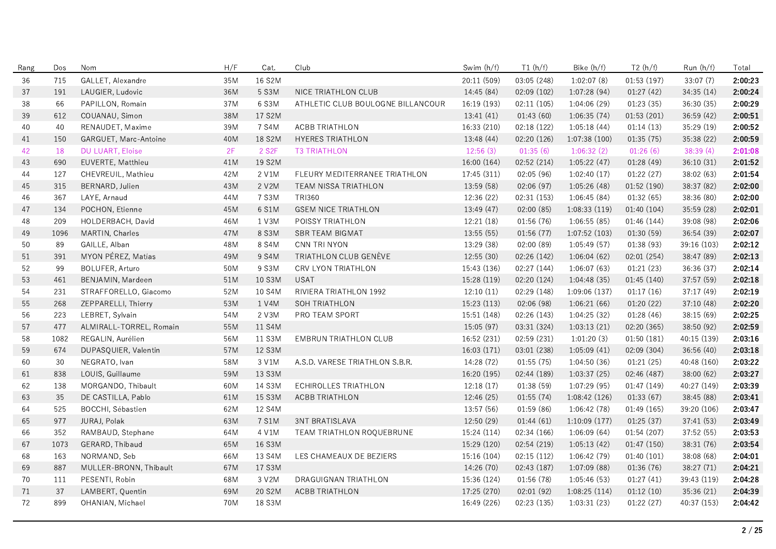| Rang | Dos  | Nom                     | H/F | Cat.               | Club                              | Swim (h/f)  | T1(h/f)     | Bike (h/f)    | T2(h/f)     | Run (h/f)   | Total   |
|------|------|-------------------------|-----|--------------------|-----------------------------------|-------------|-------------|---------------|-------------|-------------|---------|
| 36   | 715  | GALLET, Alexandre       | 35M | 16 S2M             |                                   | 20:11 (509) | 03:05 (248) | 1:02:07(8)    | 01:53(197)  | 33:07 (7)   | 2:00:23 |
| 37   | 191  | LAUGIER, Ludovic        | 36M | 5 S3M              | NICE TRIATHLON CLUB               | 14:45 (84)  | 02:09(102)  | 1:07:28(94)   | 01:27(42)   | 34:35(14)   | 2:00:24 |
| 38   | 66   | PAPILLON, Romain        | 37M | 6 S3M              | ATHLETIC CLUB BOULOGNE BILLANCOUR | 16:19 (193) | 02:11(105)  | 1:04:06(29)   | 01:23(35)   | 36:30 (35)  | 2:00:29 |
| 39   | 612  | COUANAU, Simon          | 38M | 17 S2M             |                                   | 13:41(41)   | 01:43(60)   | 1:06:35(74)   | 01:53(201)  | 36:59 (42)  | 2:00:51 |
| 40   | 40   | RENAUDET, Maxime        | 39M | 7 S4M              | ACBB TRIATHLON                    | 16:33 (210) | 02:18(122)  | 1:05:18(44)   | 01:14(13)   | 35:29 (19)  | 2:00:52 |
| 41   | 150  | GARGUET, Marc-Antoine   | 40M | 18 S2M             | <b>HYERES TRIATHLON</b>           | 13:48 (44)  | 02:20 (126) | 1:07:38(100)  | 01:35(75)   | 35:38 (22)  | 2:00:59 |
| 42   | 18   | DU LUART, Eloise        | 2F  | 2 S <sub>2</sub> F | <b>T3 TRIATHLON</b>               | 12:56(3)    | 01:35(6)    | 1:06:32(2)    | 01:26(6)    | 38:39(4)    | 2:01:08 |
| 43   | 690  | EUVERTE, Matthieu       | 41M | 19 S2M             |                                   | 16:00 (164) | 02:52(214)  | 1:05:22(47)   | 01:28(49)   | 36:10(31)   | 2:01:52 |
| 44   | 127  | CHEVREUIL, Mathieu      | 42M | 2 V1M              | FLEURY MEDITERRANEE TRIATHLON     | 17:45 (311) | 02:05(96)   | 1:02:40(17)   | 01:22(27)   | 38:02 (63)  | 2:01:54 |
| 45   | 315  | BERNARD, Julien         | 43M | 2 V2M              | TEAM NISSA TRIATHLON              | 13:59 (58)  | 02:06(97)   | 1:05:26(48)   | 01:52 (190) | 38:37 (82)  | 2:02:00 |
| 46   | 367  | LAYE, Arnaud            | 44M | 7 S3M              | <b>TRI360</b>                     | 12:36 (22)  | 02:31(153)  | 1:06:45(84)   | 01:32(65)   | 38:36 (80)  | 2:02:00 |
| 47   | 134  | POCHON, Etienne         | 45M | 6 S1M              | <b>GSEM NICE TRIATHLON</b>        | 13:49 (47)  | 02:00(85)   | 1:08:33(119)  | 01:40(104)  | 35:59 (28)  | 2:02:01 |
| 48   | 209  | HOLDERBACH, David       | 46M | 1 V3M              | POISSY TRIATHLON                  | 12:21 (18)  | 01:56 (76)  | 1:06:55(85)   | 01:46 (144) | 39:08 (98)  | 2:02:06 |
| 49   | 1096 | MARTIN, Charles         | 47M | 8 S3M              | <b>SBR TEAM BIGMAT</b>            | 13:55(55)   | 01:56(77)   | 1:07:52(103)  | 01:30(59)   | 36:54 (39)  | 2:02:07 |
| 50   | 89   | GAILLE, Alban           | 48M | 8 S4M              | CNN TRI NYON                      | 13:29 (38)  | 02:00 (89)  | 1:05:49(57)   | 01:38(93)   | 39:16 (103) | 2:02:12 |
| 51   | 391  | MYON PÉREZ, Matías      | 49M | 9 S4M              | TRIATHLON CLUB GENÈVE             | 12:55 (30)  | 02:26 (142) | 1:06:04(62)   | 02:01 (254) | 38:47 (89)  | 2:02:13 |
| 52   | 99   | BOLUFER, Arturo         | 50M | 9 S3M              | CRV LYON TRIATHLON                | 15:43 (136) | 02:27 (144) | 1:06:07(63)   | 01:21(23)   | 36:36 (37)  | 2:02:14 |
| 53   | 461  | BENJAMIN, Mardeen       | 51M | 10 S3M             | <b>USAT</b>                       | 15:28 (119) | 02:20 (124) | 1:04:48(35)   | 01:45(140)  | 37:57 (59)  | 2:02:18 |
| 54   | 231  | STRAFFORELLO, Giacomo   | 52M | 10 S4M             | RIVIERA TRIATHLON 1992            | 12:10(11)   | 02:29 (148) | 1:09:06 (137) | 01:17(16)   | 37:17 (49)  | 2:02:19 |
| 55   | 268  | ZEPPARELLI, Thierry     | 53M | 1 V4M              | <b>SOH TRIATHLON</b>              | 15:23 (113) | 02:06 (98)  | 1:06:21(66)   | 01:20(22)   | 37:10(48)   | 2:02:20 |
| 56   | 223  | LEBRET, Sylvain         | 54M | 2 V3M              | PRO TEAM SPORT                    | 15:51 (148) | 02:26 (143) | 1:04:25(32)   | 01:28(46)   | 38:15 (69)  | 2:02:25 |
| 57   | 477  | ALMIRALL-TORREL, Romain | 55M | 11 S4M             |                                   | 15:05 (97)  | 03:31 (324) | 1:03:13(21)   | 02:20 (365) | 38:50 (92)  | 2:02:59 |
| 58   | 1082 | REGALIN, Aurélien       | 56M | 11 S3M             | <b>EMBRUN TRIATHLON CLUB</b>      | 16:52 (231) | 02:59 (231) | 1:01:20(3)    | 01:50(181)  | 40:15 (139) | 2:03:16 |
| 59   | 674  | DUPASQUIER, Valentin    | 57M | 12 S3M             |                                   | 16:03(171)  | 03:01 (238) | 1:05:09(41)   | 02:09 (304) | 36:56 (40)  | 2:03:18 |
| 60   | 30   | NEGRATO, Ivan           | 58M | 3 V1M              | A.S.D. VARESE TRIATHLON S.B.R.    | 14:28 (72)  | 01:55(75)   | 1:04:50(36)   | 01:21(25)   | 40:48 (160) | 2:03:22 |
| 61   | 838  | LOUIS, Guillaume        | 59M | 13 S3M             |                                   | 16:20 (195) | 02:44 (189) | 1:03:37(25)   | 02:46 (487) | 38:00(62)   | 2:03:27 |
| 62   | 138  | MORGANDO, Thibault      | 60M | 14 S3M             | ECHIROLLES TRIATHLON              | 12:18(17)   | 01:38(59)   | 1:07:29(95)   | 01:47 (149) | 40:27 (149) | 2:03:39 |
| 63   | 35   | DE CASTILLA, Pablo      | 61M | 15 S3M             | ACBB TRIATHLON                    | 12:46 (25)  | 01:55(74)   | 1:08:42(126)  | 01:33(67)   | 38:45 (88)  | 2:03:41 |
| 64   | 525  | BOCCHI, Sébastien       | 62M | 12 S4M             |                                   | 13:57 (56)  | 01:59(86)   | 1:06:42(78)   | 01:49(165)  | 39:20 (106) | 2:03:47 |
| 65   | 977  | JURAJ, Polak            | 63M | 7 S1M              | <b>3NT BRATISLAVA</b>             | 12:50 (29)  | 01:44(61)   | 1:10:09(177)  | 01:25(37)   | 37:41 (53)  | 2:03:49 |
| 66   | 352  | RAMBAUD, Stephane       | 64M | 4 V1M              | TEAM TRIATHLON ROQUEBRUNE         | 15:24 (114) | 02:34 (166) | 1:06:09(64)   | 01:54 (207) | 37:52 (55)  | 2:03:53 |
| 67   | 1073 | GERARD, Thibaud         | 65M | 16 S3M             |                                   | 15:29 (120) | 02:54 (219) | 1:05:13(42)   | 01:47(150)  | 38:31 (76)  | 2:03:54 |
| 68   | 163  | NORMAND, Seb            | 66M | 13 S4M             | LES CHAMEAUX DE BEZIERS           | 15:16 (104) | 02:15(112)  | 1:06:42(79)   | 01:40(101)  | 38:08 (68)  | 2:04:01 |
| 69   | 887  | MULLER-BRONN, Thibault  | 67M | 17 S3M             |                                   | 14:26 (70)  | 02:43 (187) | 1:07:09(88)   | 01:36 (76)  | 38:27 (71)  | 2:04:21 |
| 70   | 111  | PESENTI, Robin          | 68M | 3 V2M              | DRAGUIGNAN TRIATHLON              | 15:36 (124) | 01:56 (78)  | 1:05:46(53)   | 01:27(41)   | 39:43 (119) | 2:04:28 |
| 71   | 37   | LAMBERT, Quentin        | 69M | 20 S2M             | <b>ACBB TRIATHLON</b>             | 17:25 (270) | 02:01 (92)  | 1:08:25(114)  | 01:12(10)   | 35:36 (21)  | 2:04:39 |
| 72   | 899  | OHANIAN, Michael        | 70M | 18 S3M             |                                   | 16:49 (226) | 02:23 (135) | 1:03:31(23)   | 01:22(27)   | 40:37 (153) | 2:04:42 |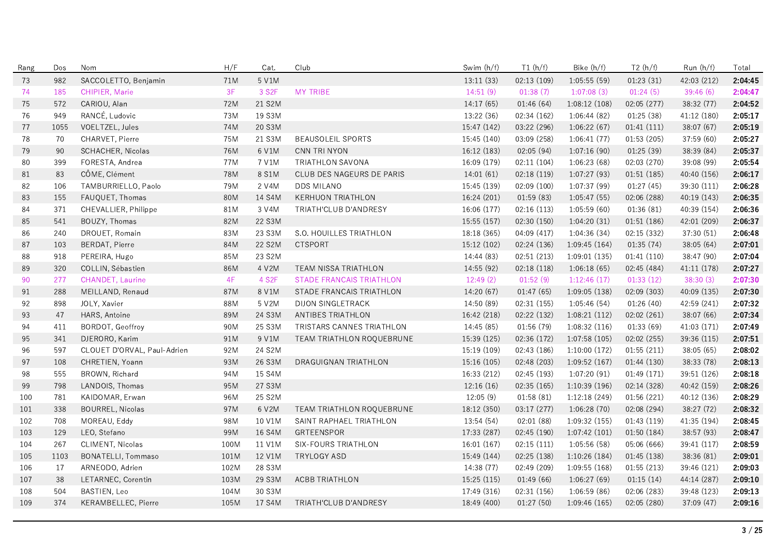| Rang | Dos  | Nom                         | H/F        | Cat.               | Club                            | Swim (h/f)  | T1(h/f)     | Bike (h/f)    | T2(h/f)     | Run (h/f)   | Total   |
|------|------|-----------------------------|------------|--------------------|---------------------------------|-------------|-------------|---------------|-------------|-------------|---------|
| 73   | 982  | SACCOLETTO, Benjamin        | 71M        | 5 V1M              |                                 | 13:11 (33)  | 02:13 (109) | 1:05:55(59)   | 01:23(31)   | 42:03 (212) | 2:04:45 |
| 74   | 185  | CHIPIER, Marie              | 3F         | 3 S <sub>2</sub> F | <b>MY TRIBE</b>                 | 14:51(9)    | 01:38(7)    | 1:07:08(3)    | 01:24(5)    | 39:46(6)    | 2:04:47 |
| 75   | 572  | CARIOU, Alan                | 72M        | 21 S2M             |                                 | 14:17 (65)  | 01:46(64)   | 1:08:12(108)  | 02:05 (277) | 38:32 (77)  | 2:04:52 |
| 76   | 949  | RANCÉ, Ludovic              | 73M        | 19 S3M             |                                 | 13:22 (36)  | 02:34(162)  | 1:06:44(82)   | 01:25(38)   | 41:12 (180) | 2:05:17 |
| 77   | 1055 | VOELTZEL, Jules             | 74M        | 20 S3M             |                                 | 15:47 (142) | 03:22 (296) | 1:06:22(67)   | 01:41(111)  | 38:07 (67)  | 2:05:19 |
| 78   | 70   | CHARVET, Pierre             | 75M        | 21 S3M             | <b>BEAUSOLEIL SPORTS</b>        | 15:45 (140) | 03:09 (258) | 1:06:41(77)   | 01:53(205)  | 37:59 (60)  | 2:05:27 |
| 79   | 90   | SCHACHER, Nicolas           | 76M        | 6 V1M              | CNN TRI NYON                    | 16:12 (183) | 02:05(94)   | 1:07:16(90)   | 01:25(39)   | 38:39 (84)  | 2:05:37 |
| 80   | 399  | FORESTA, Andrea             | 77M        | 7 V1M              | TRIATHLON SAVONA                | 16:09 (179) | 02:11(104)  | 1:06:23(68)   | 02:03 (270) | 39:08 (99)  | 2:05:54 |
| 81   | 83   | CÔME, Clément               | <b>78M</b> | 8 S1M              | CLUB DES NAGEURS DE PARIS       | 14:01(61)   | 02:18(119)  | 1:07:27(93)   | 01:51(185)  | 40:40 (156) | 2:06:17 |
| 82   | 106  | TAMBURRIELLO, Paolo         | 79M        | 2 V4M              | <b>DDS MILANO</b>               | 15:45 (139) | 02:09(100)  | 1:07:37(99)   | 01:27(45)   | 39:30 (111) | 2:06:28 |
| 83   | 155  | FAUQUET, Thomas             | 80M        | 14 S4M             | <b>KERHUON TRIATHLON</b>        | 16:24 (201) | 01:59(83)   | 1:05:47(55)   | 02:06 (288) | 40:19 (143) | 2:06:35 |
| 84   | 371  | CHEVALLIER, Philippe        | 81M        | 3 V4M              | TRIATH'CLUB D'ANDRESY           | 16:06 (177) | 02:16(113)  | 1:05:59(60)   | 01:36(81)   | 40:39 (154) | 2:06:36 |
| 85   | 541  | BOUZY, Thomas               | 82M        | 22 S3M             |                                 | 15:55 (157) | 02:30 (150) | 1:04:20(31)   | 01:51(186)  | 42:01 (209) | 2:06:37 |
| 86   | 240  | DROUET, Romain              | 83M        | 23 S3M             | S.O. HOUILLES TRIATHLON         | 18:18 (365) | 04:09 (417) | 1:04:36 (34)  | 02:15 (332) | 37:30 (51)  | 2:06:48 |
| 87   | 103  | BERDAT, Pierre              | 84M        | 22 S2M             | <b>CTSPORT</b>                  | 15:12 (102) | 02:24 (136) | 1:09:45(164)  | 01:35(74)   | 38:05(64)   | 2:07:01 |
| 88   | 918  | PEREIRA, Hugo               | 85M        | 23 S2M             |                                 | 14:44 (83)  | 02:51(213)  | 1:09:01(135)  | 01:41(110)  | 38:47 (90)  | 2:07:04 |
| 89   | 320  | COLLIN, Sébastien           | 86M        | 4 V2M              | TEAM NISSA TRIATHLON            | 14:55 (92)  | 02:18(118)  | 1:06:18(65)   | 02:45 (484) | 41:11 (178) | 2:07:27 |
| 90   | 277  | CHANDET, Laurine            | 4F         | 4 S2F              | <b>STADE FRANCAIS TRIATHLON</b> | 12:49(2)    | 01:52(9)    | 1:12:46(17)   | 01:33(12)   | 38:30(3)    | 2:07:30 |
| 91   | 288  | MEILLAND, Renaud            | 87M        | 8 V1M              | STADE FRANCAIS TRIATHLON        | 14:20(67)   | 01:47(65)   | 1:09:05(138)  | 02:09(303)  | 40:09 (135) | 2:07:30 |
| 92   | 898  | JOLY, Xavier                | 88M        | 5 V2M              | <b>DIJON SINGLETRACK</b>        | 14:50 (89)  | 02:31(155)  | 1:05:46(54)   | 01:26(40)   | 42:59 (241) | 2:07:32 |
| 93   | 47   | HARS, Antoine               | 89M        | 24 S3M             | ANTIBES TRIATHLON               | 16:42 (218) | 02:22 (132) | 1:08:21(112)  | 02:02 (261) | 38:07(66)   | 2:07:34 |
| 94   | 411  | BORDOT, Geoffroy            | 90M        | 25 S3M             | TRISTARS CANNES TRIATHLON       | 14:45 (85)  | 01:56 (79)  | 1:08:32(116)  | 01:33(69)   | 41:03 (171) | 2:07:49 |
| 95   | 341  | DJERORO, Karim              | 91M        | 9 V1M              | TEAM TRIATHLON ROQUEBRUNE       | 15:39 (125) | 02:36 (172) | 1:07:58(105)  | 02:02 (255) | 39:36 (115) | 2:07:51 |
| 96   | 597  | CLOUET D'ORVAL, Paul-Adrien | 92M        | 24 S2M             |                                 | 15:19 (109) | 02:43 (186) | 1:10:00(172)  | 01:55(211)  | 38:05 (65)  | 2:08:02 |
| 97   | 108  | CHRETIEN, Yoann             | 93M        | 26 S3M             | DRAGUIGNAN TRIATHLON            | 15:16 (105) | 02:48 (203) | 1:09:52(167)  | 01:44 (130) | 38:33 (78)  | 2:08:13 |
| 98   | 555  | BROWN, Richard              | 94M        | 15 S4M             |                                 | 16:33 (212) | 02:45 (193) | 1:07:20(91)   | 01:49 (171) | 39:51 (126) | 2:08:18 |
| 99   | 798  | LANDOIS, Thomas             | 95M        | 27 S3M             |                                 | 12:16(16)   | 02:35(165)  | 1:10:39 (196) | 02:14 (328) | 40:42 (159) | 2:08:26 |
| 100  | 781  | KAIDOMAR, Erwan             | 96M        | 25 S2M             |                                 | 12:05(9)    | 01:58(81)   | 1:12:18(249)  | 01:56 (221) | 40:12 (136) | 2:08:29 |
| 101  | 338  | <b>BOURREL, Nicolas</b>     | 97M        | 6 V2M              | TEAM TRIATHLON ROQUEBRUNE       | 18:12 (350) | 03:17 (277) | 1:06:28(70)   | 02:08 (294) | 38:27 (72)  | 2:08:32 |
| 102  | 708  | MOREAU, Eddy                | 98M        | 10 V1M             | SAINT RAPHAEL TRIATHLON         | 13:54 (54)  | 02:01 (88)  | 1:09:32 (155) | 01:43(119)  | 41:35 (194) | 2:08:45 |
| 103  | 129  | LEO, Stefano                | 99M        | 16 S4M             | GRTEENSPOR                      | 17:33 (287) | 02:45 (190) | 1:07:42(101)  | 01:50(184)  | 38:57 (93)  | 2:08:47 |
| 104  | 267  | <b>CLIMENT, Nicolas</b>     | 100M       | 11 V1M             | SIX-FOURS TRIATHLON             | 16:01(167)  | 02:15(111)  | 1:05:56(58)   | 05:06 (666) | 39:41 (117) | 2:08:59 |
| 105  | 1103 | <b>BONATELLI, Tommaso</b>   | 101M       | 12 V1M             | TRYLOGY ASD                     | 15:49 (144) | 02:25 (138) | 1:10:26(184)  | 01:45 (138) | 38:36 (81)  | 2:09:01 |
| 106  | 17   | ARNEODO, Adrien             | 102M       | 28 S3M             |                                 | 14:38 (77)  | 02:49 (209) | 1:09:55(168)  | 01:55(213)  | 39:46 (121) | 2:09:03 |
| 107  | 38   | LETARNEC, Corentin          | 103M       | 29 S3M             | <b>ACBB TRIATHLON</b>           | 15:25 (115) | 01:49(66)   | 1:06:27(69)   | 01:15(14)   | 44:14 (287) | 2:09:10 |
| 108  | 504  | BASTIEN, Leo                | 104M       | 30 S3M             |                                 | 17:49 (316) | 02:31 (156) | 1:06:59(86)   | 02:06 (283) | 39:48 (123) | 2:09:13 |
| 109  | 374  | KERAMBELLEC, Pierre         | 105M       | 17 S4M             | TRIATH'CLUB D'ANDRESY           | 18:49 (400) | 01:27(50)   | 1:09:46(165)  | 02:05(280)  | 37:09(47)   | 2:09:16 |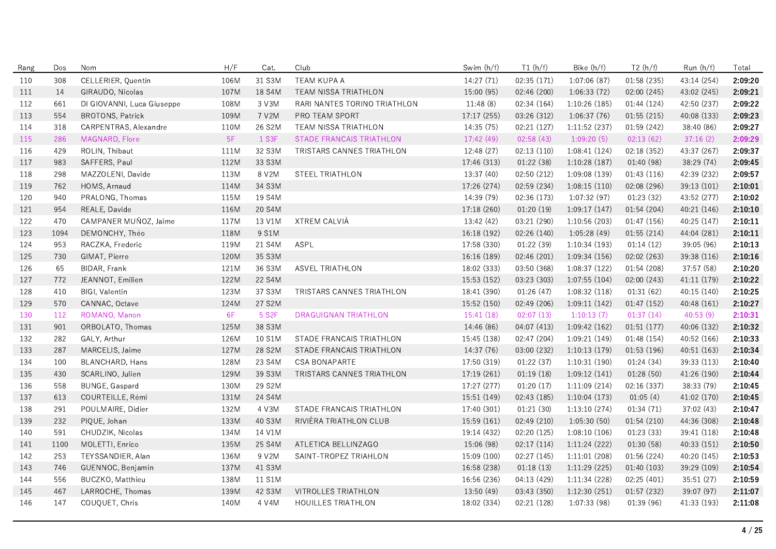| Rang | Dos  | Nom                        | H/F  | Cat.               | Club                            | Swim (h/f)  | T1(h/f)     | Bike (h/f)    | T2(h/f)     | Run (h/f)   | Total   |
|------|------|----------------------------|------|--------------------|---------------------------------|-------------|-------------|---------------|-------------|-------------|---------|
| 110  | 308  | CELLERIER, Quentin         | 106M | 31 S3M             | <b>TEAM KUPA A</b>              | 14:27(71)   | 02:35 (171) | 1:07:06(87)   | 01:58(235)  | 43:14 (254) | 2:09:20 |
| 111  | 14   | GIRAUDO, Nicolas           | 107M | 18 S4M             | <b>TEAM NISSA TRIATHLON</b>     | 15:00 (95)  | 02:46 (200) | 1:06:33(72)   | 02:00 (245) | 43:02 (245) | 2:09:21 |
| 112  | 661  | DI GIOVANNI, Luca Giuseppe | 108M | 3 V3M              | RARI NANTES TORINO TRIATHLON    | 11:48(8)    | 02:34(164)  | 1:10:26(185)  | 01:44(124)  | 42:50 (237) | 2:09:22 |
| 113  | 554  | <b>BROTONS, Patrick</b>    | 109M | 7 V2M              | PRO TEAM SPORT                  | 17:17 (255) | 03:26 (312) | 1:06:37(76)   | 01:55(215)  | 40:08 (133) | 2:09:23 |
| 114  | 318  | CARPENTRAS, Alexandre      | 110M | 26 S2M             | TEAM NISSA TRIATHLON            | 14:35 (75)  | 02:21 (127) | 1:11:52 (237) | 01:59 (242) | 38:40 (86)  | 2:09:27 |
| 115  | 286  | MAGNARD, Flore             | 5F   | 1 S3F              | <b>STADE FRANCAIS TRIATHLON</b> | 17:42 (49)  | 02:58(43)   | 1:09:20(5)    | 02:13(62)   | 37:16(2)    | 2:09:29 |
| 116  | 429  | ROLIN, Thibaut             | 111M | 32 S3M             | TRISTARS CANNES TRIATHLON       | 12:48 (27)  | 02:13(110)  | 1:08:41 (124) | 02:18 (352) | 43:37 (267) | 2:09:37 |
| 117  | 983  | SAFFERS, Paul              | 112M | 33 S3M             |                                 | 17:46 (313) | 01:22(38)   | 1:10:28(187)  | 01:40 (98)  | 38:29 (74)  | 2:09:45 |
| 118  | 298  | MAZZOLENI, Davide          | 113M | 8 V2M              | STEEL TRIATHLON                 | 13:37(40)   | 02:50 (212) | 1:09:08(139)  | 01:43(116)  | 42:39 (232) | 2:09:57 |
| 119  | 762  | HOMS, Arnaud               | 114M | 34 S3M             |                                 | 17:26 (274) | 02:59 (234) | 1:08:15(110)  | 02:08 (296) | 39:13 (101) | 2:10:01 |
| 120  | 940  | PRALONG, Thomas            | 115M | 19 S4M             |                                 | 14:39 (79)  | 02:36 (173) | 1:07:32 (97)  | 01:23(32)   | 43:52 (277) | 2:10:02 |
| 121  | 954  | REALE, Davide              | 116M | 20 S4M             |                                 | 17:18 (260) | 01:20(19)   | 1:09:17(147)  | 01:54 (204) | 40:21 (146) | 2:10:10 |
| 122  | 470  | CAMPANER MUÑOZ, Jaime      | 117M | 13 V1M             | XTREM CALVIA                    | 13:42 (42)  | 03:21 (290) | 1:10:56(203)  | 01:47 (156) | 40:25 (147) | 2:10:11 |
| 123  | 1094 | DEMONCHY, Théo             | 118M | 9 S1M              |                                 | 16:18 (192) | 02:26 (140) | 1:05:28(49)   | 01:55(214)  | 44:04 (281) | 2:10:11 |
| 124  | 953  | RACZKA, Frederic           | 119M | 21 S4M             | ASPL                            | 17:58 (330) | 01:22 (39)  | 1:10:34(193)  | 01:14(12)   | 39:05 (96)  | 2:10:13 |
| 125  | 730  | GIMAT, Pierre              | 120M | 35 S3M             |                                 | 16:16 (189) | 02:46(201)  | 1:09:34(156)  | 02:02(263)  | 39:38 (116) | 2:10:16 |
| 126  | 65   | BIDAR, Frank               | 121M | 36 S3M             | <b>ASVEL TRIATHLON</b>          | 18:02 (333) | 03:50 (368) | 1:08:37(122)  | 01:54 (208) | 37:57 (58)  | 2:10:20 |
| 127  | 772  | JEANNOT, Emilien           | 122M | 22 S4M             |                                 | 15:53 (152) | 03:23 (303) | 1:07:55(104)  | 02:00 (243) | 41:11 (179) | 2:10:22 |
| 128  | 410  | BIGI, Valentin             | 123M | 37 S3M             | TRISTARS CANNES TRIATHLON       | 18:41 (390) | 01:26(47)   | 1:08:32(118)  | 01:31(62)   | 40:15 (140) | 2:10:25 |
| 129  | 570  | CANNAC, Octave             | 124M | 27 S2M             |                                 | 15:52 (150) | 02:49 (206) | 1:09:11(142)  | 01:47(152)  | 40:48 (161) | 2:10:27 |
| 130  | 112  | ROMANO, Manon              | 6F   | 5 S <sub>2</sub> F | <b>DRAGUIGNAN TRIATHLON</b>     | 15:41(18)   | 02:07(13)   | 1:10:13(7)    | 01:37(14)   | 40:53(9)    | 2:10:31 |
| 131  | 901  | ORBOLATO, Thomas           | 125M | 38 S3M             |                                 | 14:46 (86)  | 04:07 (413) | 1:09:42(162)  | 01:51(177)  | 40:06 (132) | 2:10:32 |
| 132  | 282  | GALY, Arthur               | 126M | 10 S1M             | STADE FRANCAIS TRIATHLON        | 15:45 (138) | 02:47 (204) | 1:09:21(149)  | 01:48 (154) | 40:52 (166) | 2:10:33 |
| 133  | 287  | MARCELIS, Jaime            | 127M | 28 S2M             | STADE FRANCAIS TRIATHLON        | 14:37 (76)  | 03:00 (232) | 1:10:13(179)  | 01:53(196)  | 40:51 (163) | 2:10:34 |
| 134  | 100  | BLANCHARD, Hans            | 128M | 23 S4M             | CSA BONAPARTE                   | 17:50 (319) | 01:22(37)   | 1:10:31(190)  | 01:24(34)   | 39:33 (113) | 2:10:40 |
| 135  | 430  | SCARLINO, Julien           | 129M | 39 S3M             | TRISTARS CANNES TRIATHLON       | 17:19 (261) | 01:19(18)   | 1:09:12(141)  | 01:28(50)   | 41:26 (190) | 2:10:44 |
| 136  | 558  | BUNGE, Gaspard             | 130M | 29 S2M             |                                 | 17:27 (277) | 01:20(17)   | 1:11:09(214)  | 02:16 (337) | 38:33 (79)  | 2:10:45 |
| 137  | 613  | COURTEILLE, Rémi           | 131M | 24 S4M             |                                 | 15:51 (149) | 02:43 (185) | 1:10:04(173)  | 01:05(4)    | 41:02 (170) | 2:10:45 |
| 138  | 291  | POULMAIRE, Didier          | 132M | 4 V3M              | STADE FRANCAIS TRIATHLON        | 17:40 (301) | 01:21(30)   | 1:13:10(274)  | 01:34(71)   | 37:02(43)   | 2:10:47 |
| 139  | 232  | PIQUE, Johan               | 133M | 40 S3M             | RIVIÈRA TRIATHLON CLUB          | 15:59 (161) | 02:49 (210) | 1:05:30(50)   | 01:54(210)  | 44:36 (308) | 2:10:48 |
| 140  | 591  | CHUDZIK, Nicolas           | 134M | 14 V1M             |                                 | 19:14 (432) | 02:20 (125) | 1:08:10(106)  | 01:23 (33)  | 39:41 (118) | 2:10:48 |
| 141  | 1100 | MOLETTI, Enrico            | 135M | 25 S4M             | ATLETICA BELLINZAGO             | 15:06 (98)  | 02:17(114)  | 1:11:24(222)  | 01:30(58)   | 40:33 (151) | 2:10:50 |
| 142  | 253  | TEYSSANDIER, Alan          | 136M | 9 V2M              | SAINT-TROPEZ TRIAHLON           | 15:09 (100) | 02:27 (145) | 1:11:01(208)  | 01:56 (224) | 40:20 (145) | 2:10:53 |
| 143  | 746  | GUENNOC, Benjamin          | 137M | 41 S3M             |                                 | 16:58 (238) | 01:18(13)   | 1:11:29(225)  | 01:40(103)  | 39:29 (109) | 2:10:54 |
| 144  | 556  | BUCZKO, Matthieu           | 138M | 11 S1M             |                                 | 16:56 (236) | 04:13 (429) | 1:11:34 (228) | 02:25(401)  | 35:51(27)   | 2:10:59 |
| 145  | 467  | LARROCHE, Thomas           | 139M | 42 S3M             | VITROLLES TRIATHLON             | 13:50 (49)  | 03:43 (350) | 1:12:30 (251) | 01:57 (232) | 39:07 (97)  | 2:11:07 |
| 146  | 147  | COUQUET, Chris             | 140M | 4 V4M              | <b>HOUILLES TRIATHLON</b>       | 18:02 (334) | 02:21 (128) | 1:07:33 (98)  | 01:39 (96)  | 41:33 (193) | 2:11:08 |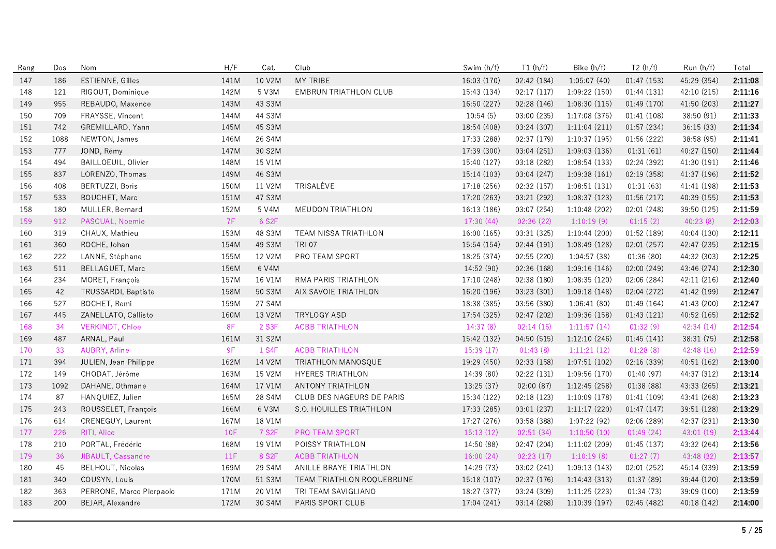| Rang | Dos  | Nom                          | H/F       | Cat.               | Club                         | Swim (h/f)  | T1(h/f)     | Bike (h/f)    | T2(h/f)     | Run (h/f)   | Total   |
|------|------|------------------------------|-----------|--------------------|------------------------------|-------------|-------------|---------------|-------------|-------------|---------|
| 147  | 186  | <b>ESTIENNE, Gilles</b>      | 141M      | 10 V2M             | MY TRIBE                     | 16:03 (170) | 02:42 (184) | 1:05:07(40)   | 01:47(153)  | 45:29 (354) | 2:11:08 |
| 148  | 121  | RIGOUT, Dominique            | 142M      | 5 V3M              | <b>EMBRUN TRIATHLON CLUB</b> | 15:43 (134) | 02:17(117)  | 1:09:22(150)  | 01:44(131)  | 42:10 (215) | 2:11:16 |
| 149  | 955  | REBAUDO, Maxence             | 143M      | 43 S3M             |                              | 16:50 (227) | 02:28 (146) | 1:08:30(115)  | 01:49 (170) | 41:50 (203) | 2:11:27 |
| 150  | 709  | FRAYSSE, Vincent             | 144M      | 44 S3M             |                              | 10:54(5)    | 03:00 (235) | 1:17:08 (375) | 01:41 (108) | 38:50 (91)  | 2:11:33 |
| 151  | 742  | GREMILLARD, Yann             | 145M      | 45 S3M             |                              | 18:54 (408) | 03:24 (307) | 1:11:04(211)  | 01:57 (234) | 36:15 (33)  | 2:11:34 |
| 152  | 1088 | NEWTON, James                | 146M      | 26 S4M             |                              | 17:33 (288) | 02:37 (179) | 1:10:37(195)  | 01:56 (222) | 38:58 (95)  | 2:11:41 |
| 153  | 777  | JOND, Rémy                   | 147M      | 30 S2M             |                              | 17:39 (300) | 03:04 (251) | 1:09:03 (136) | 01:31(61)   | 40:27 (150) | 2:11:44 |
| 154  | 494  | <b>BAILLOEUIL, Olivier</b>   | 148M      | 15 V1M             |                              | 15:40 (127) | 03:18 (282) | 1:08:54(133)  | 02:24 (392) | 41:30 (191) | 2:11:46 |
| 155  | 837  | LORENZO, Thomas              | 149M      | 46 S3M             |                              | 15:14 (103) | 03:04(247)  | 1:09:38(161)  | 02:19 (358) | 41:37 (196) | 2:11:52 |
| 156  | 408  | BERTUZZI, Boris              | 150M      | 11 V2M             | TRISALÈVE                    | 17:18 (256) | 02:32 (157) | 1:08:51(131)  | 01:31(63)   | 41:41 (198) | 2:11:53 |
| 157  | 533  | BOUCHET, Marc                | 151M      | 47 S3M             |                              | 17:20 (263) | 03:21 (292) | 1:08:37(123)  | 01:56 (217) | 40:39 (155) | 2:11:53 |
| 158  | 180  | MULLER, Bernard              | 152M      | 5 V4M              | MEUDON TRIATHLON             | 16:13 (186) | 03:07 (254) | 1:10:48(202)  | 02:01 (248) | 39:50 (125) | 2:11:59 |
| 159  | 912  | PASCUAL, Noemie              | <b>7F</b> | 6 S2F              |                              | 17:30(44)   | 02:36(22)   | 1:10:19(9)    | 01:15(2)    | 40:23(8)    | 2:12:03 |
| 160  | 319  | CHAUX, Mathieu               | 153M      | 48 S3M             | TEAM NISSA TRIATHLON         | 16:00 (165) | 03:31 (325) | 1:10:44(200)  | 01:52 (189) | 40:04 (130) | 2:12:11 |
| 161  | 360  | ROCHE, Johan                 | 154M      | 49 S3M             | <b>TRI 07</b>                | 15:54 (154) | 02:44(191)  | 1:08:49(128)  | 02:01(257)  | 42:47 (235) | 2:12:15 |
| 162  | 222  | LANNE, Stéphane              | 155M      | 12 V2M             | PRO TEAM SPORT               | 18:25 (374) | 02:55 (220) | 1:04:57(38)   | 01:36(80)   | 44:32 (303) | 2:12:25 |
| 163  | 511  | BELLAGUET, Marc              | 156M      | 6 V4M              |                              | 14:52 (90)  | 02:36 (168) | 1:09:16(146)  | 02:00 (249) | 43:46 (274) | 2:12:30 |
| 164  | 234  | MORET, François              | 157M      | 16 V1M             | RMA PARIS TRIATHLON          | 17:10 (248) | 02:38 (180) | 1:08:35(120)  | 02:06 (284) | 42:11 (216) | 2:12:40 |
| 165  | 42   | TRUSSARDI, Baptiste          | 158M      | 50 S3M             | AIX SAVOIE TRIATHLON         | 16:20 (196) | 03:23 (301) | 1:09:18(148)  | 02:04 (272) | 41:42 (199) | 2:12:47 |
| 166  | 527  | BOCHET, Remi                 | 159M      | 27 S4M             |                              | 18:38 (385) | 03:56 (380) | 1:06:41(80)   | 01:49 (164) | 41:43 (200) | 2:12:47 |
| 167  | 445  | ZANELLATO, Callisto          | 160M      | 13 V2M             | <b>TRYLOGY ASD</b>           | 17:54 (325) | 02:47 (202) | 1:09:36 (158) | 01:43(121)  | 40:52 (165) | 2:12:52 |
| 168  | 34   | <b>VERKINDT, Chloe</b>       | 8F        | 2 S3F              | <b>ACBB TRIATHLON</b>        | 14:37(8)    | 02:14(15)   | 1:11:57(14)   | 01:32(9)    | 42:34 (14)  | 2:12:54 |
| 169  | 487  | ARNAL, Paul                  | 161M      | 31 S2M             |                              | 15:42 (132) | 04:50 (515) | 1:12:10(246)  | 01:45(141)  | 38:31 (75)  | 2:12:58 |
| 170  | 33   | <b>AUBRY, Arline</b>         | 9F        | 1 S4F              | <b>ACBB TRIATHLON</b>        | 15:39(17)   | 01:43(8)    | 1:11:21(12)   | 01:28(8)    | 42:48 (16)  | 2:12:59 |
| 171  | 394  | <b>JULIEN, Jean Philippe</b> | 162M      | 14 V2M             | TRIATHLON MANOSQUE           | 19:29 (450) | 02:33(158)  | 1:07:51(102)  | 02:16 (339) | 40:51 (162) | 2:13:00 |
| 172  | 149  | CHODAT, Jérôme               | 163M      | 15 V2M             | <b>HYERES TRIATHLON</b>      | 14:39 (80)  | 02:22(131)  | 1:09:56(170)  | 01:40(97)   | 44:37 (312) | 2:13:14 |
| 173  | 1092 | DAHANE, Othmane              | 164M      | 17 V1M             | ANTONY TRIATHLON             | 13:25 (37)  | 02:00(87)   | 1:12:45(258)  | 01:38(88)   | 43:33 (265) | 2:13:21 |
| 174  | 87   | HANQUIEZ, Julien             | 165M      | 28 S4M             | CLUB DES NAGEURS DE PARIS    | 15:34 (122) | 02:18 (123) | 1:10:09(178)  | 01:41 (109) | 43:41 (268) | 2:13:23 |
| 175  | 243  | ROUSSELET, François          | 166M      | 6 V3M              | S.O. HOUILLES TRIATHLON      | 17:33 (285) | 03:01 (237) | 1:11:17(220)  | 01:47(147)  | 39:51 (128) | 2:13:29 |
| 176  | 614  | CRENEGUY, Laurent            | 167M      | 18 V1M             |                              | 17:27 (276) | 03:58 (388) | 1:07:22(92)   | 02:06 (289) | 42:37 (231) | 2:13:30 |
| 177  | 226  | RITI, Alice                  | 10F       | 7 S <sub>2</sub> F | PRO TEAM SPORT               | 15:13(12)   | 02:51(34)   | 1:10:50(10)   | 01:49(24)   | 43:01 (19)  | 2:13:44 |
| 178  | 210  | PORTAL, Frédéric             | 168M      | 19 V1M             | POISSY TRIATHLON             | 14:50 (88)  | 02:47 (204) | 1:11:02(209)  | 01:45(137)  | 43:32 (264) | 2:13:56 |
| 179  | 36   | JIBAULT, Cassandre           | 11F       | 8 S <sub>2</sub> F | <b>ACBB TRIATHLON</b>        | 16:00(24)   | 02:23(17)   | 1:10:19(8)    | 01:27(7)    | 43:48 (32)  | 2:13:57 |
| 180  | 45   | <b>BELHOUT, Nicolas</b>      | 169M      | 29 S4M             | ANILLE BRAYE TRIATHLON       | 14:29 (73)  | 03:02 (241) | 1:09:13(143)  | 02:01 (252) | 45:14 (339) | 2:13:59 |
| 181  | 340  | COUSYN, Louis                | 170M      | 51 S3M             | TEAM TRIATHLON ROQUEBRUNE    | 15:18 (107) | 02:37 (176) | 1:14:43(313)  | 01:37(89)   | 39:44 (120) | 2:13:59 |
| 182  | 363  | PERRONE, Marco Pierpaolo     | 171M      | 20 V1M             | TRI TEAM SAVIGLIANO          | 18:27 (377) | 03:24 (309) | 1:11:25(223)  | 01:34 (73)  | 39:09 (100) | 2:13:59 |
| 183  | 200  | BEJAR, Alexandre             | 172M      | 30 S4M             | PARIS SPORT CLUB             | 17:04 (241) | 03:14 (268) | 1:10:39(197)  | 02:45 (482) | 40:18 (142) | 2:14:00 |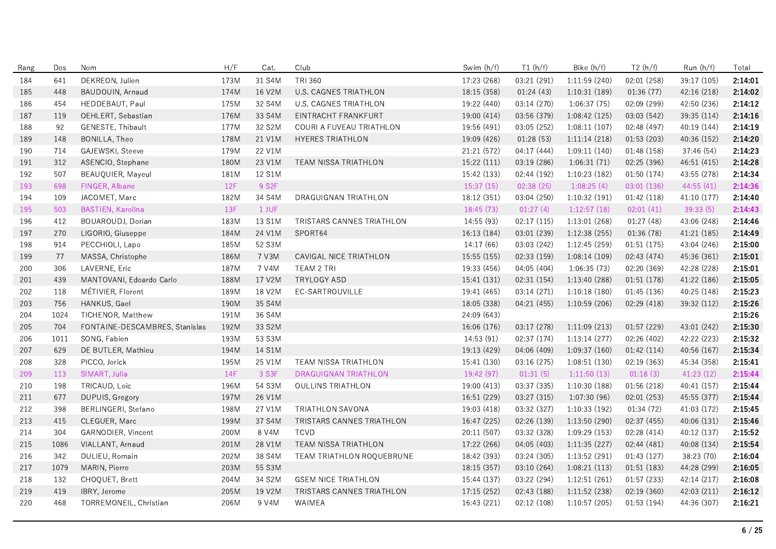| Rang | Dos  | Nom                            | H/F        | Cat.   | Club                         | Swim (h/f)  | T1(h/f)     | Bike (h/f)    | T2(h/f)     | Run (h/f)   | Total   |
|------|------|--------------------------------|------------|--------|------------------------------|-------------|-------------|---------------|-------------|-------------|---------|
| 184  | 641  | DEKREON, Julien                | 173M       | 31 S4M | TRI 360                      | 17:23 (268) | 03:21 (291) | 1:11:59 (240) | 02:01 (258) | 39:17 (105) | 2:14:01 |
| 185  | 448  | BAUDOUIN, Arnaud               | 174M       | 16 V2M | <b>U.S. CAGNES TRIATHLON</b> | 18:15 (358) | 01:24(43)   | 1:10:31(189)  | 01:36(77)   | 42:16 (218) | 2:14:02 |
| 186  | 454  | HEDDEBAUT, Paul                | 175M       | 32 S4M | U.S. CAGNES TRIATHLON        | 19:22 (440) | 03:14 (270) | 1:06:37(75)   | 02:09 (299) | 42:50 (236) | 2:14:12 |
| 187  | 119  | OEHLERT, Sebastian             | 176M       | 33 S4M | EINTRACHT FRANKFURT          | 19:00 (414) | 03:56 (379) | 1:08:42 (125) | 03:03 (542) | 39:35 (114) | 2:14:16 |
| 188  | 92   | GENESTE, Thibault              | 177M       | 32 S2M | COURI A FUVEAU TRIATHLON     | 19:56 (491) | 03:05 (252) | 1:08:11(107)  | 02:48 (497) | 40:19 (144) | 2:14:19 |
| 189  | 148  | BONILLA, Theo                  | 178M       | 21 V1M | HYERES TRIATHLON             | 19:09 (426) | 01:28(53)   | 1:11:14(218)  | 01:53 (203) | 40:36 (152) | 2:14:20 |
| 190  | 714  | GAJEWSKI, Steeve               | 179M       | 22 V1M |                              | 21:21 (572) | 04:17 (444) | 1:09:11 (140) | 01:48 (158) | 37:46 (54)  | 2:14:23 |
| 191  | 312  | ASENCIO, Stephane              | 180M       | 23 V1M | TEAM NISSA TRIATHLON         | 15:22 (111) | 03:19 (286) | 1:06:31(71)   | 02:25 (396) | 46:51 (415) | 2:14:28 |
| 192  | 507  | BEAUQUIER, Mayeul              | 181M       | 12 S1M |                              | 15:42 (133) | 02:44 (192) | 1:10:23(182)  | 01:50 (174) | 43:55 (278) | 2:14:34 |
| 193  | 698  | FINGER, Albane                 | 12F        | 9 S2F  |                              | 15:37(15)   | 02:38(25)   | 1:08:25(4)    | 03:01 (136) | 44:55(41)   | 2:14:36 |
| 194  | 109  | JACOMET, Marc                  | 182M       | 34 S4M | DRAGUIGNAN TRIATHLON         | 18:12 (351) | 03:04 (250) | 1:10:32(191)  | 01:42 (118) | 41:10 (177) | 2:14:40 |
| 195  | 503  | <b>BASTIEN, Karolina</b>       | 13F        | 1 JUF  |                              | 18:45(73)   | 01:27(4)    | 1:12:57(18)   | 02:01(41)   | 39:33(5)    | 2:14:43 |
| 196  | 412  | BOUAROUDJ, Dorian              | 183M       | 13 S1M | TRISTARS CANNES TRIATHLON    | 14:55 (93)  | 02:17(115)  | 1:13:01 (268) | 01:27 (48)  | 43:06 (248) | 2:14:46 |
| 197  | 270  | LIGORIO, Giuseppe              | 184M       | 24 V1M | SPORT64                      | 16:13 (184) | 03:01 (239) | 1:12:38(255)  | 01:36 (78)  | 41:21 (185) | 2:14:49 |
| 198  | 914  | PECCHIOLI, Lapo                | 185M       | 52 S3M |                              | 14:17(66)   | 03:03 (242) | 1:12:45(259)  | 01:51(175)  | 43:04 (246) | 2:15:00 |
| 199  | 77   | MASSA, Christophe              | 186M       | 7 V3M  | CAVIGAL NICE TRIATHLON       | 15:55 (155) | 02:33(159)  | 1:08:14(109)  | 02:43 (474) | 45:36 (361) | 2:15:01 |
| 200  | 306  | LAVERNE, Eric                  | 187M       | 7 V4M  | TEAM 2 TRI                   | 19:33 (456) | 04:05 (404) | 1:06:35(73)   | 02:20 (369) | 42:28 (228) | 2:15:01 |
| 201  | 439  | MANTOVANI, Edoardo Carlo       | 188M       | 17 V2M | TRYLOGY ASD                  | 15:41 (131) | 02:31(154)  | 1:13:40(288)  | 01:51(178)  | 41:22 (186) | 2:15:05 |
| 202  | 118  | MÉTIVIER, Florent              | 189M       | 18 V2M | EC-SARTROUVILLE              | 19:41 (465) | 03:14 (271) | 1:10:18(180)  | 01:45(136)  | 40:25 (148) | 2:15:23 |
| 203  | 756  | HANKUS, Gael                   | 190M       | 35 S4M |                              | 18:05 (338) | 04:21 (455) | 1:10:59(206)  | 02:29 (418) | 39:32 (112) | 2:15:26 |
| 204  | 1024 | TICHENOR, Matthew              | 191M       | 36 S4M |                              | 24:09 (643) |             |               |             |             | 2:15:26 |
| 205  | 704  | FONTAINE-DESCAMBRES, Stanislas | 192M       | 33 S2M |                              | 16:06 (176) | 03:17 (278) | 1:11:09(213)  | 01:57 (229) | 43:01 (242) | 2:15:30 |
| 206  | 1011 | SONG, Fabien                   | 193M       | 53 S3M |                              | 14:53(91)   | 02:37 (174) | 1:13:14(277)  | 02:26 (402) | 42:22 (223) | 2:15:32 |
| 207  | 629  | DE BUTLER, Mathieu             | 194M       | 14 S1M |                              | 19:13 (429) | 04:06 (409) | 1:09:37 (160) | 01:42(114)  | 40:56 (167) | 2:15:34 |
| 208  | 328  | PICCO, Jorick                  | 195M       | 25 V1M | TEAM NISSA TRIATHLON         | 15:41 (130) | 03:16 (275) | 1:08:51(130)  | 02:19 (363) | 45:34 (358) | 2:15:41 |
| 209  | 113  | SIMART, Julia                  | <b>14F</b> | 3 S3F  | <b>DRAGUIGNAN TRIATHLON</b>  | 19:42 (97)  | 01:31(5)    | 1:11:50(13)   | 01:18(3)    | 41:23 (12)  | 2:15:44 |
| 210  | 198  | TRICAUD, Loic                  | 196M       | 54 S3M | <b>OULLINS TRIATHLON</b>     | 19:00 (413) | 03:37 (335) | 1:10:30 (188) | 01:56 (218) | 40:41 (157) | 2:15:44 |
| 211  | 677  | DUPUIS, Gregory                | 197M       | 26 V1M |                              | 16:51 (229) | 03:27 (315) | 1:07:30(96)   | 02:01(253)  | 45:55 (377) | 2:15:44 |
| 212  | 398  | BERLINGERI, Stefano            | 198M       | 27 V1M | TRIATHLON SAVONA             | 19:03 (418) | 03:32 (327) | 1:10:33(192)  | 01:34(72)   | 41:03 (172) | 2:15:45 |
| 213  | 415  | CLEGUER, Marc                  | 199M       | 37 S4M | TRISTARS CANNES TRIATHLON    | 16:47 (225) | 02:26 (139) | 1:13:50 (290) | 02:37 (455) | 40:06 (131) | 2:15:46 |
| 214  | 304  | GARNODIER, Vincent             | 200M       | 8 V4M  | <b>TCVD</b>                  | 20:11 (507) | 03:32 (328) | 1:09:29(153)  | 02:28 (414) | 40:12 (137) | 2:15:52 |
| 215  | 1086 | VIALLANT, Arnaud               | 201M       | 28 V1M | TEAM NISSA TRIATHLON         | 17:22 (266) | 04:05 (403) | 1:11:35(227)  | 02:44 (481) | 40:08 (134) | 2:15:54 |
| 216  | 342  | DULIEU, Romain                 | 202M       | 38 S4M | TEAM TRIATHLON ROQUEBRUNE    | 18:42 (393) | 03:24 (305) | 1:13:52 (291) | 01:43 (127) | 38:23 (70)  | 2:16:04 |
| 217  | 1079 | MARIN, Pierre                  | 203M       | 55 S3M |                              | 18:15 (357) | 03:10 (264) | 1:08:21(113)  | 01:51(183)  | 44:28 (299) | 2:16:05 |
| 218  | 132  | CHOQUET, Brett                 | 204M       | 34 S2M | <b>GSEM NICE TRIATHLON</b>   | 15:44 (137) | 03:22 (294) | 1:12:51(261)  | 01:57 (233) | 42:14 (217) | 2:16:08 |
| 219  | 419  | IBRY, Jerome                   | 205M       | 19 V2M | TRISTARS CANNES TRIATHLON    | 17:15 (252) | 02:43 (188) | 1:11:52(238)  | 02:19 (360) | 42:03 (211) | 2:16:12 |
| 220  | 468  | TORREMONEIL, Christian         | 206M       | 9 V4M  | WAIMEA                       | 16:43 (221) | 02:12(108)  | 1:10:57(205)  | 01:53(194)  | 44:36 (307) | 2:16:21 |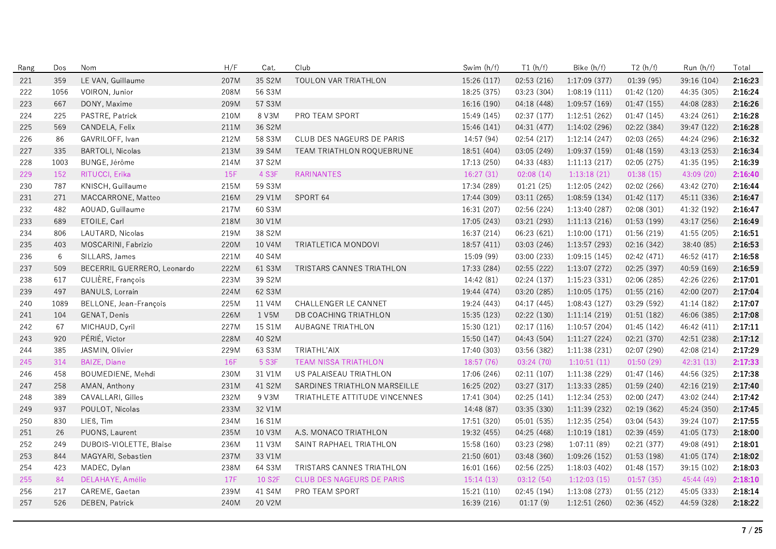| Rang | Dos             | Nom                         | H/F  | Cat.   | Club                             | Swim (h/f)  | T1(h/f)     | Bike (h/f)    | T2(h/f)     | Run (h/f)   | Total   |
|------|-----------------|-----------------------------|------|--------|----------------------------------|-------------|-------------|---------------|-------------|-------------|---------|
| 221  | 359             | LE VAN, Guillaume           | 207M | 35 S2M | TOULON VAR TRIATHLON             | 15:26 (117) | 02:53 (216) | 1:17:09 (377) | 01:39(95)   | 39:16 (104) | 2:16:23 |
| 222  | 1056            | VOIRON, Junior              | 208M | 56 S3M |                                  | 18:25 (375) | 03:23 (304) | 1:08:19(111)  | 01:42 (120) | 44:35 (305) | 2:16:24 |
| 223  | 667             | DONY, Maxime                | 209M | 57 S3M |                                  | 16:16 (190) | 04:18 (448) | 1:09:57 (169) | 01:47 (155) | 44:08 (283) | 2:16:26 |
| 224  | 225             | PASTRE, Patrick             | 210M | 8 V3M  | PRO TEAM SPORT                   | 15:49 (145) | 02:37 (177) | 1:12:51(262)  | 01:47 (145) | 43:24 (261) | 2:16:28 |
| 225  | 569             | CANDELA, Felix              | 211M | 36 S2M |                                  | 15:46 (141) | 04:31 (477) | 1:14:02 (296) | 02:22 (384) | 39:47 (122) | 2:16:28 |
| 226  | 86              | GAVRILOFF, Ivan             | 212M | 58 S3M | CLUB DES NAGEURS DE PARIS        | 14:57 (94)  | 02:54 (217) | 1:12:14(247)  | 02:03 (265) | 44:24 (296) | 2:16:32 |
| 227  | 335             | <b>BARTOLI, Nicolas</b>     | 213M | 39 S4M | <b>TEAM TRIATHLON ROQUEBRUNE</b> | 18:51 (404) | 03:05 (249) | 1:09:37(159)  | 01:48 (159) | 43:13 (253) | 2:16:34 |
| 228  | 1003            | BUNGE, Jérôme               | 214M | 37 S2M |                                  | 17:13 (250) | 04:33 (483) | 1:11:13(217)  | 02:05 (275) | 41:35 (195) | 2:16:39 |
| 229  | 152             | RITUCCI, Erika              | 15F  | 4 S3F  | <b>RARINANTES</b>                | 16:27(31)   | 02:08(14)   | 1:13:18(21)   | 01:38(15)   | 43:09 (20)  | 2:16:40 |
| 230  | 787             | KNISCH, Guillaume           | 215M | 59 S3M |                                  | 17:34 (289) | 01:21(25)   | 1:12:05(242)  | 02:02(266)  | 43:42 (270) | 2:16:44 |
| 231  | 271             | MACCARRONE, Matteo          | 216M | 29 V1M | SPORT 64                         | 17:44 (309) | 03:11 (265) | 1:08:59(134)  | 01:42(117)  | 45:11 (336) | 2:16:47 |
| 232  | 482             | AOUAD, Guillaume            | 217M | 60 S3M |                                  | 16:31 (207) | 02:56 (224) | 1:13:40(287)  | 02:08(301)  | 41:32 (192) | 2:16:47 |
| 233  | 689             | ETOILE, Carl                | 218M | 30 V1M |                                  | 17:05 (243) | 03:21 (293) | 1:11:13(216)  | 01:53(199)  | 43:17 (256) | 2:16:49 |
| 234  | 806             | LAUTARD, Nicolas            | 219M | 38 S2M |                                  | 16:37 (214) | 06:23 (621) | 1:10:00(171)  | 01:56 (219) | 41:55 (205) | 2:16:51 |
| 235  | 403             | MOSCARINI, Fabrizio         | 220M | 10 V4M | TRIATLETICA MONDOVI              | 18:57 (411) | 03:03 (246) | 1:13:57(293)  | 02:16 (342) | 38:40 (85)  | 2:16:53 |
| 236  | $6\phantom{.}6$ | SILLARS, James              | 221M | 40 S4M |                                  | 15:09 (99)  | 03:00 (233) | 1:09:15(145)  | 02:42 (471) | 46:52 (417) | 2:16:58 |
| 237  | 509             | BECERRIL GUERRERO, Leonardo | 222M | 61 S3M | TRISTARS CANNES TRIATHLON        | 17:33 (284) | 02:55 (222) | 1:13:07(272)  | 02:25 (397) | 40:59 (169) | 2:16:59 |
| 238  | 617             | CULIÈRE, François           | 223M | 39 S2M |                                  | 14:42 (81)  | 02:24(137)  | 1:15:23(331)  | 02:06 (285) | 42:26 (226) | 2:17:01 |
| 239  | 497             | <b>BANULS, Lorrain</b>      | 224M | 62 S3M |                                  | 19:44 (474) | 03:20 (285) | 1:10:05(175)  | 01:55(216)  | 42:00 (207) | 2:17:04 |
| 240  | 1089            | BELLONE, Jean-François      | 225M | 11 V4M | CHALLENGER LE CANNET             | 19:24 (443) | 04:17 (445) | 1:08:43(127)  | 03:29 (592) | 41:14 (182) | 2:17:07 |
| 241  | 104             | GENAT, Denis                | 226M | 1 V5M  | DB COACHING TRIATHLON            | 15:35 (123) | 02:22 (130) | 1:11:14(219)  | 01:51(182)  | 46:06 (385) | 2:17:08 |
| 242  | 67              | MICHAUD, Cyril              | 227M | 15 S1M | AUBAGNE TRIATHLON                | 15:30 (121) | 02:17(116)  | 1:10:57(204)  | 01:45 (142) | 46:42 (411) | 2:17:11 |
| 243  | 920             | PÉRIÉ, Victor               | 228M | 40 S2M |                                  | 15:50 (147) | 04:43 (504) | 1:11:27(224)  | 02:21 (370) | 42:51 (238) | 2:17:12 |
| 244  | 385             | JASMIN, Olivier             | 229M | 63 S3M | TRIATHL'AIX                      | 17:40 (303) | 03:56 (382) | 1:11:38(231)  | 02:07 (290) | 42:08 (214) | 2:17:29 |
| 245  | 314             | <b>BAIZE, Diane</b>         | 16F  | 5 S3F  | <b>TEAM NISSA TRIATHLON</b>      | 18:57(76)   | 03:24 (70)  | 1:10:51(11)   | 01:50(29)   | 42:31 (13)  | 2:17:33 |
| 246  | 458             | BOUMEDIENE, Mehdi           | 230M | 31 V1M | US PALAISEAU TRIATHLON           | 17:06 (246) | 02:11(107)  | 1:11:38 (229) | 01:47(146)  | 44:56 (325) | 2:17:38 |
| 247  | 258             | AMAN, Anthony               | 231M | 41 S2M | SARDINES TRIATHLON MARSEILLE     | 16:25 (202) | 03:27 (317) | 1:13:33 (285) | 01:59 (240) | 42:16 (219) | 2:17:40 |
| 248  | 389             | CAVALLARI, Gilles           | 232M | 9 V3M  | TRIATHLETE ATTITUDE VINCENNES    | 17:41 (304) | 02:25(141)  | 1:12:34(253)  | 02:00 (247) | 43:02 (244) | 2:17:42 |
| 249  | 937             | POULOT, Nicolas             | 233M | 32 V1M |                                  | 14:48 (87)  | 03:35 (330) | 1:11:39 (232) | 02:19 (362) | 45:24 (350) | 2:17:45 |
| 250  | 830             | LIEß, Tim                   | 234M | 16 S1M |                                  | 17:51 (320) | 05:01 (535) | 1:12:35(254)  | 03:04 (543) | 39:24 (107) | 2:17:55 |
| 251  | 26              | PUONS, Laurent              | 235M | 10 V3M | A.S. MONACO TRIATHLON            | 19:32 (455) | 04:25 (468) | 1:10:19(181)  | 02:39 (459) | 41:05 (173) | 2:18:00 |
| 252  | 249             | DUBOIS-VIOLETTE, Blaise     | 236M | 11 V3M | SAINT RAPHAEL TRIATHLON          | 15:58 (160) | 03:23 (298) | 1:07:11(89)   | 02:21 (377) | 49:08 (491) | 2:18:01 |
| 253  | 844             | MAGYARI, Sebastien          | 237M | 33 V1M |                                  | 21:50 (601) | 03:48 (360) | 1:09:26(152)  | 01:53 (198) | 41:05 (174) | 2:18:02 |
| 254  | 423             | MADEC, Dylan                | 238M | 64 S3M | TRISTARS CANNES TRIATHLON        | 16:01 (166) | 02:56 (225) | 1:18:03(402)  | 01:48 (157) | 39:15 (102) | 2:18:03 |
| 255  | 84              | DELAHAYE, Amélie            | 17F  | 10 S2F | CLUB DES NAGEURS DE PARIS        | 15:14(13)   | 03:12(54)   | 1:12:03(15)   | 01:57(35)   | 45:44 (49)  | 2:18:10 |
| 256  | 217             | CAREME, Gaetan              | 239M | 41 S4M | PRO TEAM SPORT                   | 15:21 (110) | 02:45(194)  | 1:13:08(273)  | 01:55(212)  | 45:05 (333) | 2:18:14 |
| 257  | 526             | <b>DEBEN, Patrick</b>       | 240M | 20 V2M |                                  | 16:39 (216) | 01:17(9)    | 1:12:51(260)  | 02:36 (452) | 44:59 (328) | 2:18:22 |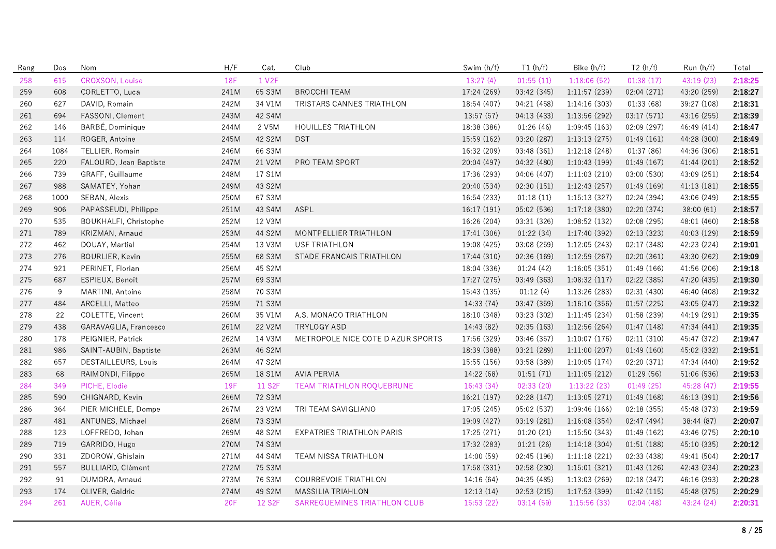| Rang | Dos  | Nom                    | H/F        | Cat.                | Club                              | Swim (h/f)  | T1(h/f)     | Bike (h/f)    | T2(h/f)     | Run (h/f)   | Total   |
|------|------|------------------------|------------|---------------------|-----------------------------------|-------------|-------------|---------------|-------------|-------------|---------|
| 258  | 615  | CROXSON, Louise        | <b>18F</b> | 1 V <sub>2</sub> F  |                                   | 13:27(4)    | 01:55(11)   | 1:18:06(52)   | 01:38(17)   | 43:19 (23)  | 2:18:25 |
| 259  | 608  | CORLETTO, Luca         | 241M       | 65 S3M              | <b>BROCCHI TEAM</b>               | 17:24 (269) | 03:42 (345) | 1:11:57(239)  | 02:04 (271) | 43:20 (259) | 2:18:27 |
| 260  | 627  | DAVID, Romain          | 242M       | 34 V1M              | TRISTARS CANNES TRIATHLON         | 18:54 (407) | 04:21 (458) | 1:14:16(303)  | 01:33 (68)  | 39:27 (108) | 2:18:31 |
| 261  | 694  | FASSONI, Clement       | 243M       | 42 S4M              |                                   | 13:57 (57)  | 04:13 (433) | 1:13:56 (292) | 03:17 (571) | 43:16 (255) | 2:18:39 |
| 262  | 146  | BARBÉ, Dominique       | 244M       | 2 V5M               | <b>HOUILLES TRIATHLON</b>         | 18:38 (386) | 01:26(46)   | 1:09:45(163)  | 02:09 (297) | 46:49 (414) | 2:18:47 |
| 263  | 114  | ROGER, Antoine         | 245M       | 42 S2M              | <b>DST</b>                        | 15:59 (162) | 03:20 (287) | 1:13:13(275)  | 01:49(161)  | 44:28 (300) | 2:18:49 |
| 264  | 1084 | TELLIER, Romain        | 246M       | 66 S3M              |                                   | 16:32 (209) | 03:48 (361) | 1:12:18(248)  | 01:37(86)   | 44:36 (306) | 2:18:51 |
| 265  | 220  | FALOURD, Jean Baptiste | 247M       | 21 V2M              | PRO TEAM SPORT                    | 20:04 (497) | 04:32 (480) | 1:10:43 (199) | 01:49 (167) | 41:44 (201) | 2:18:52 |
| 266  | 739  | GRAFF, Guillaume       | 248M       | 17 S1M              |                                   | 17:36 (293) | 04:06 (407) | 1:11:03(210)  | 03:00 (530) | 43:09 (251) | 2:18:54 |
| 267  | 988  | SAMATEY, Yohan         | 249M       | 43 S2M              |                                   | 20:40 (534) | 02:30(151)  | 1:12:43(257)  | 01:49(169)  | 41:13 (181) | 2:18:55 |
| 268  | 1000 | SEBAN, Alexis          | 250M       | 67 S3M              |                                   | 16:54 (233) | 01:18(11)   | 1:15:13(327)  | 02:24 (394) | 43:06 (249) | 2:18:55 |
| 269  | 906  | PAPASSEUDI, Philippe   | 251M       | 43 S4M              | ASPL                              | 16:17 (191) | 05:02 (536) | 1:17:18(380)  | 02:20 (374) | 38:00(61)   | 2:18:57 |
| 270  | 535  | BOUKHALFI, Christophe  | 252M       | 12 V3M              |                                   | 16:26 (204) | 03:31 (326) | 1:08:52(132)  | 02:08 (295) | 48:01 (460) | 2:18:58 |
| 271  | 789  | KRIZMAN, Arnaud        | 253M       | 44 S2M              | MONTPELLIER TRIATHLON             | 17:41 (306) | 01:22(34)   | 1:17:40 (392) | 02:13 (323) | 40:03 (129) | 2:18:59 |
| 272  | 462  | DOUAY, Martial         | 254M       | 13 V3M              | <b>USF TRIATHLON</b>              | 19:08 (425) | 03:08 (259) | 1:12:05(243)  | 02:17 (348) | 42:23 (224) | 2:19:01 |
| 273  | 276  | BOURLIER, Kevin        | 255M       | 68 S3M              | STADE FRANCAIS TRIATHLON          | 17:44 (310) | 02:36 (169) | 1:12:59(267)  | 02:20 (361) | 43:30 (262) | 2:19:09 |
| 274  | 921  | PERINET, Florian       | 256M       | 45 S2M              |                                   | 18:04 (336) | 01:24(42)   | 1:16:05(351)  | 01:49 (166) | 41:56 (206) | 2:19:18 |
| 275  | 687  | ESPIEUX, Benoît        | 257M       | 69 S3M              |                                   | 17:27 (275) | 03:49 (363) | 1:08:32(117)  | 02:22 (385) | 47:20 (435) | 2:19:30 |
| 276  | 9    | MARTINI, Antoine       | 258M       | 70 S3M              |                                   | 15:43 (135) | 01:12(4)    | 1:13:26(283)  | 02:31 (430) | 46:40 (408) | 2:19:32 |
| 277  | 484  | ARCELLI, Matteo        | 259M       | 71 S3M              |                                   | 14:33 (74)  | 03:47 (359) | 1:16:10(356)  | 01:57(225)  | 43:05 (247) | 2:19:32 |
| 278  | 22   | COLETTE, Vincent       | 260M       | 35 V1M              | A.S. MONACO TRIATHLON             | 18:10 (348) | 03:23 (302) | 1:11:45(234)  | 01:58 (239) | 44:19 (291) | 2:19:35 |
| 279  | 438  | GARAVAGLIA, Francesco  | 261M       | 22 V2M              | <b>TRYLOGY ASD</b>                | 14:43 (82)  | 02:35(163)  | 1:12:56(264)  | 01:47 (148) | 47:34 (441) | 2:19:35 |
| 280  | 178  | PEIGNIER, Patrick      | 262M       | 14 V3M              | METROPOLE NICE COTE D AZUR SPORTS | 17:56 (329) | 03:46 (357) | 1:10:07(176)  | 02:11(310)  | 45:47 (372) | 2:19:47 |
| 281  | 986  | SAINT-AUBIN, Baptiste  | 263M       | 46 S2M              |                                   | 18:39 (388) | 03:21 (289) | 1:11:00(207)  | 01:49(160)  | 45:02 (332) | 2:19:51 |
| 282  | 657  | DESTAILLEURS, Louis    | 264M       | 47 S2M              |                                   | 15:55 (156) | 03:58 (389) | 1:10:05(174)  | 02:20 (371) | 47:34 (440) | 2:19:52 |
| 283  | 68   | RAIMONDI, Filippo      | 265M       | 18 S1M              | <b>AVIA PERVIA</b>                | 14:22 (68)  | 01:51(71)   | 1:11:05(212)  | 01:29(56)   | 51:06 (536) | 2:19:53 |
| 284  | 349  | PICHE, Elodie          | 19F        | 11 S2F              | TEAM TRIATHLON ROQUEBRUNE         | 16:43(34)   | 02:33(20)   | 1:13:22(23)   | 01:49(25)   | 45:28 (47)  | 2:19:55 |
| 285  | 590  | CHIGNARD, Kevin        | 266M       | 72 S3M              |                                   | 16:21 (197) | 02:28 (147) | 1:13:05(271)  | 01:49 (168) | 46:13 (391) | 2:19:56 |
| 286  | 364  | PIER MICHELE, Dompe    | 267M       | 23 V2M              | TRI TEAM SAVIGLIANO               | 17:05 (245) | 05:02 (537) | 1:09:46 (166) | 02:18 (355) | 45:48 (373) | 2:19:59 |
| 287  | 481  | ANTUNES, Michael       | 268M       | 73 S3M              |                                   | 19:09 (427) | 03:19 (281) | 1:16:08(354)  | 02:47 (494) | 38:44 (87)  | 2:20:07 |
| 288  | 123  | LOFFREDO, Johan        | 269M       | 48 S2M              | EXPATRIES TRIATHLON PARIS         | 17:25 (271) | 01:20(21)   | 1:15:50(343)  | 01:49 (162) | 43:46 (275) | 2:20:10 |
| 289  | 719  | GARRIDO, Hugo          | 270M       | 74 S3M              |                                   | 17:32 (283) | 01:21(26)   | 1:14:18(304)  | 01:51 (188) | 45:10 (335) | 2:20:12 |
| 290  | 331  | ZDOROW, Ghislain       | 271M       | 44 S4M              | <b>TEAM NISSA TRIATHLON</b>       | 14:00 (59)  | 02:45 (196) | 1:11:18(221)  | 02:33 (438) | 49:41 (504) | 2:20:17 |
| 291  | 557  | BULLIARD, Clément      | 272M       | 75 S3M              |                                   | 17:58 (331) | 02:58 (230) | 1:15:01(321)  | 01:43 (126) | 42:43 (234) | 2:20:23 |
| 292  | 91   | DUMORA, Arnaud         | 273M       | 76 S3M              | COURBEVOIE TRIATHLON              | 14:16 (64)  | 04:35 (485) | 1:13:03(269)  | 02:18 (347) | 46:16 (393) | 2:20:28 |
| 293  | 174  | OLIVER, Galdric        | 274M       | 49 S2M              | <b>MASSILIA TRIAHLON</b>          | 12:13(14)   | 02:53(215)  | 1:17:53(399)  | 01:42(115)  | 45:48 (375) | 2:20:29 |
| 294  | 261  | AUER, Célia            | <b>20F</b> | 12 S <sub>2</sub> F | SARREGUEMINES TRIATHLON CLUB      | 15:53 (22)  | 03:14(59)   | 1:15:56(33)   | 02:04(48)   | 43:24 (24)  | 2:20:31 |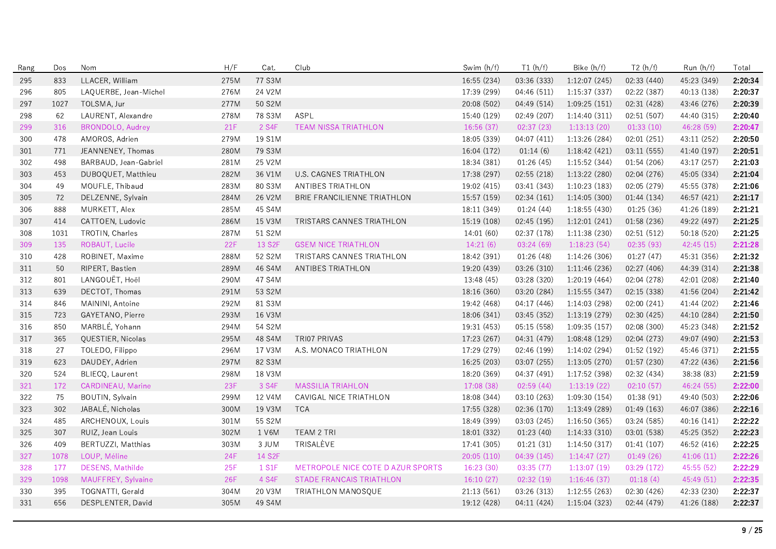| Rang | Dos  | Nom                     | H/F        | Cat.   | Club                              | Swim (h/f)  | T1(h/f)     | Bike (h/f)    | T2(h/f)     | Run (h/f)   | Total   |
|------|------|-------------------------|------------|--------|-----------------------------------|-------------|-------------|---------------|-------------|-------------|---------|
| 295  | 833  | LLACER, William         | 275M       | 77 S3M |                                   | 16:55 (234) | 03:36 (333) | 1:12:07 (245) | 02:33 (440) | 45:23 (349) | 2:20:34 |
| 296  | 805  | LAQUERBE, Jean-Michel   | 276M       | 24 V2M |                                   | 17:39 (299) | 04:46 (511) | 1:15:37(337)  | 02:22 (387) | 40:13 (138) | 2:20:37 |
| 297  | 1027 | TOLSMA, Jur             | 277M       | 50 S2M |                                   | 20:08 (502) | 04:49 (514) | 1:09:25(151)  | 02:31 (428) | 43:46 (276) | 2:20:39 |
| 298  | 62   | LAURENT, Alexandre      | 278M       | 78 S3M | ASPL                              | 15:40 (129) | 02:49 (207) | 1:14:40(311)  | 02:51(507)  | 44:40 (315) | 2:20:40 |
| 299  | 316  | <b>BRONDOLO, Audrey</b> | 21F        | 2 S4F  | <b>TEAM NISSA TRIATHLON</b>       | 16:56 (37)  | 02:37(23)   | 1:13:13(20)   | 01:33(10)   | 46:28 (59)  | 2:20:47 |
| 300  | 478  | AMOROS, Adrien          | 279M       | 19 S1M |                                   | 18:05 (339) | 04:07 (411) | 1:13:26 (284) | 02:01 (251) | 43:11 (252) | 2:20:50 |
| 301  | 771  | JEANNENEY, Thomas       | 280M       | 79 S3M |                                   | 16:04 (172) | 01:14(6)    | 1:18:42 (421) | 03:11 (555) | 41:40 (197) | 2:20:51 |
| 302  | 498  | BARBAUD, Jean-Gabriel   | 281M       | 25 V2M |                                   | 18:34 (381) | 01:26(45)   | 1:15:52 (344) | 01:54 (206) | 43:17 (257) | 2:21:03 |
| 303  | 453  | DUBOQUET, Matthieu      | 282M       | 36 V1M | U.S. CAGNES TRIATHLON             | 17:38 (297) | 02:55(218)  | 1:13:22(280)  | 02:04 (276) | 45:05 (334) | 2:21:04 |
| 304  | 49   | MOUFLE, Thibaud         | 283M       | 80 S3M | ANTIBES TRIATHLON                 | 19:02 (415) | 03:41 (343) | 1:10:23(183)  | 02:05 (279) | 45:55 (378) | 2:21:06 |
| 305  | 72   | DELZENNE, Sylvain       | 284M       | 26 V2M | BRIE FRANCILIENNE TRIATHLON       | 15:57 (159) | 02:34(161)  | 1:14:05(300)  | 01:44(134)  | 46:57 (421) | 2:21:17 |
| 306  | 888  | MURKETT, Alex           | 285M       | 45 S4M |                                   | 18:11 (349) | 01:24(44)   | 1:18:55 (430) | 01:25(36)   | 41:26 (189) | 2:21:21 |
| 307  | 414  | CATTOEN, Ludovic        | 286M       | 15 V3M | TRISTARS CANNES TRIATHLON         | 15:19 (108) | 02:45 (195) | 1:12:01(241)  | 01:58 (236) | 49:22 (497) | 2:21:25 |
| 308  | 1031 | TROTIN, Charles         | 287M       | 51 S2M |                                   | 14:01 (60)  | 02:37 (178) | 1:11:38(230)  | 02:51 (512) | 50:18 (520) | 2:21:25 |
| 309  | 135  | ROBAUT, Lucile          | 22F        | 13 S2F | <b>GSEM NICE TRIATHLON</b>        | 14:21(6)    | 03:24(69)   | 1:18:23(54)   | 02:35 (93)  | 42:45 (15)  | 2:21:28 |
| 310  | 428  | ROBINET, Maxime         | 288M       | 52 S2M | TRISTARS CANNES TRIATHLON         | 18:42 (391) | 01:26(48)   | 1:14:26(306)  | 01:27(47)   | 45:31 (356) | 2:21:32 |
| 311  | 50   | RIPERT, Bastien         | 289M       | 46 S4M | ANTIBES TRIATHLON                 | 19:20 (439) | 03:26 (310) | 1:11:46 (236) | 02:27 (406) | 44:39 (314) | 2:21:38 |
| 312  | 801  | LANGOUËT, Hoël          | 290M       | 47 S4M |                                   | 13:48 (45)  | 03:28 (320) | 1:20:19(464)  | 02:04 (278) | 42:01 (208) | 2:21:40 |
| 313  | 639  | DECTOT, Thomas          | 291M       | 53 S2M |                                   | 18:16 (360) | 03:20 (284) | 1:15:55(347)  | 02:15 (338) | 41:56 (204) | 2:21:42 |
| 314  | 846  | MAININI, Antoine        | 292M       | 81 S3M |                                   | 19:42 (468) | 04:17 (446) | 1:14:03(298)  | 02:00 (241) | 41:44 (202) | 2:21:46 |
| 315  | 723  | GAYETANO, Pierre        | 293M       | 16 V3M |                                   | 18:06 (341) | 03:45 (352) | 1:13:19(279)  | 02:30 (425) | 44:10 (284) | 2:21:50 |
| 316  | 850  | MARBLÉ, Yohann          | 294M       | 54 S2M |                                   | 19:31 (453) | 05:15 (558) | 1:09:35(157)  | 02:08 (300) | 45:23 (348) | 2:21:52 |
| 317  | 365  | QUESTIER, Nicolas       | 295M       | 48 S4M | <b>TRI07 PRIVAS</b>               | 17:23 (267) | 04:31 (479) | 1:08:48(129)  | 02:04 (273) | 49:07 (490) | 2:21:53 |
| 318  | 27   | TOLEDO, Filippo         | 296M       | 17 V3M | A.S. MONACO TRIATHLON             | 17:29 (279) | 02:46 (199) | 1:14:02 (294) | 01:52 (192) | 45:46 (371) | 2:21:55 |
| 319  | 623  | DAUDEY, Adrien          | 297M       | 82 S3M |                                   | 16:25 (203) | 03:07 (255) | 1:13:05(270)  | 01:57(230)  | 47:22 (436) | 2:21:56 |
| 320  | 524  | BLIECQ, Laurent         | 298M       | 18 V3M |                                   | 18:20 (369) | 04:37 (491) | 1:17:52 (398) | 02:32 (434) | 38:38 (83)  | 2:21:59 |
| 321  | 172  | CARDINEAU, Marine       | 23F        | 3 S4F  | <b>MASSILIA TRIAHLON</b>          | 17:08 (38)  | 02:59(44)   | 1:13:19(22)   | 02:10(57)   | 46:24 (55)  | 2:22:00 |
| 322  | 75   | BOUTIN, Sylvain         | 299M       | 12 V4M | CAVIGAL NICE TRIATHLON            | 18:08 (344) | 03:10 (263) | 1:09:30(154)  | 01:38(91)   | 49:40 (503) | 2:22:06 |
| 323  | 302  | JABALÉ, Nicholas        | 300M       | 19 V3M | <b>TCA</b>                        | 17:55 (328) | 02:36 (170) | 1:13:49(289)  | 01:49(163)  | 46:07 (386) | 2:22:16 |
| 324  | 485  | ARCHENOUX, Louis        | 301M       | 55 S2M |                                   | 18:49 (399) | 03:03 (245) | 1:16:50(365)  | 03:24 (585) | 40:16 (141) | 2:22:22 |
| 325  | 307  | RUIZ, Jean Louis        | 302M       | 1 V6M  | TEAM 2 TRI                        | 18:01 (332) | 01:23(40)   | 1:14:33(310)  | 03:01 (538) | 45:25 (352) | 2:22:23 |
| 326  | 409  | BERTUZZI, Matthias      | 303M       | 3 JUM  | TRISALÈVE                         | 17:41 (305) | 01:21(31)   | 1:14:50(317)  | 01:41(107)  | 46:52 (416) | 2:22:25 |
| 327  | 1078 | LOUP, Méline            | <b>24F</b> | 14 S2F |                                   | 20:05 (110) | 04:39 (145) | 1:14:47(27)   | 01:49(26)   | 41:06(11)   | 2:22:26 |
| 328  | 177  | <b>DESENS, Mathilde</b> | 25F        | 1 S1F  | METROPOLE NICE COTE D AZUR SPORTS | 16:23 (30)  | 03:35(77)   | 1:13:07(19)   | 03:29 (172) | 45:55 (52)  | 2:22:29 |
| 329  | 1098 | MAUFFREY, Sylvaine      | <b>26F</b> | 4 S4F  | <b>STADE FRANCAIS TRIATHLON</b>   | 16:10(27)   | 02:32(19)   | 1:16:46(37)   | 01:18(4)    | 45:49 (51)  | 2:22:35 |
| 330  | 395  | TOGNATTI, Gerald        | 304M       | 20 V3M | <b>TRIATHLON MANOSQUE</b>         | 21:13(561)  | 03:26 (313) | 1:12:55(263)  | 02:30 (426) | 42:33 (230) | 2:22:37 |
| 331  | 656  | DESPLENTER, David       | 305M       | 49 S4M |                                   | 19:12 (428) | 04:11 (424) | 1:15:04(323)  | 02:44 (479) | 41:26 (188) | 2:22:37 |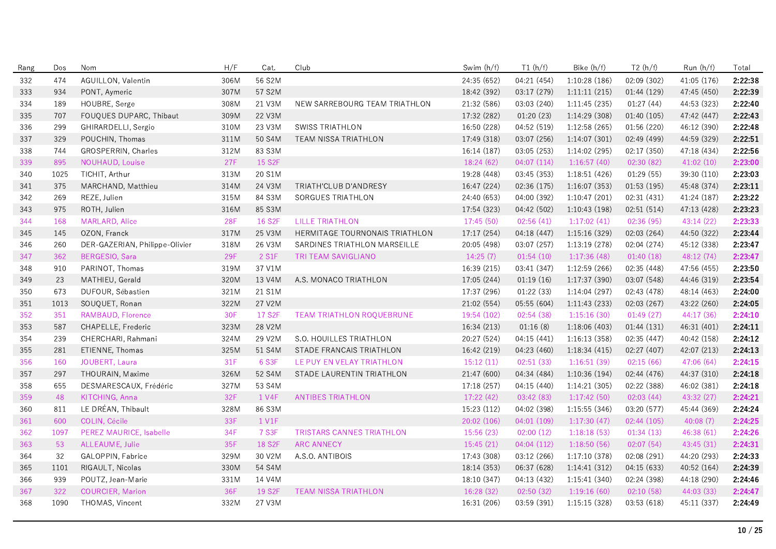| Rang | Dos  | Nom                            | H/F  | Cat.                | Club                           | Swim (h/f)  | T1(h/f)     | Bike (h/f)    | T2(h/f)     | Run (h/f)   | Total   |
|------|------|--------------------------------|------|---------------------|--------------------------------|-------------|-------------|---------------|-------------|-------------|---------|
| 332  | 474  | AGUILLON, Valentin             | 306M | 56 S2M              |                                | 24:35 (652) | 04:21 (454) | 1:10:28 (186) | 02:09 (302) | 41:05 (176) | 2:22:38 |
| 333  | 934  | PONT, Aymeric                  | 307M | 57 S2M              |                                | 18:42 (392) | 03:17 (279) | 1:11:11(215)  | 01:44 (129) | 47:45 (450) | 2:22:39 |
| 334  | 189  | HOUBRE, Serge                  | 308M | 21 V3M              | NEW SARREBOURG TEAM TRIATHLON  | 21:32 (586) | 03:03 (240) | 1:11:45(235)  | 01:27(44)   | 44:53 (323) | 2:22:40 |
| 335  | 707  | FOUQUES DUPARC, Thibaut        | 309M | 22 V3M              |                                | 17:32 (282) | 01:20(23)   | 1:14:29 (308) | 01:40 (105) | 47:42 (447) | 2:22:43 |
| 336  | 299  | GHIRARDELLI, Sergio            | 310M | 23 V3M              | <b>SWISS TRIATHLON</b>         | 16:50 (228) | 04:52 (519) | 1:12:58(265)  | 01:56 (220) | 46:12 (390) | 2:22:48 |
| 337  | 329  | POUCHIN, Thomas                | 311M | 50 S4M              | TEAM NISSA TRIATHLON           | 17:49 (318) | 03:07 (256) | 1:14:07(301)  | 02:49 (499) | 44:59 (329) | 2:22:51 |
| 338  | 744  | GROSPERRIN, Charles            | 312M | 83 S3M              |                                | 16:14 (187) | 03:05 (253) | 1:14:02 (295) | 02:17 (350) | 47:18 (434) | 2:22:56 |
| 339  | 895  | NOUHAUD, Louise                | 27F  | 15 S <sub>2</sub> F |                                | 18:24(62)   | 04:07(114)  | 1:16:57(40)   | 02:30(82)   | 41:02(10)   | 2:23:00 |
| 340  | 1025 | TICHIT, Arthur                 | 313M | 20 S1M              |                                | 19:28 (448) | 03:45 (353) | 1:18:51(426)  | 01:29(55)   | 39:30 (110) | 2:23:03 |
| 341  | 375  | MARCHAND, Matthieu             | 314M | 24 V3M              | TRIATH'CLUB D'ANDRESY          | 16:47 (224) | 02:36 (175) | 1:16:07(353)  | 01:53(195)  | 45:48 (374) | 2:23:11 |
| 342  | 269  | REZE, Julien                   | 315M | 84 S3M              | SORGUES TRIATHLON              | 24:40 (653) | 04:00 (392) | 1:10:47(201)  | 02:31 (431) | 41:24 (187) | 2:23:22 |
| 343  | 975  | ROTH, Julien                   | 316M | 85 S3M              |                                | 17:54 (323) | 04:42 (502) | 1:10:43(198)  | 02:51(514)  | 47:13 (428) | 2:23:23 |
| 344  | 168  | MARLARD, Alice                 | 28F  | 16 S <sub>2F</sub>  | <b>LILLE TRIATHLON</b>         | 17:45 (50)  | 02:56(41)   | 1:17:02(41)   | 02:36(95)   | 43:14 (22)  | 2:23:33 |
| 345  | 145  | OZON, Franck                   | 317M | 25 V3M              | HERMITAGE TOURNONAIS TRIATHLON | 17:17 (254) | 04:18(447)  | 1:15:16(329)  | 02:03(264)  | 44:50 (322) | 2:23:44 |
| 346  | 260  | DER-GAZERIAN, Philippe-Olivier | 318M | 26 V3M              | SARDINES TRIATHLON MARSEILLE   | 20:05 (498) | 03:07 (257) | 1:13:19(278)  | 02:04 (274) | 45:12 (338) | 2:23:47 |
| 347  | 362  | BERGESIO, Sara                 | 29F  | 2 S1F               | TRI TEAM SAVIGLIANO            | 14:25(7)    | 01:54(10)   | 1:17:36(48)   | 01:40(18)   | 48:12 (74)  | 2:23:47 |
| 348  | 910  | PARINOT, Thomas                | 319M | 37 V1M              |                                | 16:39 (215) | 03:41 (347) | 1:12:59(266)  | 02:35 (448) | 47:56 (455) | 2:23:50 |
| 349  | 23   | MATHIEU, Gerald                | 320M | 13 V4M              | A.S. MONACO TRIATHLON          | 17:05 (244) | 01:19(16)   | 1:17:37 (390) | 03:07 (548) | 44:46 (319) | 2:23:54 |
| 350  | 673  | DUFOUR, Sébastien              | 321M | 21 S1M              |                                | 17:37 (296) | 01:22(33)   | 1:14:04 (297) | 02:43 (478) | 48:14 (463) | 2:24:00 |
| 351  | 1013 | SOUQUET, Ronan                 | 322M | 27 V2M              |                                | 21:02(554)  | 05:55(604)  | 1:11:43(233)  | 02:03(267)  | 43:22 (260) | 2:24:05 |
| 352  | 351  | RAMBAUD, Florence              | 30F  | 17 S <sub>2</sub> F | TEAM TRIATHLON ROQUEBRUNE      | 19:54 (102) | 02:54(38)   | 1:15:16(30)   | 01:49(27)   | 44:17 (36)  | 2:24:10 |
| 353  | 587  | CHAPELLE, Frederic             | 323M | 28 V2M              |                                | 16:34 (213) | 01:16(8)    | 1:18:06 (403) | 01:44(131)  | 46:31 (401) | 2:24:11 |
| 354  | 239  | CHERCHARI, Rahmani             | 324M | 29 V2M              | S.O. HOUILLES TRIATHLON        | 20:27 (524) | 04:15(441)  | 1:16:13(358)  | 02:35 (447) | 40:42 (158) | 2:24:12 |
| 355  | 281  | ETIENNE, Thomas                | 325M | 51 S4M              | STADE FRANCAIS TRIATHLON       | 16:42 (219) | 04:23 (460) | 1:18:34(415)  | 02:27 (407) | 42:07 (213) | 2:24:13 |
| 356  | 160  | JOUBERT, Laura                 | 31F  | 6 S3F               | LE PUY EN VELAY TRIATHLON      | 15:12(11)   | 02:51(33)   | 1:16:51(39)   | 02:15(66)   | 47:06 (64)  | 2:24:15 |
| 357  | 297  | THOURAIN, Maxime               | 326M | 52 S4M              | STADE LAURENTIN TRIATHLON      | 21:47 (600) | 04:34 (484) | 1:10:36(194)  | 02:44 (476) | 44:37 (310) | 2:24:18 |
| 358  | 655  | DESMARESCAUX, Frédéric         | 327M | 53 S4M              |                                | 17:18 (257) | 04:15 (440) | 1:14:21(305)  | 02:22 (388) | 46:02 (381) | 2:24:18 |
| 359  | 48   | KITCHING, Anna                 | 32F  | 1 V4F               | <b>ANTIBES TRIATHLON</b>       | 17:22 (42)  | 03:42(83)   | 1:17:42(50)   | 02:03(44)   | 43:32 (27)  | 2:24:21 |
| 360  | 811  | LE DRÉAN, Thibault             | 328M | 86 S3M              |                                | 15:23 (112) | 04:02 (398) | 1:15:55(346)  | 03:20 (577) | 45:44 (369) | 2:24:24 |
| 361  | 600  | COLIN, Cécile                  | 33F  | 1 V1F               |                                | 20:02 (106) | 04:01 (109) | 1:17:30(47)   | 02:44(105)  | 40:08(7)    | 2:24:25 |
| 362  | 1097 | <b>PEREZ MAURICE, Isabelle</b> | 34F  | 7 S3F               | TRISTARS CANNES TRIATHLON      | 15:56 (23)  | 02:00(12)   | 1:18:18(53)   | 01:34(13)   | 46:38(61)   | 2:24:26 |
| 363  | 53   | ALLEAUME, Julie                | 35F  | 18 S <sub>2F</sub>  | <b>ARC ANNECY</b>              | 15:45(21)   | 04:04(112)  | 1:18:50(56)   | 02:07(54)   | 43:45 (31)  | 2:24:31 |
| 364  | 32   | GALOPPIN, Fabrice              | 329M | 30 V2M              | A.S.O. ANTIBOIS                | 17:43 (308) | 03:12 (266) | 1:17:10(378)  | 02:08 (291) | 44:20 (293) | 2:24:33 |
| 365  | 1101 | RIGAULT, Nicolas               | 330M | 54 S4M              |                                | 18:14 (353) | 06:37 (628) | 1:14:41(312)  | 04:15 (633) | 40:52 (164) | 2:24:39 |
| 366  | 939  | POUTZ, Jean-Marie              | 331M | 14 V4M              |                                | 18:10 (347) | 04:13 (432) | 1:15:41(340)  | 02:24 (398) | 44:18 (290) | 2:24:46 |
| 367  | 322  | <b>COURCIER, Marion</b>        | 36F  | 19 S2F              | <b>TEAM NISSA TRIATHLON</b>    | 16:28 (32)  | 02:50 (32)  | 1:19:16(60)   | 02:10(58)   | 44:03 (33)  | 2:24:47 |
| 368  | 1090 | THOMAS, Vincent                | 332M | 27 V3M              |                                | 16:31 (206) | 03:59 (391) | 1:15:15(328)  | 03:53 (618) | 45:11 (337) | 2:24:49 |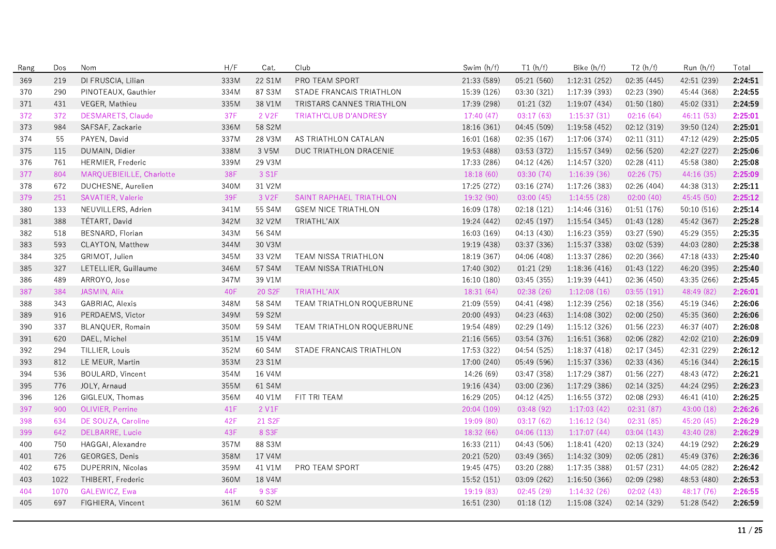| Rang | Dos  | Nom                      | H/F  | Cat.                | Club                         | Swim (h/f)  | T1(h/f)     | Bike $(h/f)$  | T2(h/f)     | Run (h/f)   | Total   |
|------|------|--------------------------|------|---------------------|------------------------------|-------------|-------------|---------------|-------------|-------------|---------|
| 369  | 219  | DI FRUSCIA, Lilian       | 333M | 22 S1M              | PRO TEAM SPORT               | 21:33 (589) | 05:21 (560) | 1:12:31(252)  | 02:35(445)  | 42:51 (239) | 2:24:51 |
| 370  | 290  | PINOTEAUX, Gauthier      | 334M | 87 S3M              | STADE FRANCAIS TRIATHLON     | 15:39 (126) | 03:30 (321) | 1:17:39(393)  | 02:23 (390) | 45:44 (368) | 2:24:55 |
| 371  | 431  | VEGER, Mathieu           | 335M | 38 V1M              | TRISTARS CANNES TRIATHLON    | 17:39 (298) | 01:21(32)   | 1:19:07(434)  | 01:50(180)  | 45:02 (331) | 2:24:59 |
| 372  | 372  | DESMARETS, Claude        | 37F  | 2 V <sub>2</sub> F  | <b>TRIATH'CLUB D'ANDRESY</b> | 17:40(47)   | 03:17(63)   | 1:15:37(31)   | 02:16(64)   | 46:11(53)   | 2:25:01 |
| 373  | 984  | SAFSAF, Zackarie         | 336M | 58 S2M              |                              | 18:16 (361) | 04:45 (509) | 1:19:58 (452) | 02:12 (319) | 39:50 (124) | 2:25:01 |
| 374  | 55   | PAYEN, David             | 337M | 28 V3M              | AS TRIATHLON CATALAN         | 16:01 (168) | 02:35 (167) | 1:17:06 (374) | 02:11 (311) | 47:12 (429) | 2:25:05 |
| 375  | 115  | DUMAIN, Didier           | 338M | 3 V5M               | DUC TRIATHLON DRACENIE       | 19:53 (488) | 03:53 (372) | 1:15:57 (349) | 02:56 (520) | 42:27 (227) | 2:25:06 |
| 376  | 761  | HERMIER, Frederic        | 339M | 29 V3M              |                              | 17:33 (286) | 04:12 (426) | 1:14:57 (320) | 02:28(411)  | 45:58 (380) | 2:25:08 |
| 377  | 804  | MARQUEBIEILLE, Charlotte | 38F  | 3 S1F               |                              | 18:18(60)   | 03:30(74)   | 1:16:39(36)   | 02:26(75)   | 44:16(35)   | 2:25:09 |
| 378  | 672  | DUCHESNE, Aurelien       | 340M | 31 V2M              |                              | 17:25 (272) | 03:16 (274) | 1:17:26 (383) | 02:26 (404) | 44:38 (313) | 2:25:11 |
| 379  | 251  | SAVATIER, Valerie        | 39F  | 3 V <sub>2</sub> F  | SAINT RAPHAEL TRIATHLON      | 19:32 (90)  | 03:00(45)   | 1:14:55(28)   | 02:00(40)   | 45:45 (50)  | 2:25:12 |
| 380  | 133  | NEUVILLERS, Adrien       | 341M | 55 S4M              | <b>GSEM NICE TRIATHLON</b>   | 16:09 (178) | 02:18(121)  | 1:14:46 (316) | 01:51 (176) | 50:10 (516) | 2:25:14 |
| 381  | 388  | TÉTART, David            | 342M | 32 V2M              | TRIATHL'AIX                  | 19:24 (442) | 02:45(197)  | 1:15:54(345)  | 01:43(128)  | 45:42 (367) | 2:25:28 |
| 382  | 518  | BESNARD, Florian         | 343M | 56 S4M              |                              | 16:03 (169) | 04:13 (430) | 1:16:23(359)  | 03:27 (590) | 45:29 (355) | 2:25:35 |
| 383  | 593  | CLAYTON, Matthew         | 344M | 30 V3M              |                              | 19:19 (438) | 03:37 (336) | 1:15:37(338)  | 03:02 (539) | 44:03 (280) | 2:25:38 |
| 384  | 325  | GRIMOT, Julien           | 345M | 33 V2M              | TEAM NISSA TRIATHLON         | 18:19 (367) | 04:06 (408) | 1:13:37 (286) | 02:20 (366) | 47:18 (433) | 2:25:40 |
| 385  | 327  | LETELLIER, Guillaume     | 346M | 57 S4M              | TEAM NISSA TRIATHLON         | 17:40 (302) | 01:21(29)   | 1:18:36(416)  | 01:43(122)  | 46:20 (395) | 2:25:40 |
| 386  | 489  | ARROYO, Jose             | 347M | 39 V1M              |                              | 16:10 (180) | 03:45 (355) | 1:19:39(441)  | 02:36 (450) | 43:35 (266) | 2:25:45 |
| 387  | 384  | JASMIN, Alix             | 40F  | 20 S <sub>2</sub> F | TRIATHL'AIX                  | 18:31(64)   | 02:38(26)   | 1:12:08(16)   | 03:55(191)  | 48:49 (82)  | 2:26:01 |
| 388  | 343  | GABRIAC, Alexis          | 348M | 58 S4M              | TEAM TRIATHLON ROQUEBRUNE    | 21:09 (559) | 04:41 (498) | 1:12:39 (256) | 02:18 (356) | 45:19 (346) | 2:26:06 |
| 389  | 916  | PERDAEMS, Victor         | 349M | 59 S2M              |                              | 20:00 (493) | 04:23 (463) | 1:14:08(302)  | 02:00(250)  | 45:35 (360) | 2:26:06 |
| 390  | 337  | BLANQUER, Romain         | 350M | 59 S4M              | TEAM TRIATHLON ROQUEBRUNE    | 19:54 (489) | 02:29 (149) | 1:15:12(326)  | 01:56 (223) | 46:37 (407) | 2:26:08 |
| 391  | 620  | DAEL, Michel             | 351M | 15 V4M              |                              | 21:16(565)  | 03:54 (376) | 1:16:51(368)  | 02:06(282)  | 42:02 (210) | 2:26:09 |
| 392  | 294  | TILLIER, Louis           | 352M | 60 S4M              | STADE FRANCAIS TRIATHLON     | 17:53 (322) | 04:54 (525) | 1:18:37(418)  | 02:17 (345) | 42:31 (229) | 2:26:12 |
| 393  | 812  | LE MEUR, Martin          | 353M | 23 S1M              |                              | 17:00 (240) | 05:49 (596) | 1:15:37(336)  | 02:33 (436) | 45:16 (344) | 2:26:15 |
| 394  | 536  | BOULARD, Vincent         | 354M | 16 V4M              |                              | 14:26 (69)  | 03:47 (358) | 1:17:29 (387) | 01:56 (227) | 48:43 (472) | 2:26:21 |
| 395  | 776  | JOLY, Arnaud             | 355M | 61 S4M              |                              | 19:16 (434) | 03:00 (236) | 1:17:29 (386) | 02:14 (325) | 44:24 (295) | 2:26:23 |
| 396  | 126  | GIGLEUX, Thomas          | 356M | 40 V1M              | FIT TRI TEAM                 | 16:29 (205) | 04:12 (425) | 1:16:55(372)  | 02:08(293)  | 46:41 (410) | 2:26:25 |
| 397  | 900  | OLIVIER, Perrine         | 41F  | 2 V1F               |                              | 20:04 (109) | 03:48(92)   | 1:17:03(42)   | 02:31(87)   | 43:00 (18)  | 2:26:26 |
| 398  | 634  | DE SOUZA, Caroline       | 42F  | 21 S <sub>2</sub> F |                              | 19:09(80)   | 03:17(62)   | 1:16:12(34)   | 02:31(85)   | 45:20 (45)  | 2:26:29 |
| 399  | 642  | <b>DELBARRE, Lucie</b>   | 43F  | 8 S3F               |                              | 18:32 (66)  | 04:06(113)  | 1:17:07(44)   | 03:04 (143) | 43:40 (28)  | 2:26:29 |
| 400  | 750  | HAGGAI, Alexandre        | 357M | 88 S3M              |                              | 16:33 (211) | 04:43 (506) | 1:18:41(420)  | 02:13 (324) | 44:19 (292) | 2:26:29 |
| 401  | 726  | GEORGES, Denis           | 358M | 17 V4M              |                              | 20:21 (520) | 03:49 (365) | 1:14:32(309)  | 02:05(281)  | 45:49 (376) | 2:26:36 |
| 402  | 675  | DUPERRIN, Nicolas        | 359M | 41 V1M              | PRO TEAM SPORT               | 19:45 (475) | 03:20 (288) | 1:17:35(388)  | 01:57 (231) | 44:05 (282) | 2:26:42 |
| 403  | 1022 | THIBERT, Frederic        | 360M | 18 V4M              |                              | 15:52 (151) | 03:09 (262) | 1:16:50(366)  | 02:09 (298) | 48:53 (480) | 2:26:53 |
| 404  | 1070 | GALEWICZ, Ewa            | 44F  | 9 S3F               |                              | 19:19 (83)  | 02:45(29)   | 1:14:32(26)   | 02:02(43)   | 48:17 (76)  | 2:26:55 |
| 405  | 697  | FIGHIERA, Vincent        | 361M | 60 S2M              |                              | 16:51 (230) | 01:18(12)   | 1:15:08(324)  | 02:14 (329) | 51:28 (542) | 2:26:59 |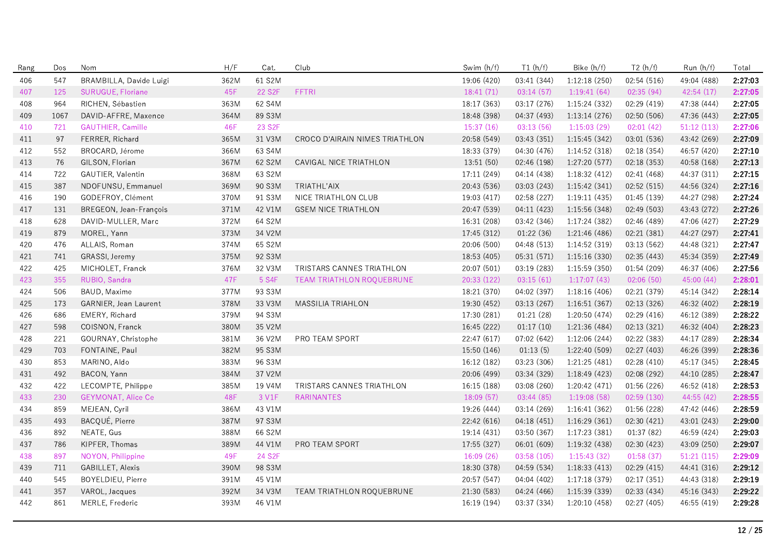| Rang | Dos  | Nom                       | H/F  | Cat.                | Club                           | Swim (h/f)  | T1(h/f)     | Bike (h/f)    | T2(h/f)     | Run (h/f)   | Total   |
|------|------|---------------------------|------|---------------------|--------------------------------|-------------|-------------|---------------|-------------|-------------|---------|
| 406  | 547  | BRAMBILLA, Davide Luigi   | 362M | 61 S2M              |                                | 19:06 (420) | 03:41 (344) | 1:12:18(250)  | 02:54 (516) | 49:04 (488) | 2:27:03 |
| 407  | 125  | SURUGUE, Floriane         | 45F  | 22 S <sub>2</sub> F | FFTRI                          | 18:41 (71)  | 03:14(57)   | 1:19:41(64)   | 02:35(94)   | 42:54 (17)  | 2:27:05 |
| 408  | 964  | RICHEN, Sébastien         | 363M | 62 S4M              |                                | 18:17 (363) | 03:17 (276) | 1:15:24 (332) | 02:29 (419) | 47:38 (444) | 2:27:05 |
| 409  | 1067 | DAVID-AFFRE, Maxence      | 364M | 89 S3M              |                                | 18:48 (398) | 04:37 (493) | 1:13:14(276)  | 02:50 (506) | 47:36 (443) | 2:27:05 |
| 410  | 721  | <b>GAUTHIER, Camille</b>  | 46F  | 23 S <sub>2</sub> F |                                | 15:37(16)   | 03:13(56)   | 1:15:03(29)   | 02:01(42)   | 51:12(113)  | 2:27:06 |
| 411  | 97   | FERRER, Richard           | 365M | 31 V3M              | CROCO D'AIRAIN NIMES TRIATHLON | 20:58 (549) | 03:43 (351) | 1:15:45(342)  | 03:01 (536) | 43:42 (269) | 2:27:09 |
| 412  | 552  | BROCARD, Jérome           | 366M | 63 S4M              |                                | 18:33 (379) | 04:30 (476) | 1:14:52 (318) | 02:18 (354) | 46:57 (420) | 2:27:10 |
| 413  | 76   | GILSON, Florian           | 367M | 62 S2M              | CAVIGAL NICE TRIATHLON         | 13:51 (50)  | 02:46 (198) | 1:27:20 (577) | 02:18 (353) | 40:58 (168) | 2:27:13 |
| 414  | 722  | GAUTIER, Valentin         | 368M | 63 S2M              |                                | 17:11 (249) | 04:14 (438) | 1:18:32(412)  | 02:41 (468) | 44:37 (311) | 2:27:15 |
| 415  | 387  | NDOFUNSU, Emmanuel        | 369M | 90 S3M              | TRIATHL'AIX                    | 20:43 (536) | 03:03 (243) | 1:15:42(341)  | 02:52 (515) | 44:56 (324) | 2:27:16 |
| 416  | 190  | GODEFROY, Clément         | 370M | 91 S3M              | NICE TRIATHLON CLUB            | 19:03 (417) | 02:58(227)  | 1:19:11(435)  | 01:45 (139) | 44:27 (298) | 2:27:24 |
| 417  | 131  | BREGEON, Jean-François    | 371M | 42 V1M              | <b>GSEM NICE TRIATHLON</b>     | 20:47 (539) | 04:11 (423) | 1:15:56 (348) | 02:49(503)  | 43:43 (272) | 2:27:26 |
| 418  | 628  | DAVID-MULLER, Marc        | 372M | 64 S2M              |                                | 16:31 (208) | 03:42 (346) | 1:17:24(382)  | 02:46 (489) | 47:06 (427) | 2:27:29 |
| 419  | 879  | MOREL, Yann               | 373M | 34 V2M              |                                | 17:45 (312) | 01:22(36)   | 1:21:46 (486) | 02:21 (381) | 44:27 (297) | 2:27:41 |
| 420  | 476  | ALLAIS, Roman             | 374M | 65 S2M              |                                | 20:06 (500) | 04:48 (513) | 1:14:52 (319) | 03:13 (562) | 44:48 (321) | 2:27:47 |
| 421  | 741  | GRASSI, Jeremy            | 375M | 92 S3M              |                                | 18:53 (405) | 05:31 (571) | 1:15:16(330)  | 02:35(443)  | 45:34 (359) | 2:27:49 |
| 422  | 425  | MICHOLET, Franck          | 376M | 32 V3M              | TRISTARS CANNES TRIATHLON      | 20:07 (501) | 03:19 (283) | 1:15:59(350)  | 01:54(209)  | 46:37 (406) | 2:27:56 |
| 423  | 355  | RUBIO, Sandra             | 47F  | 5 S4F               | TEAM TRIATHLON ROQUEBRUNE      | 20:33 (122) | 03:15(61)   | 1:17:07(43)   | 02:06(50)   | 45:00 (44)  | 2:28:01 |
| 424  | 506  | <b>BAUD, Maxime</b>       | 377M | 93 S3M              |                                | 18:21 (370) | 04:02 (397) | 1:18:16(406)  | 02:21 (379) | 45:14 (342) | 2:28:14 |
| 425  | 173  | GARNIER, Jean Laurent     | 378M | 33 V3M              | MASSILIA TRIAHLON              | 19:30 (452) | 03:13 (267) | 1:16:51(367)  | 02:13 (326) | 46:32 (402) | 2:28:19 |
| 426  | 686  | EMERY, Richard            | 379M | 94 S3M              |                                | 17:30 (281) | 01:21(28)   | 1:20:50 (474) | 02:29 (416) | 46:12 (389) | 2:28:22 |
| 427  | 598  | COISNON, Franck           | 380M | 35 V2M              |                                | 16:45 (222) | 01:17(10)   | 1:21:36 (484) | 02:13 (321) | 46:32 (404) | 2:28:23 |
| 428  | 221  | GOURNAY, Christophe       | 381M | 36 V2M              | PRO TEAM SPORT                 | 22:47 (617) | 07:02 (642) | 1:12:06(244)  | 02:22 (383) | 44:17 (289) | 2:28:34 |
| 429  | 703  | FONTAINE, Paul            | 382M | 95 S3M              |                                | 15:50 (146) | 01:13(5)    | 1:22:40 (509) | 02:27 (403) | 46:26 (399) | 2:28:36 |
| 430  | 853  | MARINO, Aldo              | 383M | 96 S3M              |                                | 16:12 (182) | 03:23 (306) | 1:21:25(481)  | 02:28 (410) | 45:17 (345) | 2:28:45 |
| 431  | 492  | BACON, Yann               | 384M | 37 V2M              |                                | 20:06 (499) | 03:34 (329) | 1:18:49(423)  | 02:08 (292) | 44:10 (285) | 2:28:47 |
| 432  | 422  | LECOMPTE, Philippe        | 385M | 19 V4M              | TRISTARS CANNES TRIATHLON      | 16:15 (188) | 03:08 (260) | 1:20:42 (471) | 01:56 (226) | 46:52 (418) | 2:28:53 |
| 433  | 230  | <b>GEYMONAT, Alice Ce</b> | 48F  | 3 V1F               | <b>RARINANTES</b>              | 18:09(57)   | 03:44(85)   | 1:19:08(58)   | 02:59 (130) | 44:55 (42)  | 2:28:55 |
| 434  | 859  | MEJEAN, Cyril             | 386M | 43 V1M              |                                | 19:26 (444) | 03:14 (269) | 1:16:41(362)  | 01:56 (228) | 47:42 (446) | 2:28:59 |
| 435  | 493  | BACQUÉ, Pierre            | 387M | 97 S3M              |                                | 22:42 (616) | 04:18 (451) | 1:16:29(361)  | 02:30 (421) | 43:01 (243) | 2:29:00 |
| 436  | 892  | NEATE, Gus                | 388M | 66 S2M              |                                | 19:14 (431) | 03:50 (367) | 1:17:23(381)  | 01:37 (82)  | 46:59 (424) | 2:29:03 |
| 437  | 786  | KIPFER, Thomas            | 389M | 44 V1M              | <b>PRO TEAM SPORT</b>          | 17:55 (327) | 06:01(609)  | 1:19:32(438)  | 02:30 (423) | 43:09 (250) | 2:29:07 |
| 438  | 897  | NOYON, Philippine         | 49F  | 24 S <sub>2</sub> F |                                | 16:09(26)   | 03:58(105)  | 1:15:43(32)   | 01:58(37)   | 51:21(115)  | 2:29:09 |
| 439  | 711  | GABILLET, Alexis          | 390M | 98 S3M              |                                | 18:30 (378) | 04:59 (534) | 1:18:33(413)  | 02:29 (415) | 44:41 (316) | 2:29:12 |
| 440  | 545  | BOYELDIEU, Pierre         | 391M | 45 V1M              |                                | 20:57 (547) | 04:04 (402) | 1:17:18(379)  | 02:17 (351) | 44:43 (318) | 2:29:19 |
| 441  | 357  | VAROL, Jacques            | 392M | 34 V3M              | TEAM TRIATHLON ROQUEBRUNE      | 21:30 (583) | 04:24 (466) | 1:15:39 (339) | 02:33 (434) | 45:16 (343) | 2:29:22 |
| 442  | 861  | MERLE, Frederic           | 393M | 46 V1M              |                                | 16:19 (194) | 03:37 (334) | 1:20:10 (458) | 02:27 (405) | 46:55 (419) | 2:29:28 |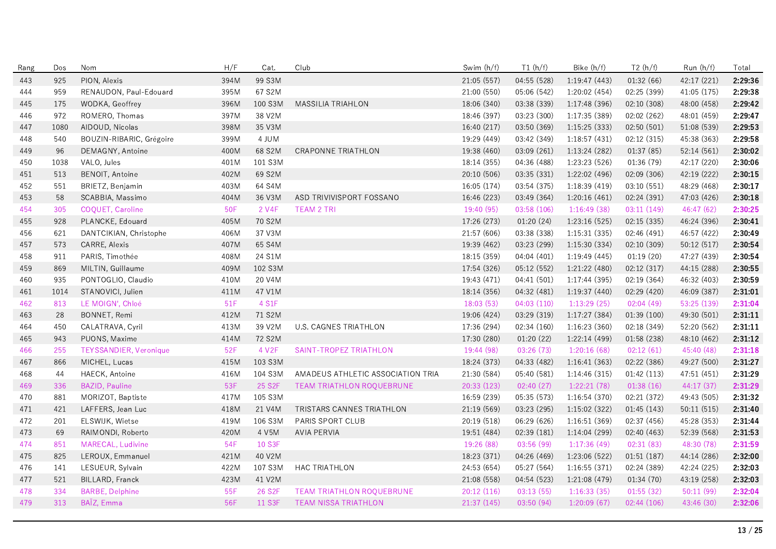| Rang | Dos  | Nom                           | H/F  | Cat.                | Club                              | Swim (h/f)  | T1(h/f)     | Bike (h/f)    | T2(h/f)     | Run (h/f)   | Total   |
|------|------|-------------------------------|------|---------------------|-----------------------------------|-------------|-------------|---------------|-------------|-------------|---------|
| 443  | 925  | PION, Alexis                  | 394M | 99 S3M              |                                   | 21:05 (557) | 04:55 (528) | 1:19:47(443)  | 01:32(66)   | 42:17 (221) | 2:29:36 |
| 444  | 959  | RENAUDON, Paul-Edouard        | 395M | 67 S2M              |                                   | 21:00 (550) | 05:06 (542) | 1:20:02(454)  | 02:25 (399) | 41:05 (175) | 2:29:38 |
| 445  | 175  | WODKA, Geoffrey               | 396M | 100 S3M             | <b>MASSILIA TRIAHLON</b>          | 18:06 (340) | 03:38 (339) | 1:17:48 (396) | 02:10 (308) | 48:00 (458) | 2:29:42 |
| 446  | 972  | ROMERO, Thomas                | 397M | 38 V2M              |                                   | 18:46 (397) | 03:23 (300) | 1:17:35 (389) | 02:02 (262) | 48:01 (459) | 2:29:47 |
| 447  | 1080 | AIDOUD, Nicolas               | 398M | 35 V3M              |                                   | 16:40 (217) | 03:50 (369) | 1:15:25(333)  | 02:50 (501) | 51:08 (539) | 2:29:53 |
| 448  | 540  | BOUZIN-RIBARIC, Grégoire      | 399M | 4 JUM               |                                   | 19:29 (449) | 03:42 (349) | 1:18:57(431)  | 02:12 (315) | 45:38 (363) | 2:29:58 |
| 449  | 96   | DEMAGNY, Antoine              | 400M | 68 S2M              | CRAPONNE TRIATHLON                | 19:38 (460) | 03:09 (261) | 1:13:24 (282) | 01:37(85)   | 52:14 (561) | 2:30:02 |
| 450  | 1038 | VALO, Jules                   | 401M | 101 S3M             |                                   | 18:14 (355) | 04:36 (488) | 1:23:23 (526) | 01:36 (79)  | 42:17 (220) | 2:30:06 |
| 451  | 513  | BENOIT, Antoine               | 402M | 69 S2M              |                                   | 20:10 (506) | 03:35 (331) | 1:22:02 (496) | 02:09(306)  | 42:19 (222) | 2:30:15 |
| 452  | 551  | BRIETZ, Benjamin              | 403M | 64 S4M              |                                   | 16:05 (174) | 03:54 (375) | 1:18:39 (419) | 03:10 (551) | 48:29 (468) | 2:30:17 |
| 453  | 58   | SCABBIA, Massimo              | 404M | 36 V3M              | ASD TRIVIVISPORT FOSSANO          | 16:46 (223) | 03:49 (364) | 1:20:16(461)  | 02:24 (391) | 47:03 (426) | 2:30:18 |
| 454  | 305  | COQUET, Caroline              | 50F  | 2 V4F               | <b>TEAM 2 TRI</b>                 | 19:40 (95)  | 03:58(106)  | 1:16:49(38)   | 03:11(149)  | 46:47 (62)  | 2:30:25 |
| 455  | 928  | PLANCKE, Edouard              | 405M | 70 S2M              |                                   | 17:26 (273) | 01:20(24)   | 1:23:16(525)  | 02:15 (335) | 46:24 (396) | 2:30:41 |
| 456  | 621  | DANTCIKIAN, Christophe        | 406M | 37 V3M              |                                   | 21:57 (606) | 03:38 (338) | 1:15:31(335)  | 02:46 (491) | 46:57 (422) | 2:30:49 |
| 457  | 573  | CARRE, Alexis                 | 407M | 65 S4M              |                                   | 19:39 (462) | 03:23 (299) | 1:15:30 (334) | 02:10 (309) | 50:12 (517) | 2:30:54 |
| 458  | 911  | PARIS, Timothée               | 408M | 24 S1M              |                                   | 18:15 (359) | 04:04 (401) | 1:19:49(445)  | 01:19(20)   | 47:27 (439) | 2:30:54 |
| 459  | 869  | MILTIN, Guillaume             | 409M | 102 S3M             |                                   | 17:54 (326) | 05:12 (552) | 1:21:22 (480) | 02:12 (317) | 44:15 (288) | 2:30:55 |
| 460  | 935  | PONTOGLIO, Claudio            | 410M | 20 V4M              |                                   | 19:43 (471) | 04:41 (501) | 1:17:44(395)  | 02:19(364)  | 46:32 (403) | 2:30:59 |
| 461  | 1014 | STANOVICI, Julien             | 411M | 47 V1M              |                                   | 18:14 (356) | 04:32 (481) | 1:19:37(440)  | 02:29 (420) | 46:09 (387) | 2:31:01 |
| 462  | 813  | LE MOIGN', Chloé              | 51F  | 4 S1F               |                                   | 18:03(53)   | 04:03(110)  | 1:13:29(25)   | 02:04(49)   | 53:25 (139) | 2:31:04 |
| 463  | 28   | BONNET, Remi                  | 412M | 71 S2M              |                                   | 19:06 (424) | 03:29 (319) | 1:17:27 (384) | 01:39 (100) | 49:30 (501) | 2:31:11 |
| 464  | 450  | CALATRAVA, Cyril              | 413M | 39 V2M              | <b>U.S. CAGNES TRIATHLON</b>      | 17:36 (294) | 02:34(160)  | 1:16:23(360)  | 02:18 (349) | 52:20 (562) | 2:31:11 |
| 465  | 943  | PUONS, Maxime                 | 414M | 72 S2M              |                                   | 17:30 (280) | 01:20(22)   | 1:22:14 (499) | 01:58 (238) | 48:10 (462) | 2:31:12 |
| 466  | 255  | <b>TEYSSANDIER, Veronique</b> | 52F  | 4 V2F               | SAINT-TROPEZ TRIATHLON            | 19:44 (98)  | 03:26(73)   | 1:20:16(68)   | 02:12(61)   | 45:40 (48)  | 2:31:18 |
| 467  | 866  | MICHEL, Lucas                 | 415M | 103 S3M             |                                   | 18:24 (373) | 04:33 (482) | 1:16:41(363)  | 02:22 (386) | 49:27 (500) | 2:31:27 |
| 468  | 44   | HAECK, Antoine                | 416M | 104 S3M             | AMADEUS ATHLETIC ASSOCIATION TRIA | 21:30 (584) | 05:40 (581) | 1:14:46(315)  | 01:42(113)  | 47:51 (451) | 2:31:29 |
| 469  | 336  | <b>BAZID, Pauline</b>         | 53F  | 25 S <sub>2</sub> F | TEAM TRIATHLON ROQUEBRUNE         | 20:33 (123) | 02:40(27)   | 1:22:21(78)   | 01:38(16)   | 44:17 (37)  | 2:31:29 |
| 470  | 881  | MORIZOT, Baptiste             | 417M | 105 S3M             |                                   | 16:59 (239) | 05:35 (573) | 1:16:54(370)  | 02:21 (372) | 49:43 (505) | 2:31:32 |
| 471  | 421  | LAFFERS, Jean Luc             | 418M | 21 V4M              | TRISTARS CANNES TRIATHLON         | 21:19 (569) | 03:23 (295) | 1:15:02(322)  | 01:45(143)  | 50:11(515)  | 2:31:40 |
| 472  | 201  | ELSWIJK, Wietse               | 419M | 106 S3M             | PARIS SPORT CLUB                  | 20:19 (518) | 06:29 (626) | 1:16:51(369)  | 02:37 (456) | 45:28 (353) | 2:31:44 |
| 473  | 69   | RAIMONDI, Roberto             | 420M | 4 V5M               | <b>AVIA PERVIA</b>                | 19:51 (484) | 02:39 (181) | 1:14:04 (299) | 02:40 (463) | 52:39 (568) | 2:31:53 |
| 474  | 851  | MARECAL, Ludivine             | 54F  | 10 S3F              |                                   | 19:26 (88)  | 03:56 (99)  | 1:17:36(49)   | 02:31(83)   | 48:30 (78)  | 2:31:59 |
| 475  | 825  | LEROUX, Emmanuel              | 421M | 40 V2M              |                                   | 18:23 (371) | 04:26 (469) | 1:23:06 (522) | 01:51(187)  | 44:14 (286) | 2:32:00 |
| 476  | 141  | LESUEUR, Sylvain              | 422M | 107 S3M             | <b>HAC TRIATHLON</b>              | 24:53 (654) | 05:27 (564) | 1:16:55(371)  | 02:24 (389) | 42:24 (225) | 2:32:03 |
| 477  | 521  | BILLARD, Franck               | 423M | 41 V2M              |                                   | 21:08 (558) | 04:54 (523) | 1:21:08 (479) | 01:34 (70)  | 43:19 (258) | 2:32:03 |
| 478  | 334  | <b>BARBE, Delphine</b>        | 55F  | 26 S <sub>2</sub> F | <b>TEAM TRIATHLON ROQUEBRUNE</b>  | 20:12 (116) | 03:13(55)   | 1:16:33(35)   | 01:55(32)   | 50:11(99)   | 2:32:04 |
| 479  | 313  | BAÏZ, Emma                    | 56F  | 11 S3F              | <b>TEAM NISSA TRIATHLON</b>       | 21:37 (145) | 03:50 (94)  | 1:20:09(67)   | 02:44 (106) | 43:46 (30)  | 2:32:06 |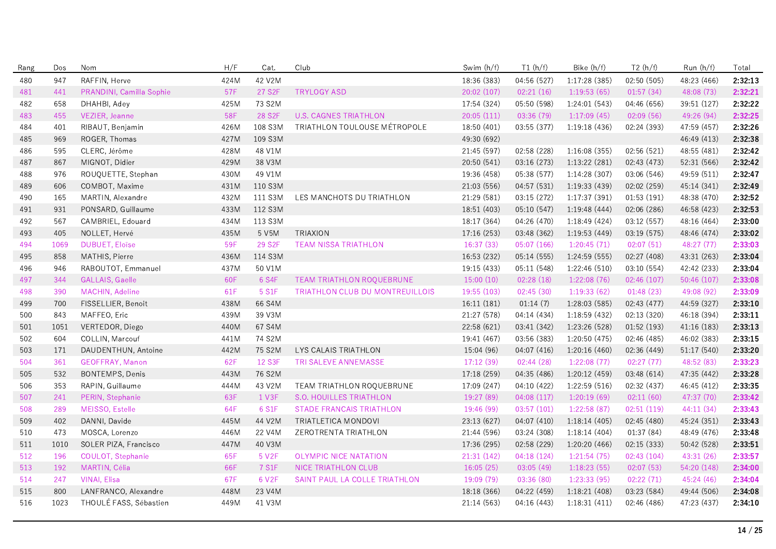| Rang | Dos  | Nom                      | H/F  | Cat.                | Club                            | Swim (h/f)  | T1(h/f)     | Bike (h/f)    | T2(h/f)     | Run (h/f)   | Total   |
|------|------|--------------------------|------|---------------------|---------------------------------|-------------|-------------|---------------|-------------|-------------|---------|
| 480  | 947  | RAFFIN, Herve            | 424M | 42 V2M              |                                 | 18:36 (383) | 04:56 (527) | 1:17:28 (385) | 02:50(505)  | 48:23 (466) | 2:32:13 |
| 481  | 441  | PRANDINI, Camilla Sophie | 57F  | 27 S2F              | <b>TRYLOGY ASD</b>              | 20:02 (107) | 02:21(16)   | 1:19:53(65)   | 01:57(34)   | 48:08 (73)  | 2:32:21 |
| 482  | 658  | DHAHBI, Adey             | 425M | 73 S2M              |                                 | 17:54 (324) | 05:50 (598) | 1:24:01(543)  | 04:46 (656) | 39:51 (127) | 2:32:22 |
| 483  | 455  | VEZIER, Jeanne           | 58F  | 28 S <sub>2F</sub>  | <b>U.S. CAGNES TRIATHLON</b>    | 20:05(111)  | 03:36 (79)  | 1:17:09(45)   | 02:09(56)   | 49:26 (94)  | 2:32:25 |
| 484  | 401  | RIBAUT, Benjamin         | 426M | 108 S3M             | TRIATHLON TOULOUSE MÉTROPOLE    | 18:50 (401) | 03:55 (377) | 1:19:18 (436) | 02:24 (393) | 47:59 (457) | 2:32:26 |
| 485  | 969  | ROGER, Thomas            | 427M | 109 S3M             |                                 | 49:30 (692) |             |               |             | 46:49 (413) | 2:32:38 |
| 486  | 595  | CLERC, Jérôme            | 428M | 48 V1M              |                                 | 21:45 (597) | 02:58 (228) | 1:16:08(355)  | 02:56 (521) | 48:55 (481) | 2:32:42 |
| 487  | 867  | MIGNOT, Didier           | 429M | 38 V3M              |                                 | 20:50 (541) | 03:16 (273) | 1:13:22 (281) | 02:43 (473) | 52:31 (566) | 2:32:42 |
| 488  | 976  | ROUQUETTE, Stephan       | 430M | 49 V1M              |                                 | 19:36 (458) | 05:38 (577) | 1:14:28(307)  | 03:06 (546) | 49:59 (511) | 2:32:47 |
| 489  | 606  | COMBOT, Maxime           | 431M | 110 S3M             |                                 | 21:03 (556) | 04:57 (531) | 1:19:33 (439) | 02:02 (259) | 45:14 (341) | 2:32:49 |
| 490  | 165  | MARTIN, Alexandre        | 432M | 111 S3M             | LES MANCHOTS DU TRIATHLON       | 21:29 (581) | 03:15 (272) | 1:17:37 (391) | 01:53(191)  | 48:38 (470) | 2:32:52 |
| 491  | 931  | PONSARD, Guillaume       | 433M | 112 S3M             |                                 | 18:51 (403) | 05:10 (547) | 1:19:48(444)  | 02:06(286)  | 46:58 (423) | 2:32:53 |
| 492  | 567  | CAMBRIEL, Edouard        | 434M | 113 S3M             |                                 | 18:17 (364) | 04:26 (470) | 1:18:49(424)  | 03:12(557)  | 48:16 (464) | 2:33:00 |
| 493  | 405  | NOLLET, Hervé            | 435M | 5 V5M               | <b>TRIAXION</b>                 | 17:16 (253) | 03:48 (362) | 1:19:53 (449) | 03:19 (575) | 48:46 (474) | 2:33:02 |
| 494  | 1069 | <b>DUBUET, Eloïse</b>    | 59F  | 29 S <sub>2</sub> F | <b>TEAM NISSA TRIATHLON</b>     | 16:37(33)   | 05:07(166)  | 1:20:45(71)   | 02:07(51)   | 48:27 (77)  | 2:33:03 |
| 495  | 858  | MATHIS, Pierre           | 436M | 114 S3M             |                                 | 16:53 (232) | 05:14 (555) | 1:24:59 (555) | 02:27 (408) | 43:31 (263) | 2:33:04 |
| 496  | 946  | RABOUTOT, Emmanuel       | 437M | 50 V1M              |                                 | 19:15 (433) | 05:11 (548) | 1:22:46 (510) | 03:10 (554) | 42:42 (233) | 2:33:04 |
| 497  | 344  | <b>GALLAIS, Gaelle</b>   | 60F  | 6 S4F               | TEAM TRIATHLON ROQUEBRUNE       | 15:00(10)   | 02:28(18)   | 1:22:08(76)   | 02:46(107)  | 50:46(107)  | 2:33:08 |
| 498  | 390  | MACHIN, Adeline          | 61F  | 5 S1F               | TRIATHLON CLUB DU MONTREUILLOIS | 19:55 (103) | 02:45(30)   | 1:19:33(62)   | 01:48(23)   | 49:08 (92)  | 2:33:09 |
| 499  | 700  | FISSELLIER, Benoit       | 438M | 66 S4M              |                                 | 16:11(181)  | 01:14(7)    | 1:28:03 (585) | 02:43 (477) | 44:59 (327) | 2:33:10 |
| 500  | 843  | MAFFEO, Eric             | 439M | 39 V3M              |                                 | 21:27 (578) | 04:14 (434) | 1:18:59(432)  | 02:13 (320) | 46:18 (394) | 2:33:11 |
| 501  | 1051 | VERTEDOR, Diego          | 440M | 67 S4M              |                                 | 22:58 (621) | 03:41 (342) | 1:23:26 (528) | 01:52 (193) | 41:16 (183) | 2:33:13 |
| 502  | 604  | COLLIN, Marcouf          | 441M | 74 S2M              |                                 | 19:41 (467) | 03:56 (383) | 1:20:50 (475) | 02:46 (485) | 46:02 (383) | 2:33:15 |
| 503  | 171  | DAUDENTHUN, Antoine      | 442M | 75 S2M              | LYS CALAIS TRIATHLON            | 15:04 (96)  | 04:07 (416) | 1:20:16(460)  | 02:36 (449) | 51:17 (540) | 2:33:20 |
| 504  | 361  | GEOFFRAY, Manon          | 62F  | <b>12 S3F</b>       | TRI SALEVE ANNEMASSE            | 17:12 (39)  | 02:44(28)   | 1:22:08(77)   | 02:27(77)   | 48:52 (83)  | 2:33:23 |
| 505  | 532  | BONTEMPS, Denis          | 443M | 76 S2M              |                                 | 17:18 (259) | 04:35 (486) | 1:20:12(459)  | 03:48 (614) | 47:35 (442) | 2:33:28 |
| 506  | 353  | RAPIN, Guillaume         | 444M | 43 V2M              | TEAM TRIATHLON ROQUEBRUNE       | 17:09 (247) | 04:10 (422) | 1:22:59 (516) | 02:32 (437) | 46:45 (412) | 2:33:35 |
| 507  | 241  | PERIN, Stephanie         | 63F  | 1 V3F               | S.O. HOUILLES TRIATHLON         | 19:27 (89)  | 04:08 (117) | 1:20:19(69)   | 02:11(60)   | 47:37 (70)  | 2:33:42 |
| 508  | 289  | MEISSO, Estelle          | 64F  | 6 S1F               | <b>STADE FRANCAIS TRIATHLON</b> | 19:46 (99)  | 03:57(101)  | 1:22:58(87)   | 02:51(119)  | 44:11(34)   | 2:33:43 |
| 509  | 402  | DANNI, Davide            | 445M | 44 V2M              | TRIATLETICA MONDOVI             | 23:13 (627) | 04:07 (410) | 1:18:14(405)  | 02:45 (480) | 45:24 (351) | 2:33:43 |
| 510  | 473  | MOSCA, Lorenzo           | 446M | 22 V4M              | ZEROTRENTA TRIATHLON            | 21:44 (596) | 03:24 (308) | 1:18:14(404)  | 01:37(84)   | 48:49 (476) | 2:33:48 |
| 511  | 1010 | SOLER PIZA, Francisco    | 447M | 40 V3M              |                                 | 17:36 (295) | 02:58 (229) | 1:20:20 (466) | 02:15 (333) | 50:42 (528) | 2:33:51 |
| 512  | 196  | COULOT, Stephanie        | 65F  | 5 V <sub>2</sub> F  | <b>OLYMPIC NICE NATATION</b>    | 21:31 (142) | 04:18 (124) | 1:21:54(75)   | 02:43 (104) | 43:31 (26)  | 2:33:57 |
| 513  | 192  | MARTIN, Célia            | 66F  | 7 S1F               | NICE TRIATHLON CLUB             | 16:05(25)   | 03:05(49)   | 1:18:23(55)   | 02:07(53)   | 54:20 (148) | 2:34:00 |
| 514  | 247  | <b>VINAI, Elisa</b>      | 67F  | 6 V2F               | SAINT PAUL LA COLLE TRIATHLON   | 19:09 (79)  | 03:36 (80)  | 1:23:33(95)   | 02:22(71)   | 45:24 (46)  | 2:34:04 |
| 515  | 800  | LANFRANCO, Alexandre     | 448M | 23 V4M              |                                 | 18:18 (366) | 04:22 (459) | 1:18:21 (408) | 03:23 (584) | 49:44 (506) | 2:34:08 |
| 516  | 1023 | THOULÉ FASS, Sébastien   | 449M | 41 V3M              |                                 | 21:14 (563) | 04:16 (443) | 1:18:31(411)  | 02:46 (486) | 47:23 (437) | 2:34:10 |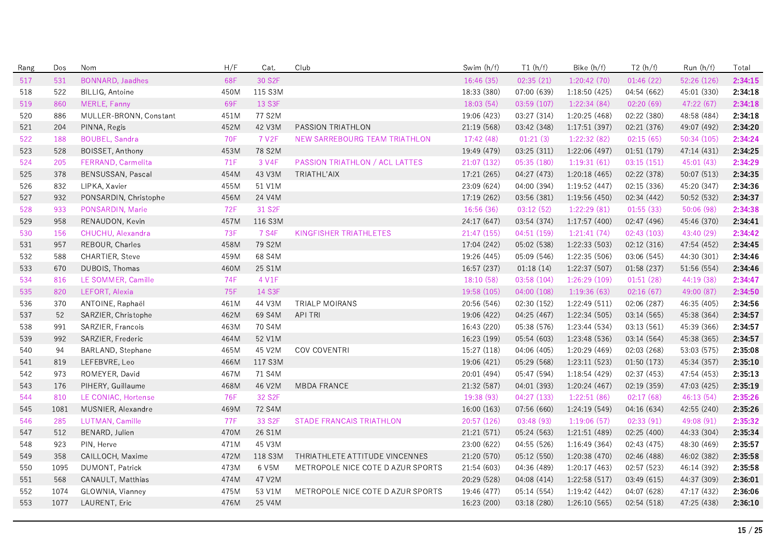| Rang | Dos  | Nom                     | H/F        | Cat.                | Club                              | Swim (h/f)  | T1(h/f)     | Bike (h/f)    | T2(h/f)     | Run (h/f)   | Total   |
|------|------|-------------------------|------------|---------------------|-----------------------------------|-------------|-------------|---------------|-------------|-------------|---------|
| 517  | 531  | <b>BONNARD, Jaadhes</b> | 68F        | 30 S2F              |                                   | 16:46 (35)  | 02:35(21)   | 1:20:42(70)   | 01:46(22)   | 52:26 (126) | 2:34:15 |
| 518  | 522  | BILLIG, Antoine         | 450M       | 115 S3M             |                                   | 18:33 (380) | 07:00 (639) | 1:18:50(425)  | 04:54 (662) | 45:01 (330) | 2:34:18 |
| 519  | 860  | MERLE, Fanny            | 69F        | 13 S3F              |                                   | 18:03 (54)  | 03:59 (107) | 1:22:34 (84)  | 02:20(69)   | 47:22 (67)  | 2:34:18 |
| 520  | 886  | MULLER-BRONN, Constant  | 451M       | 77 S2M              |                                   | 19:06 (423) | 03:27 (314) | 1:20:25 (468) | 02:22 (380) | 48:58 (484) | 2:34:18 |
| 521  | 204  | PINNA, Regis            | 452M       | 42 V3M              | PASSION TRIATHLON                 | 21:19 (568) | 03:42 (348) | 1:17:51(397)  | 02:21 (376) | 49:07 (492) | 2:34:20 |
| 522  | 188  | <b>BOUBEL, Sandra</b>   | <b>70F</b> | 7 V2F               | NEW SARREBOURG TEAM TRIATHLON     | 17:42 (48)  | 01:21(3)    | 1:22:32 (82)  | 02:15(65)   | 50:34 (105) | 2:34:24 |
| 523  | 528  | BOISSET, Anthony        | 453M       | 78 S2M              |                                   | 19:49 (479) | 03:25 (311) | 1:22:06 (497) | 01:51 (179) | 47:14 (431) | 2:34:25 |
| 524  | 205  | FERRAND, Carmelita      | 71F        | 3 V4F               | PASSION TRIATHLON / ACL LATTES    | 21:07(132)  | 05:35(180)  | 1:19:31(61)   | 03:15(151)  | 45:01(43)   | 2:34:29 |
| 525  | 378  | BENSUSSAN, Pascal       | 454M       | 43 V3M              | TRIATHL'AIX                       | 17:21 (265) | 04:27 (473) | 1:20:18(465)  | 02:22 (378) | 50:07 (513) | 2:34:35 |
| 526  | 832  | LIPKA, Xavier           | 455M       | 51 V1M              |                                   | 23:09 (624) | 04:00 (394) | 1:19:52 (447) | 02:15 (336) | 45:20 (347) | 2:34:36 |
| 527  | 932  | PONSARDIN, Christophe   | 456M       | 24 V4M              |                                   | 17:19 (262) | 03:56 (381) | 1:19:56(450)  | 02:34 (442) | 50:52 (532) | 2:34:37 |
| 528  | 933  | PONSARDIN, Marie        | <b>72F</b> | 31 S2F              |                                   | 16:56 (36)  | 03:12(52)   | 1:22:29(81)   | 01:55(33)   | 50:06(98)   | 2:34:38 |
| 529  | 958  | RENAUDON, Kevin         | 457M       | 116 S3M             |                                   | 24:17 (647) | 03:54 (374) | 1:17:57 (400) | 02:47 (496) | 45:46 (370) | 2:34:41 |
| 530  | 156  | CHUCHU, Alexandra       | 73F        | 7 S4F               | KINGFISHER TRIATHLETES            | 21:47 (155) | 04:51 (159) | 1:21:41(74)   | 02:43 (103) | 43:40 (29)  | 2:34:42 |
| 531  | 957  | REBOUR, Charles         | 458M       | 79 S2M              |                                   | 17:04 (242) | 05:02 (538) | 1:22:33(503)  | 02:12(316)  | 47:54 (452) | 2:34:45 |
| 532  | 588  | CHARTIER, Steve         | 459M       | 68 S4M              |                                   | 19:26 (445) | 05:09 (546) | 1:22:35(506)  | 03:06 (545) | 44:30 (301) | 2:34:46 |
| 533  | 670  | DUBOIS, Thomas          | 460M       | 25 S1M              |                                   | 16:57 (237) | 01:18(14)   | 1:22:37 (507) | 01:58 (237) | 51:56 (554) | 2:34:46 |
| 534  | 816  | LE SOMMER, Camille      | 74F        | 4 V1F               |                                   | 18:10 (58)  | 03:58 (104) | 1:26:29 (109) | 01:51(28)   | 44:19 (38)  | 2:34:47 |
| 535  | 820  | LEFORT, Alexia          | 75F        | 14 S3F              |                                   | 19:58 (105) | 04:00(108)  | 1:19:36(63)   | 02:16(67)   | 49:00 (87)  | 2:34:50 |
| 536  | 370  | ANTOINE, Raphaël        | 461M       | 44 V3M              | <b>TRIALP MOIRANS</b>             | 20:56 (546) | 02:30 (152) | 1:22:49(511)  | 02:06 (287) | 46:35 (405) | 2:34:56 |
| 537  | 52   | SARZIER, Christophe     | 462M       | 69 S4M              | API TRI                           | 19:06 (422) | 04:25 (467) | 1:22:34(505)  | 03:14 (565) | 45:38 (364) | 2:34:57 |
| 538  | 991  | SARZIER, Francois       | 463M       | 70 S4M              |                                   | 16:43 (220) | 05:38 (576) | 1:23:44 (534) | 03:13 (561) | 45:39 (366) | 2:34:57 |
| 539  | 992  | SARZIER, Frederic       | 464M       | 52 V1M              |                                   | 16:23 (199) | 05:54 (603) | 1:23:48 (536) | 03:14 (564) | 45:38 (365) | 2:34:57 |
| 540  | 94   | BARLAND, Stephane       | 465M       | 45 V2M              | COV COVENTRI                      | 15:27 (118) | 04:06 (405) | 1:20:29 (469) | 02:03 (268) | 53:03 (575) | 2:35:08 |
| 541  | 819  | LEFEBVRE, Leo           | 466M       | 117 S3M             |                                   | 19:06 (421) | 05:29 (568) | 1:23:11(523)  | 01:50 (173) | 45:34 (357) | 2:35:10 |
| 542  | 973  | ROMEYER, David          | 467M       | 71 S4M              |                                   | 20:01 (494) | 05:47 (594) | 1:18:54(429)  | 02:37 (453) | 47:54 (453) | 2:35:13 |
| 543  | 176  | PIHERY, Guillaume       | 468M       | 46 V2M              | <b>MBDA FRANCE</b>                | 21:32 (587) | 04:01 (393) | 1:20:24 (467) | 02:19 (359) | 47:03 (425) | 2:35:19 |
| 544  | 810  | LE CONIAC, Hortense     | 76F        | 32 S <sub>2</sub> F |                                   | 19:38 (93)  | 04:27 (133) | 1:22:51(86)   | 02:17(68)   | 46:13 (54)  | 2:35:26 |
| 545  | 1081 | MUSNIER, Alexandre      | 469M       | 72 S4M              |                                   | 16:00 (163) | 07:56 (660) | 1:24:19 (549) | 04:16 (634) | 42:55 (240) | 2:35:26 |
| 546  | 285  | LUTMAN, Camille         | 77F        | 33 S2F              | <b>STADE FRANCAIS TRIATHLON</b>   | 20:57 (126) | 03:48 (93)  | 1:19:06(57)   | 02:33(91)   | 49:08 (91)  | 2:35:32 |
| 547  | 512  | BENARD, Julien          | 470M       | 26 S1M              |                                   | 21:21 (571) | 05:24 (563) | 1:21:51 (489) | 02:25 (400) | 44:33 (304) | 2:35:34 |
| 548  | 923  | PIN, Herve              | 471M       | 45 V3M              |                                   | 23:00 (622) | 04:55 (526) | 1:16:49(364)  | 02:43 (475) | 48:30 (469) | 2:35:57 |
| 549  | 358  | CAILLOCH, Maxime        | 472M       | 118 S3M             | THRIATHLETE ATTITUDE VINCENNES    | 21:20 (570) | 05:12(550)  | 1:20:38 (470) | 02:46 (488) | 46:02 (382) | 2:35:58 |
| 550  | 1095 | DUMONT, Patrick         | 473M       | 6 V5M               | METROPOLE NICE COTE D AZUR SPORTS | 21:54 (603) | 04:36 (489) | 1:20:17(463)  | 02:57 (523) | 46:14 (392) | 2:35:58 |
| 551  | 568  | CANAULT, Matthias       | 474M       | 47 V2M              |                                   | 20:29 (528) | 04:08 (414) | 1:22:58 (517) | 03:49 (615) | 44:37 (309) | 2:36:01 |
| 552  | 1074 | GLOWNIA, Vianney        | 475M       | 53 V1M              | METROPOLE NICE COTE D AZUR SPORTS | 19:46 (477) | 05:14 (554) | 1:19:42 (442) | 04:07 (628) | 47:17 (432) | 2:36:06 |
| 553  | 1077 | LAURENT, Eric           | 476M       | 25 V4M              |                                   | 16:23 (200) | 03:18 (280) | 1:26:10(565)  | 02:54 (518) | 47:25 (438) | 2:36:10 |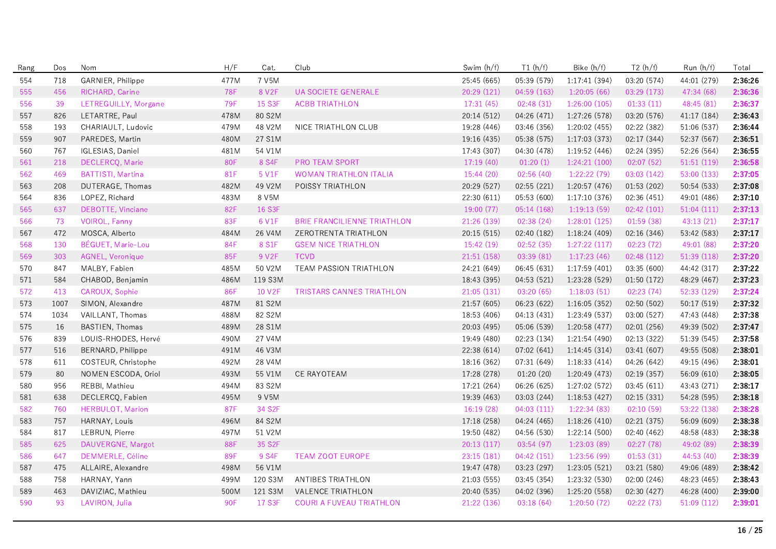| Rang | Dos  | Nom                      | H/F        | Cat.               | Club                               | Swim (h/f)  | T1(h/f)     | Bike (h/f)    | T2(h/f)     | Run (h/f)   | Total   |
|------|------|--------------------------|------------|--------------------|------------------------------------|-------------|-------------|---------------|-------------|-------------|---------|
| 554  | 718  | GARNIER, Philippe        | 477M       | 7 V5M              |                                    | 25:45 (665) | 05:39 (579) | 1:17:41(394)  | 03:20 (574) | 44:01 (279) | 2:36:26 |
| 555  | 456  | RICHARD, Carine          | <b>78F</b> | 8 V <sub>2</sub> F | UA SOCIETE GENERALE                | 20:29 (121) | 04:59 (163) | 1:20:05(66)   | 03:29 (173) | 47:34 (68)  | 2:36:36 |
| 556  | 39   | LETREGUILLY, Morgane     | <b>79F</b> | 15 S3F             | <b>ACBB TRIATHLON</b>              | 17:31(45)   | 02:48(31)   | 1:26:00(105)  | 01:33(11)   | 48:45 (81)  | 2:36:37 |
| 557  | 826  | LETARTRE, Paul           | 478M       | 80 S2M             |                                    | 20:14 (512) | 04:26 (471) | 1:27:26 (578) | 03:20 (576) | 41:17 (184) | 2:36:43 |
| 558  | 193  | CHARIAULT, Ludovic       | 479M       | 48 V2M             | NICE TRIATHLON CLUB                | 19:28 (446) | 03:46 (356) | 1:20:02 (455) | 02:22 (382) | 51:06 (537) | 2:36:44 |
| 559  | 907  | PAREDES, Martin          | 480M       | 27 S1M             |                                    | 19:16 (435) | 05:38 (575) | 1:17:03 (373) | 02:17 (344) | 52:37 (567) | 2:36:51 |
| 560  | 767  | IGLESIAS, Daniel         | 481M       | 54 V1M             |                                    | 17:43 (307) | 04:30 (478) | 1:19:52(446)  | 02:24 (395) | 52:26 (564) | 2:36:55 |
| 561  | 218  | DECLERCQ, Marie          | 80F        | 8 S4F              | <b>PRO TEAM SPORT</b>              | 17:19(40)   | 01:20(1)    | 1:24:21(100)  | 02:07(52)   | 51:51 (119) | 2:36:58 |
| 562  | 469  | <b>BATTISTI, Martina</b> | 81F        | 5 V1F              | <b>WOMAN TRIATHLON ITALIA</b>      | 15:44 (20)  | 02:56(40)   | 1:22:22(79)   | 03:03 (142) | 53:00 (133) | 2:37:05 |
| 563  | 208  | DUTERAGE, Thomas         | 482M       | 49 V2M             | POISSY TRIATHLON                   | 20:29 (527) | 02:55(221)  | 1:20:57(476)  | 01:53(202)  | 50:54 (533) | 2:37:08 |
| 564  | 836  | LOPEZ, Richard           | 483M       | 8 V5M              |                                    | 22:30 (611) | 05:53 (600) | 1:17:10(376)  | 02:36 (451) | 49:01 (486) | 2:37:10 |
| 565  | 637  | DEBOTTE, Vinciane        | 82F        | 16 S3F             |                                    | 19:00(77)   | 05:14 (168) | 1:19:13(59)   | 02:42(101)  | 51:04(111)  | 2:37:13 |
| 566  | 73   | VOIROL, Fanny            | 83F        | 6 V1F              | <b>BRIE FRANCILIENNE TRIATHLON</b> | 21:26 (139) | 02:38(24)   | 1:28:01(125)  | 01:59(38)   | 43:13 (21)  | 2:37:17 |
| 567  | 472  | MOSCA, Alberto           | 484M       | 26 V4M             | ZEROTRENTA TRIATHLON               | 20:15(515)  | 02:40 (182) | 1:18:24(409)  | 02:16(346)  | 53:42 (583) | 2:37:17 |
| 568  | 130  | BÉGUET, Marie-Lou        | <b>84F</b> | 8 S1F              | <b>GSEM NICE TRIATHLON</b>         | 15:42(19)   | 02:52(35)   | 1:27:22(117)  | 02:23(72)   | 49:01 (88)  | 2:37:20 |
| 569  | 303  | AGNEL, Veronique         | 85F        | 9 V2F              | <b>TCVD</b>                        | 21:51 (158) | 03:39(81)   | 1:17:23(46)   | 02:48 (112) | 51:39 (118) | 2:37:20 |
| 570  | 847  | MALBY, Fabien            | 485M       | 50 V2M             | TEAM PASSION TRIATHLON             | 24:21 (649) | 06:45 (631) | 1:17:59(401)  | 03:35 (600) | 44:42 (317) | 2:37:22 |
| 571  | 584  | CHABOD, Benjamin         | 486M       | 119 S3M            |                                    | 18:43 (395) | 04:53 (521) | 1:23:28 (529) | 01:50(172)  | 48:29 (467) | 2:37:23 |
| 572  | 413  | CAROUX, Sophie           | 86F        | 10 V2F             | TRISTARS CANNES TRIATHLON          | 21:05(131)  | 03:20(65)   | 1:18:03(51)   | 02:23(74)   | 52:33 (129) | 2:37:24 |
| 573  | 1007 | SIMON, Alexandre         | 487M       | 81 S2M             |                                    | 21:57 (605) | 06:23 (622) | 1:16:05(352)  | 02:50 (502) | 50:17 (519) | 2:37:32 |
| 574  | 1034 | VAILLANT, Thomas         | 488M       | 82 S2M             |                                    | 18:53 (406) | 04:13 (431) | 1:23:49 (537) | 03:00 (527) | 47:43 (448) | 2:37:38 |
| 575  | 16   | <b>BASTIEN, Thomas</b>   | 489M       | 28 S1M             |                                    | 20:03 (495) | 05:06 (539) | 1:20:58 (477) | 02:01 (256) | 49:39 (502) | 2:37:47 |
| 576  | 839  | LOUIS-RHODES, Hervé      | 490M       | 27 V4M             |                                    | 19:49 (480) | 02:23 (134) | 1:21:54(490)  | 02:13 (322) | 51:39 (545) | 2:37:58 |
| 577  | 516  | BERNARD, Philippe        | 491M       | 46 V3M             |                                    | 22:38 (614) | 07:02(641)  | 1:14:45(314)  | 03:41 (607) | 49:55 (508) | 2:38:01 |
| 578  | 611  | COSTEUR, Christophe      | 492M       | 28 V4M             |                                    | 18:16 (362) | 07:31 (649) | 1:18:33(414)  | 04:26 (642) | 49:15 (496) | 2:38:01 |
| 579  | 80   | NOMEN ESCODA, Oriol      | 493M       | 55 V1M             | CE RAYOTEAM                        | 17:28 (278) | 01:20(20)   | 1:20:49 (473) | 02:19 (357) | 56:09 (610) | 2:38:05 |
| 580  | 956  | REBBI, Mathieu           | 494M       | 83 S2M             |                                    | 17:21 (264) | 06:26 (625) | 1:27:02 (572) | 03:45 (611) | 43:43 (271) | 2:38:17 |
| 581  | 638  | DECLERCQ, Fabien         | 495M       | 9 V5M              |                                    | 19:39 (463) | 03:03 (244) | 1:18:53(427)  | 02:15 (331) | 54:28 (595) | 2:38:18 |
| 582  | 760  | HERBULOT, Marion         | 87F        | 34 S2F             |                                    | 16:19(28)   | 04:03(111)  | 1:22:34(83)   | 02:10(59)   | 53:22 (138) | 2:38:28 |
| 583  | 757  | HARNAY, Louis            | 496M       | 84 S2M             |                                    | 17:18 (258) | 04:24 (465) | 1:18:26 (410) | 02:21 (375) | 56:09 (609) | 2:38:38 |
| 584  | 817  | LEBRUN, Pierre           | 497M       | 51 V2M             |                                    | 19:50 (482) | 04:56 (530) | 1:22:14(500)  | 02:40 (462) | 48:58 (483) | 2:38:38 |
| 585  | 625  | DAUVERGNE, Margot        | 88F        | 35 S2F             |                                    | 20:13(117)  | 03:54(97)   | 1:23:03(89)   | 02:27(78)   | 49:02 (89)  | 2:38:39 |
| 586  | 647  | <b>DEMMERLE, Céline</b>  | 89F        | 9 S4F              | <b>TEAM ZOOT EUROPE</b>            | 23:15 (181) | 04:42 (151) | 1:23:56 (99)  | 01:53(31)   | 44:53 (40)  | 2:38:39 |
| 587  | 475  | ALLAIRE, Alexandre       | 498M       | 56 V1M             |                                    | 19:47 (478) | 03:23 (297) | 1:23:05(521)  | 03:21 (580) | 49:06 (489) | 2:38:42 |
| 588  | 758  | HARNAY, Yann             | 499M       | 120 S3M            | ANTIBES TRIATHLON                  | 21:03 (555) | 03:45 (354) | 1:23:32 (530) | 02:00 (246) | 48:23 (465) | 2:38:43 |
| 589  | 463  | DAVIZIAC, Mathieu        | 500M       | 121 S3M            | VALENCE TRIATHLON                  | 20:40 (535) | 04:02 (396) | 1:25:20 (558) | 02:30 (427) | 46:28 (400) | 2:39:00 |
| 590  | 93   | LAVIRON, Julia           | 90F        | 17 S3F             | COURI A FUVEAU TRIATHLON           | 21:22 (136) | 03:18(64)   | 1:20:50 (72)  | 02:22 (73)  | 51:09(112)  | 2:39:01 |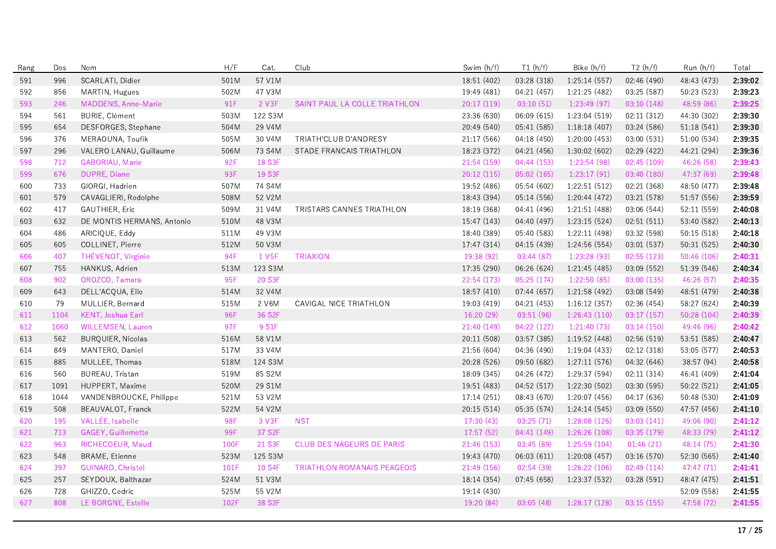| Rang | Dos  | Nom                        | H/F  | Cat.                | Club                               | Swim (h/f)  | T1(h/f)     | Bike (h/f)    | T2(h/f)     | Run (h/f)   | Total   |
|------|------|----------------------------|------|---------------------|------------------------------------|-------------|-------------|---------------|-------------|-------------|---------|
| 591  | 996  | SCARLATI, Didier           | 501M | 57 V1M              |                                    | 18:51 (402) | 03:28 (318) | 1:25:14(557)  | 02:46 (490) | 48:43 (473) | 2:39:02 |
| 592  | 856  | MARTIN, Hugues             | 502M | 47 V3M              |                                    | 19:49 (481) | 04:21 (457) | 1:21:25 (482) | 03:25 (587) | 50:23 (523) | 2:39:23 |
| 593  | 246  | MADDENS, Anne-Marie        | 91F  | 2 V3F               | SAINT PAUL LA COLLE TRIATHLON      | 20:17 (119) | 03:10(51)   | 1:23:49(97)   | 03:10 (148) | 48:59 (86)  | 2:39:25 |
| 594  | 561  | <b>BURIE, Clément</b>      | 503M | 122 S3M             |                                    | 23:36 (630) | 06:09 (615) | 1:23:04 (519) | 02:11 (312) | 44:30 (302) | 2:39:30 |
| 595  | 654  | DESFORGES, Stephane        | 504M | 29 V4M              |                                    | 20:49 (540) | 05:41 (585) | 1:18:18(407)  | 03:24 (586) | 51:18 (541) | 2:39:30 |
| 596  | 376  | MERAOUNA, Toufik           | 505M | 30 V4M              | TRIATH'CLUB D'ANDRESY              | 21:17 (566) | 04:18 (450) | 1:20:00(453)  | 03:00 (531) | 51:00 (534) | 2:39:35 |
| 597  | 296  | VALERO LANAU, Guillaume    | 506M | 73 S4M              | STADE FRANCAIS TRIATHLON           | 18:23 (372) | 04:21 (456) | 1:30:02 (602) | 02:29 (422) | 44:21 (294) | 2:39:36 |
| 598  | 712  | GABORIAU, Marie            | 92F  | 18 S3F              |                                    | 21:54 (159) | 04:44 (153) | 1:23:54 (98)  | 02:45 (109) | 46:26 (58)  | 2:39:43 |
| 599  | 676  | DUPRE, Diane               | 93F  | 19 S3F              |                                    | 20:12(115)  | 05:02(165)  | 1:23:17(91)   | 03:40 (180) | 47:37 (69)  | 2:39:48 |
| 600  | 733  | GIORGI, Hadrien            | 507M | 74 S4M              |                                    | 19:52 (486) | 05:54 (602) | 1:22:51(512)  | 02:21 (368) | 48:50 (477) | 2:39:48 |
| 601  | 579  | CAVAGLIERI, Rodolphe       | 508M | 52 V2M              |                                    | 18:43 (394) | 05:14 (556) | 1:20:44 (472) | 03:21 (578) | 51:57 (556) | 2:39:59 |
| 602  | 417  | <b>GAUTHIER, Eric</b>      | 509M | 31 V4M              | TRISTARS CANNES TRIATHLON          | 18:19 (368) | 04:41 (496) | 1:21:51(488)  | 03:06 (544) | 52:11 (559) | 2:40:08 |
| 603  | 632  | DE MONTIS HERMANS, Antonio | 510M | 48 V3M              |                                    | 15:47 (143) | 04:40 (497) | 1:23:15(524)  | 02:51(511)  | 53:40 (582) | 2:40:13 |
| 604  | 486  | ARICIQUE, Eddy             | 511M | 49 V3M              |                                    | 18:40 (389) | 05:40 (583) | 1:22:11 (498) | 03:32 (598) | 50:15 (518) | 2:40:18 |
| 605  | 605  | COLLINET, Pierre           | 512M | 50 V3M              |                                    | 17:47 (314) | 04:15 (439) | 1:24:56 (554) | 03:01 (537) | 50:31 (525) | 2:40:30 |
| 606  | 407  | THÉVENOT, Virginie         | 94F  | 1 V <sub>5F</sub>   | <b>TRIAXION</b>                    | 19:38 (92)  | 03:44(87)   | 1:23:28(93)   | 02:55(123)  | 50:46(106)  | 2:40:31 |
| 607  | 755  | HANKUS, Adrien             | 513M | 123 S3M             |                                    | 17:35 (290) | 06:26 (624) | 1:21:45 (485) | 03:09 (552) | 51:39 (546) | 2:40:34 |
| 608  | 902  | OROZCO, Tamara             | 95F  | 20 S3F              |                                    | 22:54 (173) | 05:25 (174) | 1:22:50(85)   | 03:00 (135) | 46:26 (57)  | 2:40:35 |
| 609  | 643  | DELL'ACQUA, Elio           | 514M | 32 V4M              |                                    | 18:57 (410) | 07:44(657)  | 1:21:58 (492) | 03:08 (549) | 48:51 (479) | 2:40:38 |
| 610  | 79   | MULLIER, Bernard           | 515M | 2 V6M               | CAVIGAL NICE TRIATHLON             | 19:03 (419) | 04:21 (453) | 1:16:12(357)  | 02:36 (454) | 58:27 (624) | 2:40:39 |
| 611  | 1104 | <b>KENT, Joshua Earl</b>   | 96F  | 36 S2F              |                                    | 16:20 (29)  | 03:51 (96)  | 1:26:43(110)  | 03:17(157)  | 50:28 (104) | 2:40:39 |
| 612  | 1060 | WILLEMSEN, Lauren          | 97F  | 9 S1F               |                                    | 21:40 (149) | 04:22(127)  | 1:21:40(73)   | 03:14(150)  | 49:46 (96)  | 2:40:42 |
| 613  | 562  | <b>BURQUIER, Nicolas</b>   | 516M | 58 V1M              |                                    | 20:11 (508) | 03:57 (385) | 1:19:52(448)  | 02:56 (519) | 53:51 (585) | 2:40:47 |
| 614  | 849  | MANTERO, Daniel            | 517M | 33 V4M              |                                    | 21:56 (604) | 04:36 (490) | 1:19:04(433)  | 02:12 (318) | 53:05 (577) | 2:40:53 |
| 615  | 885  | MULLEE, Thomas             | 518M | 124 S3M             |                                    | 20:28 (526) | 09:50 (682) | 1:27:11(576)  | 04:32 (646) | 38:57 (94)  | 2:40:58 |
| 616  | 560  | BUREAU, Tristan            | 519M | 85 S2M              |                                    | 18:09 (345) | 04:26 (472) | 1:29:37 (594) | 02:11 (314) | 46:41 (409) | 2:41:04 |
| 617  | 1091 | HUPPERT, Maxime            | 520M | 29 S1M              |                                    | 19:51 (483) | 04:52 (517) | 1:22:30 (502) | 03:30 (595) | 50:22 (521) | 2:41:05 |
| 618  | 1044 | VANDENBROUCKE, Philippe    | 521M | 53 V2M              |                                    | 17:14 (251) | 08:43 (670) | 1:20:07 (456) | 04:17 (636) | 50:48 (530) | 2:41:09 |
| 619  | 508  | BEAUVALOT, Franck          | 522M | 54 V2M              |                                    | 20:15 (514) | 05:35 (574) | 1:24:14(545)  | 03:09 (550) | 47:57 (456) | 2:41:10 |
| 620  | 195  | VALLÉE, Isabelle           | 98F  | 3 V3F               | <b>NST</b>                         | 17:30(43)   | 03:25(71)   | 1:28:08 (126) | 03:03(141)  | 49:06 (90)  | 2:41:12 |
| 621  | 713  | GAGEY, Guillemette         | 99F  | 37 S <sub>2</sub> F |                                    | 17:57(52)   | 04:41 (149) | 1:26:26(108)  | 03:35 (179) | 48:33 (79)  | 2:41:12 |
| 622  | 963  | RICHECOEUR, Maud           | 100F | 21 S3F              | CLUB DES NAGEURS DE PARIS          | 21:46 (153) | 03:45(89)   | 1:25:59(104)  | 01:46(21)   | 48:14 (75)  | 2:41:30 |
| 623  | 548  | <b>BRAME, Etienne</b>      | 523M | 125 S3M             |                                    | 19:43 (470) | 06:03(611)  | 1:20:08(457)  | 03:16 (570) | 52:30 (565) | 2:41:40 |
| 624  | 397  | <b>GUINARD, Christel</b>   | 101F | 10 S4F              | <b>TRIATHLON ROMANAIS PEAGEOIS</b> | 21:49 (156) | 02:54(39)   | 1:26:22(106)  | 02:49(114)  | 47:47 (71)  | 2:41:41 |
| 625  | 257  | SEYDOUX, Balthazar         | 524M | 51 V3M              |                                    | 18:14 (354) | 07:45 (658) | 1:23:37 (532) | 03:28 (591) | 48:47 (475) | 2:41:51 |
| 626  | 728  | GHIZZO, Cedric             | 525M | 55 V2M              |                                    | 19:14 (430) |             |               |             | 52:09 (558) | 2:41:55 |
| 627  | 808  | LE BORGNE, Estelle         | 102F | 38 S <sub>2F</sub>  |                                    | 19:20 (84)  | 03:05(48)   | 1:28:17(128)  | 03:15(155)  | 47:58 (72)  | 2:41:55 |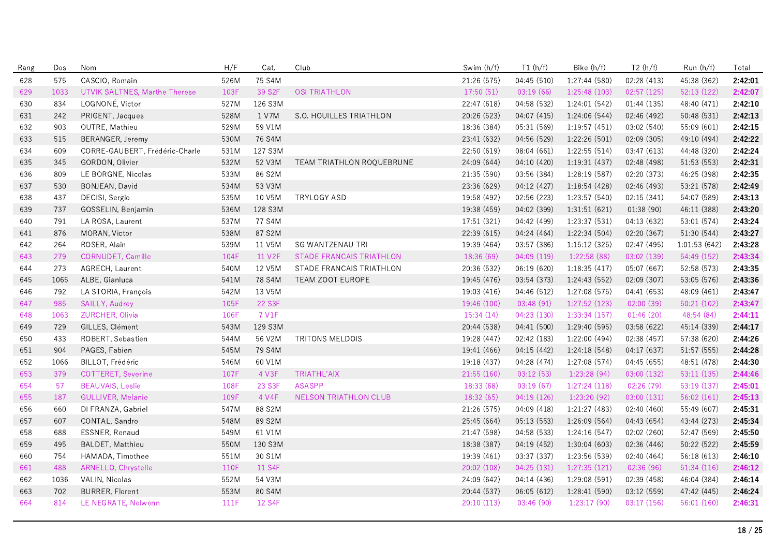| Rang | Dos  | Nom                            | H/F  | Cat.    | Club                      | Swim (h/f)  | T1(h/f)     | Bike (h/f)    | T2(h/f)     | Run (h/f)    | Total   |
|------|------|--------------------------------|------|---------|---------------------------|-------------|-------------|---------------|-------------|--------------|---------|
| 628  | 575  | CASCIO, Romain                 | 526M | 75 S4M  |                           | 21:26 (575) | 04:45 (510) | 1:27:44 (580) | 02:28 (413) | 45:38 (362)  | 2:42:01 |
| 629  | 1033 | UTVIK SALTNES, Marthe Therese  | 103F | 39 S2F  | <b>OSI TRIATHLON</b>      | 17:50(51)   | 03:19(66)   | 1:25:48 (103) | 02:57(125)  | 52:13 (122)  | 2:42:07 |
| 630  | 834  | LOGNONÉ, Victor                | 527M | 126 S3M |                           | 22:47 (618) | 04:58 (532) | 1:24:01 (542) | 01:44(135)  | 48:40 (471)  | 2:42:10 |
| 631  | 242  | PRIGENT, Jacques               | 528M | 1 V7M   | S.O. HOUILLES TRIATHLON   | 20:26 (523) | 04:07 (415) | 1:24:06 (544) | 02:46 (492) | 50:48 (531)  | 2:42:13 |
| 632  | 903  | OUTRE, Mathieu                 | 529M | 59 V1M  |                           | 18:36 (384) | 05:31 (569) | 1:19:57(451)  | 03:02 (540) | 55:09 (601)  | 2:42:15 |
| 633  | 515  | BERANGER, Jeremy               | 530M | 76 S4M  |                           | 23:41 (632) | 04:56 (529) | 1:22:26(501)  | 02:09(305)  | 49:10 (494)  | 2:42:22 |
| 634  | 609  | CORRE-GAUBERT, Frédéric-Charle | 531M | 127 S3M |                           | 22:50 (619) | 08:04 (661) | 1:22:55(514)  | 03:47 (613) | 44:48 (320)  | 2:42:24 |
| 635  | 345  | GORDON, Olivier                | 532M | 52 V3M  | TEAM TRIATHLON ROQUEBRUNE | 24:09 (644) | 04:10 (420) | 1:19:31(437)  | 02:48 (498) | 51:53 (553)  | 2:42:31 |
| 636  | 809  | LE BORGNE, Nicolas             | 533M | 86 S2M  |                           | 21:35 (590) | 03:56 (384) | 1:28:19(587)  | 02:20 (373) | 46:25 (398)  | 2:42:35 |
| 637  | 530  | BONJEAN, David                 | 534M | 53 V3M  |                           | 23:36 (629) | 04:12 (427) | 1:18:54(428)  | 02:46 (493) | 53:21 (578)  | 2:42:49 |
| 638  | 437  | DECISI, Sergio                 | 535M | 10 V5M  | <b>TRYLOGY ASD</b>        | 19:58 (492) | 02:56 (223) | 1:23:57(540)  | 02:15 (341) | 54:07 (589)  | 2:43:13 |
| 639  | 737  | GOSSELIN, Benjamin             | 536M | 128 S3M |                           | 19:38 (459) | 04:02 (399) | 1:31:51(621)  | 01:38(90)   | 46:11 (388)  | 2:43:20 |
| 640  | 791  | LA ROSA, Laurent               | 537M | 77 S4M  |                           | 17:51 (321) | 04:42 (499) | 1:23:37(531)  | 04:13 (632) | 53:01 (574)  | 2:43:24 |
| 641  | 876  | MORAN, Victor                  | 538M | 87 S2M  |                           | 22:39 (615) | 04:24 (464) | 1:22:34 (504) | 02:20 (367) | 51:30 (544)  | 2:43:27 |
| 642  | 264  | ROSER, Alain                   | 539M | 11 V5M  | <b>SG WANTZENAU TRI</b>   | 19:39 (464) | 03:57 (386) | 1:15:12(325)  | 02:47 (495) | 1:01:53(642) | 2:43:28 |
| 643  | 279  | CORNUDET, Camille              | 104F | 11 V2F  | STADE FRANCAIS TRIATHLON  | 18:36 (69)  | 04:09(119)  | 1:22:58(88)   | 03:02 (139) | 54:49 (152)  | 2:43:34 |
| 644  | 273  | AGRECH, Laurent                | 540M | 12 V5M  | STADE FRANCAIS TRIATHLON  | 20:36 (532) | 06:19 (620) | 1:18:35(417)  | 05:07 (667) | 52:58 (573)  | 2:43:35 |
| 645  | 1065 | ALBE, Gianluca                 | 541M | 78 S4M  | TEAM ZOOT EUROPE          | 19:45 (476) | 03:54 (373) | 1:24:43 (552) | 02:09 (307) | 53:05 (576)  | 2:43:36 |
| 646  | 792  | LA STORIA, François            | 542M | 13 V5M  |                           | 19:03 (416) | 04:46 (512) | 1:27:08 (575) | 04:41 (653) | 48:09 (461)  | 2:43:47 |
| 647  | 985  | SAILLY, Audrey                 | 105F | 22 S3F  |                           | 19:46 (100) | 03:48(91)   | 1:27:52(123)  | 02:00(39)   | 50:21(102)   | 2:43:47 |
| 648  | 1063 | ZURCHER, Olivia                | 106F | 7 V1F   |                           | 15:34(14)   | 04:23 (130) | 1:33:34(157)  | 01:46(20)   | 48:54 (84)   | 2:44:11 |
| 649  | 729  | GILLES, Clément                | 543M | 129 S3M |                           | 20:44 (538) | 04:41 (500) | 1:29:40 (595) | 03:58 (622) | 45:14 (339)  | 2:44:17 |
| 650  | 433  | ROBERT, Sebastien              | 544M | 56 V2M  | <b>TRITONS MELDOIS</b>    | 19:28 (447) | 02:42 (183) | 1:22:00(494)  | 02:38(457)  | 57:38 (620)  | 2:44:26 |
| 651  | 904  | PAGES, Fabien                  | 545M | 79 S4M  |                           | 19:41 (466) | 04:15 (442) | 1:24:18 (548) | 04:17 (637) | 51:57 (555)  | 2:44:28 |
| 652  | 1066 | BILLOT, Frédéric               | 546M | 60 V1M  |                           | 19:18 (437) | 04:28 (474) | 1:27:08(574)  | 04:45 (655) | 48:51 (478)  | 2:44:30 |
| 653  | 379  | <b>COTTERET, Severine</b>      | 107F | 4 V3F   | TRIATHL'AIX               | 21:55(160)  | 03:12(53)   | 1:23:28 (94)  | 03:00 (132) | 53:11 (135)  | 2:44:46 |
| 654  | 57   | <b>BEAUVAIS, Leslie</b>        | 108F | 23 S3F  | <b>ASASPP</b>             | 18:33 (68)  | 03:19(67)   | 1:27:24 (118) | 02:26 (79)  | 53:19 (137)  | 2:45:01 |
| 655  | 187  | <b>GULLIVER, Melanie</b>       | 109F | 4 V4F   | NELSON TRIATHLON CLUB     | 18:32(65)   | 04:19 (126) | 1:23:20(92)   | 03:00(131)  | 56:02(161)   | 2:45:13 |
| 656  | 660  | DI FRANZA, Gabriel             | 547M | 88 S2M  |                           | 21:26 (575) | 04:09 (418) | 1:21:27 (483) | 02:40 (460) | 55:49 (607)  | 2:45:31 |
| 657  | 607  | CONTAL, Sandro                 | 548M | 89 S2M  |                           | 25:45 (664) | 05:13 (553) | 1:26:09(564)  | 04:43 (654) | 43:44 (273)  | 2:45:34 |
| 658  | 688  | ESSNER, Renaud                 | 549M | 61 V1M  |                           | 21:47 (598) | 04:58 (533) | 1:24:16 (547) | 02:02 (260) | 52:47 (569)  | 2:45:50 |
| 659  | 495  | <b>BALDET, Matthieu</b>        | 550M | 130 S3M |                           | 18:38 (387) | 04:19 (452) | 1:30:04(603)  | 02:36 (446) | 50:22 (522)  | 2:45:59 |
| 660  | 754  | HAMADA, Timothee               | 551M | 30 S1M  |                           | 19:39 (461) | 03:37 (337) | 1:23:56 (539) | 02:40 (464) | 56:18 (613)  | 2:46:10 |
| 661  | 488  | ARNELLO, Chrystelle            | 110F | 11 S4F  |                           | 20:02 (108) | 04:25(131)  | 1:27:35 (121) | 02:36 (96)  | 51:34 (116)  | 2:46:12 |
| 662  | 1036 | VALIN, Nicolas                 | 552M | 54 V3M  |                           | 24:09 (642) | 04:14 (436) | 1:29:08 (591) | 02:39 (458) | 46:04 (384)  | 2:46:14 |
| 663  | 702  | <b>BURRER, Florent</b>         | 553M | 80 S4M  |                           | 20:44 (537) | 06:05 (612) | 1:28:41 (590) | 03:12 (559) | 47:42 (445)  | 2:46:24 |
| 664  | 814  | LE NEGRATE, Nolwenn            | 111F | 12 S4F  |                           | 20:10(113)  | 03:46 (90)  | 1:23:17(90)   | 03:17 (156) | 56:01 (160)  | 2:46:31 |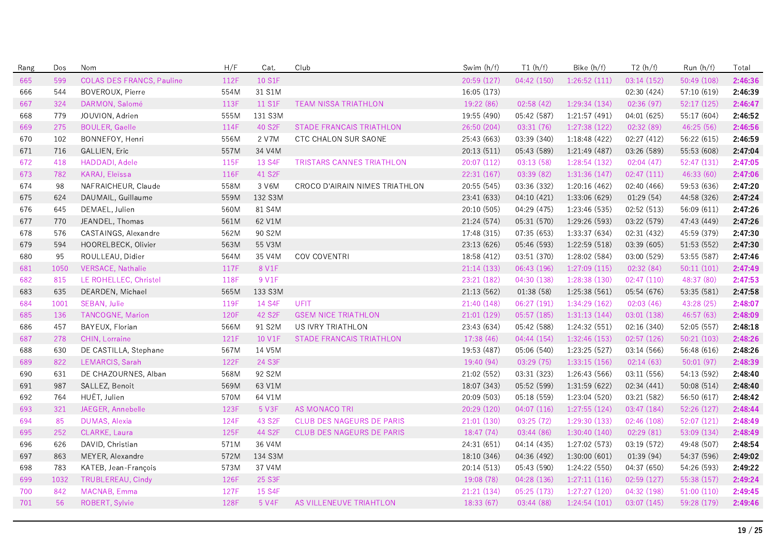| Rang | Dos  | Nom                              | H/F  | Cat.                | Club                             | Swim (h/f)  | T1(h/f)     | Bike (h/f)    | T2(h/f)     | Run(h/f)    | Total   |
|------|------|----------------------------------|------|---------------------|----------------------------------|-------------|-------------|---------------|-------------|-------------|---------|
| 665  | 599  | <b>COLAS DES FRANCS, Pauline</b> | 112F | 10 S1F              |                                  | 20:59 (127) | 04:42 (150) | 1:26:52(111)  | 03:14(152)  | 50:49 (108) | 2:46:36 |
| 666  | 544  | BOVEROUX, Pierre                 | 554M | 31 S1M              |                                  | 16:05 (173) |             |               | 02:30 (424) | 57:10 (619) | 2:46:39 |
| 667  | 324  | DARMON, Salomé                   | 113F | 11 S1F              | <b>TEAM NISSA TRIATHLON</b>      | 19:22 (86)  | 02:58(42)   | 1:29:34 (134) | 02:36 (97)  | 52:17 (125) | 2:46:47 |
| 668  | 779  | JOUVION, Adrien                  | 555M | 131 S3M             |                                  | 19:55 (490) | 05:42 (587) | 1:21:57(491)  | 04:01 (625) | 55:17 (604) | 2:46:52 |
| 669  | 275  | <b>BOULER, Gaelle</b>            | 114F | 40 S2F              | STADE FRANCAIS TRIATHLON         | 26:50 (204) | 03:31(76)   | 1:27:38 (122) | 02:32 (89)  | 46:25 (56)  | 2:46:56 |
| 670  | 102  | BONNEFOY, Henri                  | 556M | 2 V7M               | CTC CHALON SUR SAONE             | 25:43 (663) | 03:39 (340) | 1:18:48 (422) | 02:27 (412) | 56:22 (615) | 2:46:59 |
| 671  | 716  | GALLIEN, Eric                    | 557M | 34 V4M              |                                  | 20:13 (511) | 05:43 (589) | 1:21:49 (487) | 03:26 (589) | 55:53 (608) | 2:47:04 |
| 672  | 418  | HADDADI, Adele                   | 115F | 13 S4F              | <b>TRISTARS CANNES TRIATHLON</b> | 20:07 (112) | 03:13(58)   | 1:28:54(132)  | 02:04(47)   | 52:47 (131) | 2:47:05 |
| 673  | 782  | KARAJ, Eleïssa                   | 116F | 41 S2F              |                                  | 22:31 (167) | 03:39(82)   | 1:31:36(147)  | 02:47(111)  | 46:33 (60)  | 2:47:06 |
| 674  | 98   | NAFRAICHEUR, Claude              | 558M | 3 V6M               | CROCO D'AIRAIN NIMES TRIATHLON   | 20:55 (545) | 03:36 (332) | 1:20:16(462)  | 02:40 (466) | 59:53 (636) | 2:47:20 |
| 675  | 624  | DAUMAIL, Guillaume               | 559M | 132 S3M             |                                  | 23:41 (633) | 04:10 (421) | 1:33:06 (629) | 01:29(54)   | 44:58 (326) | 2:47:24 |
| 676  | 645  | DEMAEL, Julien                   | 560M | 81 S4M              |                                  | 20:10 (505) | 04:29 (475) | 1:23:46 (535) | 02:52 (513) | 56:09 (611) | 2:47:26 |
| 677  | 770  | JEANDEL, Thomas                  | 561M | 62 V1M              |                                  | 21:24 (574) | 05:31 (570) | 1:29:26 (593) | 03:22 (579) | 47:43 (449) | 2:47:26 |
| 678  | 576  | CASTAINGS, Alexandre             | 562M | 90 S2M              |                                  | 17:48 (315) | 07:35 (653) | 1:33:37(634)  | 02:31 (432) | 45:59 (379) | 2:47:30 |
| 679  | 594  | HOORELBECK, Olivier              | 563M | 55 V3M              |                                  | 23:13 (626) | 05:46 (593) | 1:22:59(518)  | 03:39 (605) | 51:53 (552) | 2:47:30 |
| 680  | 95   | ROULLEAU, Didier                 | 564M | 35 V4M              | COV COVENTRI                     | 18:58 (412) | 03:51 (370) | 1:28:02 (584) | 03:00 (529) | 53:55 (587) | 2:47:46 |
| 681  | 1050 | <b>VERSACE, Nathalie</b>         | 117F | 8 V1F               |                                  | 21:14(133)  | 06:43 (196) | 1:27:09(115)  | 02:32(84)   | 50:11(101)  | 2:47:49 |
| 682  | 815  | LE ROHELLEC, Christel            | 118F | 9 V1F               |                                  | 23:21 (182) | 04:30 (138) | 1:28:38(130)  | 02:47(110)  | 48:37 (80)  | 2:47:53 |
| 683  | 635  | DEARDEN, Michael                 | 565M | 133 S3M             |                                  | 21:13 (562) | 01:38(58)   | 1:25:38 (561) | 05:54 (676) | 53:35 (581) | 2:47:58 |
| 684  | 1001 | SEBAN, Julie                     | 119F | 14 S4F              | UFIT                             | 21:40 (148) | 06:27(191)  | 1:34:29 (162) | 02:03(46)   | 43:28 (25)  | 2:48:07 |
| 685  | 136  | TANCOGNE, Marion                 | 120F | 42 S <sub>2</sub> F | <b>GSEM NICE TRIATHLON</b>       | 21:01(129)  | 05:57(185)  | 1:31:13(144)  | 03:01(138)  | 46:57 (63)  | 2:48:09 |
| 686  | 457  | BAYEUX, Florian                  | 566M | 91 S2M              | US IVRY TRIATHLON                | 23:43 (634) | 05:42 (588) | 1:24:32 (551) | 02:16 (340) | 52:05 (557) | 2:48:18 |
| 687  | 278  | CHIN, Lorraine                   | 121F | 10 V1F              | <b>STADE FRANCAIS TRIATHLON</b>  | 17:38 (46)  | 04:44(154)  | 1:32:46 (153) | 02:57 (126) | 50:21(103)  | 2:48:26 |
| 688  | 630  | DE CASTILLA, Stephane            | 567M | 14 V5M              |                                  | 19:53 (487) | 05:06 (540) | 1:23:25 (527) | 03:14 (566) | 56:48 (616) | 2:48:26 |
| 689  | 822  | LEMARCIS, Sarah                  | 122F | 24 S3F              |                                  | 19:40 (94)  | 03:29(75)   | 1:33:15(156)  | 02:14(63)   | 50:01(97)   | 2:48:39 |
| 690  | 631  | DE CHAZOURNES, Alban             | 568M | 92 S2M              |                                  | 21:02 (552) | 03:31 (323) | 1:26:43 (566) | 03:11 (556) | 54:13 (592) | 2:48:40 |
| 691  | 987  | SALLEZ, Benoit                   | 569M | 63 V1M              |                                  | 18:07 (343) | 05:52 (599) | 1:31:59 (622) | 02:34 (441) | 50:08 (514) | 2:48:40 |
| 692  | 764  | HUËT, Julien                     | 570M | 64 V1M              |                                  | 20:09 (503) | 05:18 (559) | 1:23:04 (520) | 03:21 (582) | 56:50 (617) | 2:48:42 |
| 693  | 321  | JAEGER, Annebelle                | 123F | 5 V3F               | <b>AS MONACO TRI</b>             | 20:29 (120) | 04:07(116)  | 1:27:55(124)  | 03:47 (184) | 52:26 (127) | 2:48:44 |
| 694  | 85   | <b>DUMAS, Alexia</b>             | 124F | 43 S2F              | <b>CLUB DES NAGEURS DE PARIS</b> | 21:01(130)  | 03:25 (72)  | 1:29:30 (133) | 02:46 (108) | 52:07 (121) | 2:48:49 |
| 695  | 252  | CLARKE, Laura                    | 125F | 44 S2F              | <b>CLUB DES NAGEURS DE PARIS</b> | 18:47 (74)  | 03:44(86)   | 1:30:40(140)  | 02:29(81)   | 53:09 (134) | 2:48:49 |
| 696  | 626  | DAVID, Christian                 | 571M | 36 V4M              |                                  | 24:31 (651) | 04:14 (435) | 1:27:02 (573) | 03:19 (572) | 49:48 (507) | 2:48:54 |
| 697  | 863  | MEYER, Alexandre                 | 572M | 134 S3M             |                                  | 18:10 (346) | 04:36 (492) | 1:30:00(601)  | 01:39 (94)  | 54:37 (596) | 2:49:02 |
| 698  | 783  | KATEB, Jean-François             | 573M | 37 V4M              |                                  | 20:14 (513) | 05:43 (590) | 1:24:22 (550) | 04:37 (650) | 54:26 (593) | 2:49:22 |
| 699  | 1032 | TRUBLEREAU, Cindy                | 126F | 25 S3F              |                                  | 19:08 (78)  | 04:28 (136) | 1:27:11(116)  | 02:59(127)  | 55:38 (157) | 2:49:24 |
| 700  | 842  | MACNAB, Emma                     | 127F | 15 S4F              |                                  | 21:21 (134) | 05:25(173)  | 1:27:27 (120) | 04:32 (198) | 51:00(110)  | 2:49:45 |
| 701  | 56   | ROBERT, Sylvie                   | 128F | 5 V4F               | AS VILLENEUVE TRIAHTLON          | 18:33 (67)  | 03:44 (88)  | 1:24:54(101)  | 03:07 (145) | 59:28 (179) | 2:49:46 |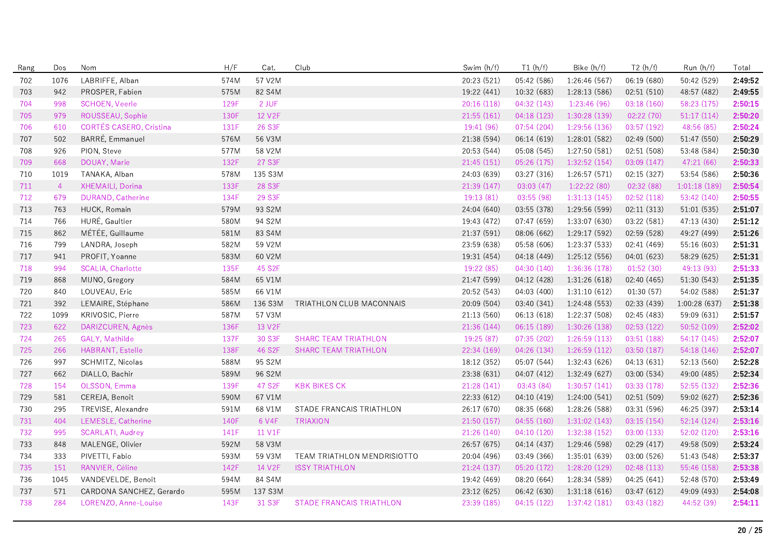| Rang | Dos            | Nom                      | H/F  | Cat.                | Club                            | Swim (h/f)  | T1(h/f)     | Bike (h/f)    | T2(h/f)     | Run (h/f)     | Total   |
|------|----------------|--------------------------|------|---------------------|---------------------------------|-------------|-------------|---------------|-------------|---------------|---------|
| 702  | 1076           | LABRIFFE, Alban          | 574M | 57 V2M              |                                 | 20:23 (521) | 05:42 (586) | 1:26:46 (567) | 06:19 (680) | 50:42 (529)   | 2:49:52 |
| 703  | 942            | PROSPER, Fabien          | 575M | 82 S4M              |                                 | 19:22 (441) | 10:32 (683) | 1:28:13 (586) | 02:51 (510) | 48:57 (482)   | 2:49:55 |
| 704  | 998            | <b>SCHOEN, Veerle</b>    | 129F | 2 JUF               |                                 | 20:16(118)  | 04:32(143)  | 1:23:46(96)   | 03:18(160)  | 58:23 (175)   | 2:50:15 |
| 705  | 979            | ROUSSEAU, Sophie         | 130F | 12 V <sub>2</sub> F |                                 | 21:55(161)  | 04:18 (123) | 1:30:28 (139) | 02:22 (70)  | 51:17(114)    | 2:50:20 |
| 706  | 610            | CORTÉS CASERO, Cristina  | 131F | 26 S3F              |                                 | 19:41 (96)  | 07:54 (204) | 1:29:56 (136) | 03:57 (192) | 48:56 (85)    | 2:50:24 |
| 707  | 502            | BARRÉ, Emmanuel          | 576M | 56 V3M              |                                 | 21:38 (594) | 06:14 (619) | 1:28:01 (582) | 02:49 (500) | 51:47 (550)   | 2:50:29 |
| 708  | 926            | PION, Steve              | 577M | 58 V2M              |                                 | 20:53 (544) | 05:08 (545) | 1:27:50 (581) | 02:51 (508) | 53:48 (584)   | 2:50:30 |
| 709  | 668            | DOUAY, Marie             | 132F | 27 S3F              |                                 | 21:45 (151) | 05:26 (175) | 1:32:52(154)  | 03:09 (147) | 47:21 (66)    | 2:50:33 |
| 710  | 1019           | TANAKA, Alban            | 578M | 135 S3M             |                                 | 24:03 (639) | 03:27 (316) | 1:26:57(571)  | 02:15 (327) | 53:54 (586)   | 2:50:36 |
| 711  | $\overline{4}$ | XHEMAILI, Dorina         | 133F | 28 S3F              |                                 | 21:39(147)  | 03:03(47)   | 1:22:22(80)   | 02:32 (88)  | 1:01:18(189)  | 2:50:54 |
| 712  | 679            | DURAND, Catherine        | 134F | 29 S3F              |                                 | 19:13 (81)  | 03:55(98)   | 1:31:13(145)  | 02:52(118)  | 53:42 (140)   | 2:50:55 |
| 713  | 763            | HUCK, Romain             | 579M | 93 S2M              |                                 | 24:04 (640) | 03:55 (378) | 1:29:56 (599) | 02:11(313)  | 51:01(535)    | 2:51:07 |
| 714  | 766            | HURÉ, Gaultier           | 580M | 94 S2M              |                                 | 19:43 (472) | 07:47 (659) | 1:33:07 (630) | 03:22 (581) | 47:13 (430)   | 2:51:12 |
| 715  | 862            | MÉTÉE, Guillaume         | 581M | 83 S4M              |                                 | 21:37 (591) | 08:06 (662) | 1:29:17 (592) | 02:59 (528) | 49:27 (499)   | 2:51:26 |
| 716  | 799            | LANDRA, Joseph           | 582M | 59 V2M              |                                 | 23:59 (638) | 05:58 (606) | 1:23:37 (533) | 02:41 (469) | 55:16 (603)   | 2:51:31 |
| 717  | 941            | PROFIT, Yoanne           | 583M | 60 V2M              |                                 | 19:31 (454) | 04:18 (449) | 1:25:12(556)  | 04:01 (623) | 58:29 (625)   | 2:51:31 |
| 718  | 994            | SCALIA, Charlotte        | 135F | 45 S2F              |                                 | 19:22 (85)  | 04:30(140)  | 1:36:36 (178) | 01:52(30)   | 49:13 (93)    | 2:51:33 |
| 719  | 868            | MIJNO, Gregory           | 584M | 65 V1M              |                                 | 21:47 (599) | 04:12 (428) | 1:31:26 (618) | 02:40 (465) | 51:30 (543)   | 2:51:35 |
| 720  | 840            | LOUVEAU, Eric            | 585M | 66 V1M              |                                 | 20:52 (543) | 04:03 (400) | 1:31:10(612)  | 01:30(57)   | 54:02 (588)   | 2:51:37 |
| 721  | 392            | LEMAIRE, Stéphane        | 586M | 136 S3M             | TRIATHLON CLUB MACONNAIS        | 20:09 (504) | 03:40 (341) | 1:24:48 (553) | 02:33 (439) | 1:00:28 (637) | 2:51:38 |
| 722  | 1099           | KRIVOSIC, Pierre         | 587M | 57 V3M              |                                 | 21:13 (560) | 06:13 (618) | 1:22:37 (508) | 02:45 (483) | 59:09 (631)   | 2:51:57 |
| 723  | 622            | DARIZCUREN, Agnès        | 136F | 13 V2F              |                                 | 21:36 (144) | 06:15(189)  | 1:30:26 (138) | 02:53(122)  | 50:52(109)    | 2:52:02 |
| 724  | 265            | GALY, Mathilde           | 137F | 30 S3F              | <b>SHARC TEAM TRIATHLON</b>     | 19:25 (87)  | 07:35(202)  | 1:26:59(113)  | 03:51(188)  | 54:17 (145)   | 2:52:07 |
| 725  | 266            | HABRANT, Estelle         | 138F | 46 S2F              | <b>SHARC TEAM TRIATHLON</b>     | 22:34 (169) | 04:26 (134) | 1:26:59(112)  | 03:50 (187) | 54:18 (146)   | 2:52:07 |
| 726  | 997            | SCHMITZ, Nicolas         | 588M | 95 S2M              |                                 | 18:12 (352) | 05:07 (544) | 1:32:43 (626) | 04:13 (631) | 52:13 (560)   | 2:52:28 |
| 727  | 662            | DIALLO, Bachir           | 589M | 96 S2M              |                                 | 23:38 (631) | 04:07 (412) | 1:32:49 (627) | 03:00 (534) | 49:00 (485)   | 2:52:34 |
| 728  | 154            | OLSSON, Emma             | 139F | 47 S2F              | <b>KBK BIKES CK</b>             | 21:28 (141) | 03:43(84)   | 1:30:57(141)  | 03:33 (178) | 52:55 (132)   | 2:52:36 |
| 729  | 581            | CEREJA, Benoît           | 590M | 67 V1M              |                                 | 22:33 (612) | 04:10 (419) | 1:24:00(541)  | 02:51 (509) | 59:02 (627)   | 2:52:36 |
| 730  | 295            | TREVISE, Alexandre       | 591M | 68 V1M              | STADE FRANCAIS TRIATHLON        | 26:17 (670) | 08:35 (668) | 1:28:26 (588) | 03:31 (596) | 46:25 (397)   | 2:53:14 |
| 731  | 404            | LEMESLE, Catherine       | 140F | 6 V4F               | <b>TRIAXION</b>                 | 21:50(157)  | 04:55(160)  | 1:31:02(143)  | 03:15(154)  | 52:14(124)    | 2:53:16 |
| 732  | 995            | <b>SCARLATI, Audrey</b>  | 141F | 11 V1F              |                                 | 21:26 (140) | 04:10(120)  | 1:32:38 (152) | 03:00 (133) | 52:02 (120)   | 2:53:16 |
| 733  | 848            | MALENGE, Olivier         | 592M | 58 V3M              |                                 | 26:57 (675) | 04:14 (437) | 1:29:46 (598) | 02:29 (417) | 49:58 (509)   | 2:53:24 |
| 734  | 333            | PIVETTI, Fabio           | 593M | 59 V3M              | TEAM TRIATHLON MENDRISIOTTO     | 20:04 (496) | 03:49 (366) | 1:35:01 (639) | 03:00 (526) | 51:43 (548)   | 2:53:37 |
| 735  | 151            | RANVIER, Céline          | 142F | 14 V2F              | <b>ISSY TRIATHLON</b>           | 21:24 (137) | 05:20 (172) | 1:28:20 (129) | 02:48 (113) | 55:46 (158)   | 2:53:38 |
| 736  | 1045           | VANDEVELDE, Benoit       | 594M | 84 S4M              |                                 | 19:42 (469) | 08:20 (664) | 1:28:34 (589) | 04:25 (641) | 52:48 (570)   | 2:53:49 |
| 737  | 571            | CARDONA SANCHEZ, Gerardo | 595M | 137 S3M             |                                 | 23:12 (625) | 06:42 (630) | 1:31:18(616)  | 03:47 (612) | 49:09 (493)   | 2:54:08 |
| 738  | 284            | LORENZO, Anne-Louise     | 143F | 31 S3F              | <b>STADE FRANCAIS TRIATHLON</b> | 23:39 (185) | 04:15(122)  | 1:37:42 (181) | 03:43 (182) | 44:52 (39)    | 2:54:11 |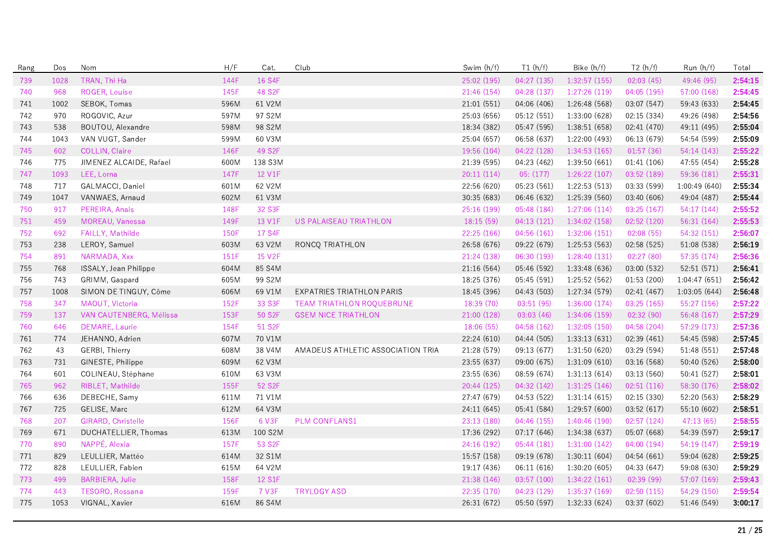| Rang | Dos  | Nom                     | H/F  | Cat.    | Club                              | Swim (h/f)  | T1(h/f)     | Bike (h/f)    | T2(h/f)     | Run (h/f)    | Total   |
|------|------|-------------------------|------|---------|-----------------------------------|-------------|-------------|---------------|-------------|--------------|---------|
| 739  | 1028 | TRAN, Thi Ha            | 144F | 16 S4F  |                                   | 25:02 (195) | 04:27 (135) | 1:32:57 (155) | 02:03(45)   | 49:46 (95)   | 2:54:15 |
| 740  | 968  | ROGER, Louise           | 145F | 48 S2F  |                                   | 21:46 (154) | 04:28 (137) | 1:27:26 (119) | 04:05 (195) | 57:00 (168)  | 2:54:45 |
| 741  | 1002 | SEBOK, Tomas            | 596M | 61 V2M  |                                   | 21:01(551)  | 04:06 (406) | 1:26:48 (568) | 03:07 (547) | 59:43 (633)  | 2:54:45 |
| 742  | 970  | ROGOVIC, Azur           | 597M | 97 S2M  |                                   | 25:03 (656) | 05:12 (551) | 1:33:00 (628) | 02:15 (334) | 49:26 (498)  | 2:54:56 |
| 743  | 538  | BOUTOU, Alexandre       | 598M | 98 S2M  |                                   | 18:34 (382) | 05:47 (595) | 1:38:51 (658) | 02:41 (470) | 49:11 (495)  | 2:55:04 |
| 744  | 1043 | VAN VUGT, Sander        | 599M | 60 V3M  |                                   | 25:04 (657) | 06:58 (637) | 1:22:00 (493) | 06:13 (679) | 54:54 (599)  | 2:55:09 |
| 745  | 602  | <b>COLLIN, Claire</b>   | 146F | 49 S2F  |                                   | 19:56 (104) | 04:22 (128) | 1:34:53 (165) | 01:57(36)   | 54:14(143)   | 2:55:22 |
| 746  | 775  | JIMENEZ ALCAIDE, Rafael | 600M | 138 S3M |                                   | 21:39 (595) | 04:23 (462) | 1:39:50 (661) | 01:41 (106) | 47:55 (454)  | 2:55:28 |
| 747  | 1093 | LEE, Lorna              | 147F | 12 V1F  |                                   | 20:11(114)  | 05: (177)   | 1:26:22(107)  | 03:52 (189) | 59:36 (181)  | 2:55:31 |
| 748  | 717  | GALMACCI, Daniel        | 601M | 62 V2M  |                                   | 22:56 (620) | 05:23(561)  | 1:22:53(513)  | 03:33 (599) | 1:00:49(640) | 2:55:34 |
| 749  | 1047 | VANWAES, Arnaud         | 602M | 61 V3M  |                                   | 30:35 (683) | 06:46 (632) | 1:25:39 (560) | 03:40 (606) | 49:04 (487)  | 2:55:44 |
| 750  | 917  | PEREIRA, Anais          | 148F | 32 S3F  |                                   | 25:16 (199) | 05:48 (184) | 1:27:06(114)  | 03:25 (167) | 54:17 (144)  | 2:55:52 |
| 751  | 459  | MOREAU, Vanessa         | 149F | 13 V1F  | US PALAISEAU TRIATHLON            | 18:15(59)   | 04:13(121)  | 1:34:02(158)  | 02:52(120)  | 56:31(164)   | 2:55:53 |
| 752  | 692  | FAILLY, Mathilde        | 150F | 17 S4F  |                                   | 22:25 (166) | 04:56(161)  | 1:32:06(151)  | 02:08(55)   | 54:32 (151)  | 2:56:07 |
| 753  | 238  | LEROY, Samuel           | 603M | 63 V2M  | RONCO TRIATHLON                   | 26:58 (676) | 09:22 (679) | 1:25:53 (563) | 02:58 (525) | 51:08 (538)  | 2:56:19 |
| 754  | 891  | NARMADA, Xxx            | 151F | 15 V2F  |                                   | 21:24 (138) | 06:30 (193) | 1:28:40(131)  | 02:27 (80)  | 57:35 (174)  | 2:56:36 |
| 755  | 768  | ISSALY, Jean Philippe   | 604M | 85 S4M  |                                   | 21:16 (564) | 05:46 (592) | 1:33:48 (636) | 03:00 (532) | 52:51 (571)  | 2:56:41 |
| 756  | 743  | GRIMM, Gaspard          | 605M | 99 S2M  |                                   | 18:25 (376) | 05:45 (591) | 1:25:52 (562) | 01:53 (200) | 1:04:47(651) | 2:56:42 |
| 757  | 1008 | SIMON DE TINGUY, Côme   | 606M | 69 V1M  | EXPATRIES TRIATHLON PARIS         | 18:45 (396) | 04:43 (503) | 1:27:34 (579) | 02:41 (467) | 1:03:05(644) | 2:56:48 |
| 758  | 347  | MAOUT, Victoria         | 152F | 33 S3F  | <b>TEAM TRIATHLON ROOUEBRUNE</b>  | 18:39 (70)  | 03:51(95)   | 1:36:00(174)  | 03:25(165)  | 55:27 (156)  | 2:57:22 |
| 759  | 137  | VAN CAUTENBERG, Mélissa | 153F | 50 S2F  | <b>GSEM NICE TRIATHLON</b>        | 21:00 (128) | 03:03(46)   | 1:34:06 (159) | 02:32 (90)  | 56:48 (167)  | 2:57:29 |
| 760  | 646  | DEMARE, Laurie          | 154F | 51 S2F  |                                   | 18:06 (55)  | 04:58 (162) | 1:32:05(150)  | 04:58 (204) | 57:29 (173)  | 2:57:36 |
| 761  | 774  | JEHANNO, Adrien         | 607M | 70 V1M  |                                   | 22:24 (610) | 04:44 (505) | 1:33:13(631)  | 02:39 (461) | 54:45 (598)  | 2:57:45 |
| 762  | 43   | GERBI, Thierry          | 608M | 38 V4M  | AMADEUS ATHLETIC ASSOCIATION TRIA | 21:28 (579) | 09:13 (677) | 1:31:50 (620) | 03:29 (594) | 51:48 (551)  | 2:57:48 |
| 763  | 731  | GINESTE, Philippe       | 609M | 62 V3M  |                                   | 23:55 (637) | 09:00 (675) | 1:31:09(610)  | 03:16 (568) | 50:40 (526)  | 2:58:00 |
| 764  | 601  | COLINEAU, Stéphane      | 610M | 63 V3M  |                                   | 23:55 (636) | 08:59 (674) | 1:31:13(614)  | 03:13 (560) | 50:41 (527)  | 2:58:01 |
| 765  | 962  | RIBLET, Mathilde        | 155F | 52 S2F  |                                   | 20:44 (125) | 04:32 (142) | 1:31:25(146)  | 02:51(116)  | 58:30 (176)  | 2:58:02 |
| 766  | 636  | DEBECHE, Samy           | 611M | 71 V1M  |                                   | 27:47 (679) | 04:53 (522) | 1:31:14(615)  | 02:15 (330) | 52:20 (563)  | 2:58:29 |
| 767  | 725  | GELISE, Marc            | 612M | 64 V3M  |                                   | 24:11 (645) | 05:41 (584) | 1:29:57 (600) | 03:52 (617) | 55:10 (602)  | 2:58:51 |
| 768  | 207  | GIRARD, Christelle      | 156F | 6 V3F   | <b>PLM CONFLANS1</b>              | 23:13 (180) | 04:46 (155) | 1:40:46(190)  | 02:57(124)  | 47:13 (65)   | 2:58:55 |
| 769  | 671  | DUCHATELLIER, Thomas    | 613M | 100 S2M |                                   | 17:36 (292) | 07:17(646)  | 1:34:38 (637) | 05:07 (668) | 54:39 (597)  | 2:59:17 |
| 770  | 890  | NAPPÉ, Alexia           | 157F | 53 S2F  |                                   | 24:16 (192) | 05:44(181)  | 1:31:00(142)  | 04:00 (194) | 54:19 (147)  | 2:59:19 |
| 771  | 829  | LEULLIER, Mattéo        | 614M | 32 S1M  |                                   | 15:57 (158) | 09:19 (678) | 1:30:11(604)  | 04:54 (661) | 59:04 (628)  | 2:59:25 |
| 772  | 828  | LEULLIER, Fabien        | 615M | 64 V2M  |                                   | 19:17 (436) | 06:11(616)  | 1:30:20(605)  | 04:33 (647) | 59:08 (630)  | 2:59:29 |
| 773  | 499  | <b>BARBIERA, Julie</b>  | 158F | 12 S1F  |                                   | 21:38 (146) | 03:57 (100) | 1:34:22(161)  | 02:39 (99)  | 57:07 (169)  | 2:59:43 |
| 774  | 443  | TESORO, Rossana         | 159F | 7 V3F   | <b>TRYLOGY ASD</b>                | 22:35 (170) | 04:23 (129) | 1:35:37 (169) | 02:50(115)  | 54:29 (150)  | 2:59:54 |
| 775  | 1053 | VIGNAL, Xavier          | 616M | 86 S4M  |                                   | 26:31 (672) | 05:50 (597) | 1:32:33(624)  | 03:37 (602) | 51:46 (549)  | 3:00:17 |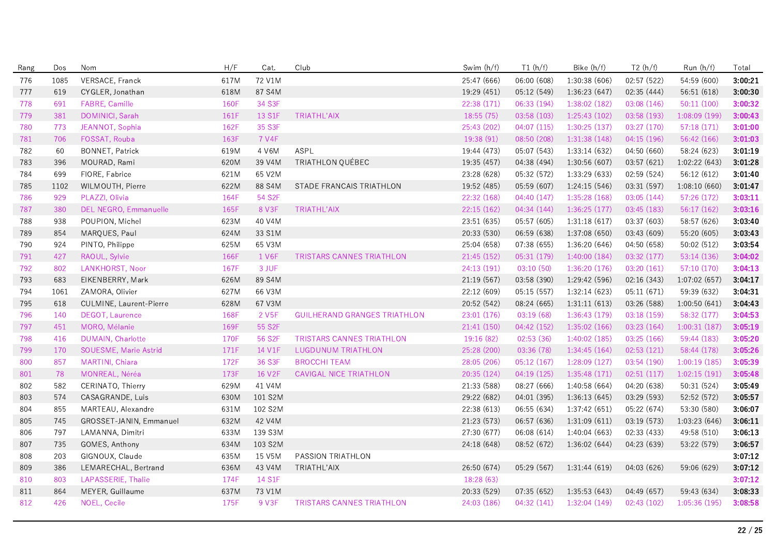| Rang | Dos  | Nom                      | H/F  | Cat.              | Club                                | Swim (h/f)  | T1(h/f)     | Bike (h/f)    | T2(h/f)     | Run (h/f)     | Total   |
|------|------|--------------------------|------|-------------------|-------------------------------------|-------------|-------------|---------------|-------------|---------------|---------|
| 776  | 1085 | VERSACE, Franck          | 617M | 72 V1M            |                                     | 25:47 (666) | 06:00 (608) | 1:30:38(606)  | 02:57 (522) | 54:59 (600)   | 3:00:21 |
| 777  | 619  | CYGLER, Jonathan         | 618M | 87 S4M            |                                     | 19:29 (451) | 05:12 (549) | 1:36:23 (647) | 02:35 (444) | 56:51 (618)   | 3:00:30 |
| 778  | 691  | FABRE, Camille           | 160F | 34 S3F            |                                     | 22:38 (171) | 06:33 (194) | 1:38:02 (182) | 03:08 (146) | 50:11(100)    | 3:00:32 |
| 779  | 381  | DOMINICI, Sarah          | 161F | 13 S1F            | TRIATHL'AIX                         | 18:55 (75)  | 03:58 (103) | 1:25:43 (102) | 03:58 (193) | 1:08:09(199)  | 3:00:43 |
| 780  | 773  | JEANNOT, Sophia          | 162F | 35 S3F            |                                     | 25:43 (202) | 04:07(115)  | 1:30:25(137)  | 03:27 (170) | 57:18 (171)   | 3:01:00 |
| 781  | 706  | FOSSAT, Rouba            | 163F | 7 V4F             |                                     | 19:38 (91)  | 08:50 (208) | 1:31:38(148)  | 04:15 (196) | 56:42 (166)   | 3:01:03 |
| 782  | 60   | <b>BONNET, Patrick</b>   | 619M | 4 V6M             | <b>ASPL</b>                         | 19:44 (473) | 05:07 (543) | 1:33:14 (632) | 04:50 (660) | 58:24 (623)   | 3:01:19 |
| 783  | 396  | MOURAD, Rami             | 620M | 39 V4M            | TRIATHLON QUÉBEC                    | 19:35 (457) | 04:38 (494) | 1:30:56 (607) | 03:57 (621) | 1:02:22 (643) | 3:01:28 |
| 784  | 699  | FIORE, Fabrice           | 621M | 65 V2M            |                                     | 23:28 (628) | 05:32 (572) | 1:33:29 (633) | 02:59 (524) | 56:12 (612)   | 3:01:40 |
| 785  | 1102 | WILMOUTH, Pierre         | 622M | 88 S4M            | STADE FRANCAIS TRIATHLON            | 19:52 (485) | 05:59 (607) | 1:24:15(546)  | 03:31 (597) | 1:08:10(660)  | 3:01:47 |
| 786  | 929  | PLAZZI, Olivia           | 164F | 54 S2F            |                                     | 22:32 (168) | 04:40(147)  | 1:35:28(168)  | 03:05(144)  | 57:26 (172)   | 3:03:11 |
| 787  | 380  | DEL NEGRO, Emmanuelle    | 165F | 8 V3F             | TRIATHL'AIX                         | 22:15 (162) | 04:34 (144) | 1:36:25(177)  | 03:45 (183) | 56:17 (162)   | 3:03:16 |
| 788  | 938  | POUPION, Michel          | 623M | 40 V4M            |                                     | 23:51 (635) | 05:57 (605) | 1:31:18(617)  | 03:37 (603) | 58:57 (626)   | 3:03:40 |
| 789  | 854  | MARQUES, Paul            | 624M | 33 S1M            |                                     | 20:33 (530) | 06:59 (638) | 1:37:08 (650) | 03:43 (609) | 55:20 (605)   | 3:03:43 |
| 790  | 924  | PINTO, Philippe          | 625M | 65 V3M            |                                     | 25:04 (658) | 07:38 (655) | 1:36:20 (646) | 04:50 (658) | 50:02 (512)   | 3:03:54 |
| 791  | 427  | RAOUL, Sylvie            | 166F | 1 V6F             | TRISTARS CANNES TRIATHLON           | 21:45 (152) | 05:31 (179) | 1:40:00(184)  | 03:32 (177) | 53:14 (136)   | 3:04:02 |
| 792  | 802  | LANKHORST, Noor          | 167F | 3 JUF             |                                     | 24:13 (191) | 03:10(50)   | 1:36:20 (176) | 03:20(161)  | 57:10 (170)   | 3:04:13 |
| 793  | 683  | EIKENBERRY, Mark         | 626M | 89 S4M            |                                     | 21:19 (567) | 03:58 (390) | 1:29:42 (596) | 02:16 (343) | 1:07:02(657)  | 3:04:17 |
| 794  | 1061 | ZAMORA, Olivier          | 627M | 66 V3M            |                                     | 22:12 (609) | 05:15(557)  | 1:32:14(623)  | 05:11(671)  | 59:39 (632)   | 3:04:31 |
| 795  | 618  | CULMINE, Laurent-Pierre  | 628M | 67 V3M            |                                     | 20:52 (542) | 08:24 (665) | 1:31:11(613)  | 03:26 (588) | 1:00:50(641)  | 3:04:43 |
| 796  | 140  | DEGOT, Laurence          | 168F | 2 V <sub>5F</sub> | <b>GUILHERAND GRANGES TRIATHLON</b> | 23:01 (176) | 03:19(68)   | 1:36:43 (179) | 03:18 (159) | 58:32 (177)   | 3:04:53 |
| 797  | 451  | MORO, Mélanie            | 169F | 55 S2F            |                                     | 21:41 (150) | 04:42 (152) | 1:35:02 (166) | 03:23 (164) | 1:00:31(187)  | 3:05:19 |
| 798  | 416  | <b>DUMAIN, Charlotte</b> | 170F | 56 S2F            | <b>TRISTARS CANNES TRIATHLON</b>    | 19:16 (82)  | 02:53(36)   | 1:40:02(185)  | 03:25(166)  | 59:44 (183)   | 3:05:20 |
| 799  | 170  | SOUESME, Marie Astrid    | 171F | 14 V1F            | <b>LUGDUNUM TRIATHLON</b>           | 25:28 (200) | 03:36 (78)  | 1:34:45(164)  | 02:53(121)  | 58:44 (178)   | 3:05:26 |
| 800  | 857  | MARTINI, Chiara          | 172F | 36 S3F            | <b>BROCCHI TEAM</b>                 | 28:05 (206) | 05:12(167)  | 1:28:09(127)  | 03:54 (190) | 1:00:19(185)  | 3:05:39 |
| 801  | 78   | MONREAL, Néréa           | 173F | 16 V2F            | <b>CAVIGAL NICE TRIATHLON</b>       | 20:35 (124) | 04:19(125)  | 1:35:48(171)  | 02:51(117)  | 1:02:15(191)  | 3:05:48 |
| 802  | 582  | CERINATO, Thierry        | 629M | 41 V4M            |                                     | 21:33 (588) | 08:27 (666) | 1:40:58 (664) | 04:20 (638) | 50:31 (524)   | 3:05:49 |
| 803  | 574  | CASAGRANDE, Luis         | 630M | 101 S2M           |                                     | 29:22 (682) | 04:01 (395) | 1:36:13(645)  | 03:29 (593) | 52:52 (572)   | 3:05:57 |
| 804  | 855  | MARTEAU, Alexandre       | 631M | 102 S2M           |                                     | 22:38 (613) | 06:55 (634) | 1:37:42 (651) | 05:22 (674) | 53:30 (580)   | 3:06:07 |
| 805  | 745  | GROSSET-JANIN, Emmanuel  | 632M | 42 V4M            |                                     | 21:23 (573) | 06:57 (636) | 1:31:09(611)  | 03:19 (573) | 1:03:23 (646) | 3:06:11 |
| 806  | 797  | LAMANNA, Dimitri         | 633M | 139 S3M           |                                     | 27:30 (677) | 06:08(614)  | 1:40:04(663)  | 02:33(433)  | 49:58 (510)   | 3:06:13 |
| 807  | 735  | GOMES, Anthony           | 634M | 103 S2M           |                                     | 24:18 (648) | 08:52 (672) | 1:36:02(644)  | 04:23 (639) | 53:22 (579)   | 3:06:57 |
| 808  | 203  | GIGNOUX, Claude          | 635M | 15 V5M            | PASSION TRIATHLON                   |             |             |               |             |               | 3:07:12 |
| 809  | 386  | LEMARECHAL, Bertrand     | 636M | 43 V4M            | TRIATHL'AIX                         | 26:50 (674) | 05:29 (567) | 1:31:44 (619) | 04:03 (626) | 59:06 (629)   | 3:07:12 |
| 810  | 803  | LAPASSERIE, Thalie       | 174F | 14 S1F            |                                     | 18:28 (63)  |             |               |             |               | 3:07:12 |
| 811  | 864  | MEYER, Guillaume         | 637M | 73 V1M            |                                     | 20:33 (529) | 07:35 (652) | 1:35:53(643)  | 04:49 (657) | 59:43 (634)   | 3:08:33 |
| 812  | 426  | NOEL, Cecile             | 175F | 9 V3F             | <b>TRISTARS CANNES TRIATHLON</b>    | 24:03 (186) | 04:32(141)  | 1:32:04(149)  | 02:43(102)  | 1:05:36(195)  | 3:08:58 |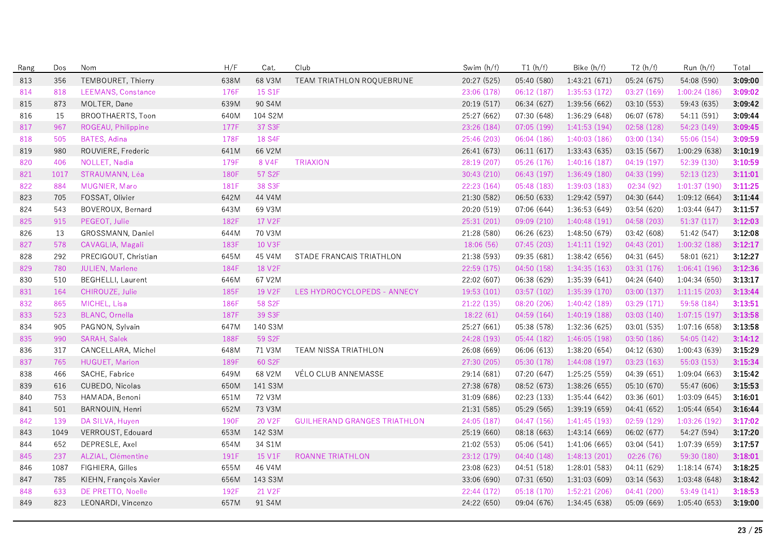| Rang | Dos  | Nom                       | H/F  | Cat.    | Club                                | Swim (h/f)  | T1(h/f)     | Bike (h/f)    | T2(h/f)     | Run (h/f)     | Total   |
|------|------|---------------------------|------|---------|-------------------------------------|-------------|-------------|---------------|-------------|---------------|---------|
| 813  | 356  | TEMBOURET, Thierry        | 638M | 68 V3M  | TEAM TRIATHLON ROQUEBRUNE           | 20:27 (525) | 05:40 (580) | 1:43:21(671)  | 05:24 (675) | 54:08 (590)   | 3:09:00 |
| 814  | 818  | LEEMANS, Constance        | 176F | 15 S1F  |                                     | 23:06 (178) | 06:12(187)  | 1:35:53 (172) | 03:27 (169) | 1:00:24(186)  | 3:09:02 |
| 815  | 873  | MOLTER, Dane              | 639M | 90 S4M  |                                     | 20:19 (517) | 06:34 (627) | 1:39:56 (662) | 03:10 (553) | 59:43 (635)   | 3:09:42 |
| 816  | 15   | BROOTHAERTS, Toon         | 640M | 104 S2M |                                     | 25:27 (662) | 07:30 (648) | 1:36:29 (648) | 06:07 (678) | 54:11 (591)   | 3:09:44 |
| 817  | 967  | ROGEAU, Philippine        | 177F | 37 S3F  |                                     | 23:26 (184) | 07:05 (199) | 1:41:53 (194) | 02:58 (128) | 54:23 (149)   | 3:09:45 |
| 818  | 505  | BATES, Adina              | 178F | 18 S4F  |                                     | 25:46 (203) | 06:04 (186) | 1:40:03 (186) | 03:00 (134) | 55:06 (154)   | 3:09:59 |
| 819  | 980  | ROUVIERE, Frederic        | 641M | 66 V2M  |                                     | 26:41 (673) | 06:11(617)  | 1:33:43(635)  | 03:15 (567) | 1:00:29(638)  | 3:10:19 |
| 820  | 406  | NOLLET, Nadia             | 179F | 8 V4F   | <b>TRIAXION</b>                     | 28:19 (207) | 05:26 (176) | 1:40:16(187)  | 04:19(197)  | 52:39 (130)   | 3:10:59 |
| 821  | 1017 | STRAUMANN, Léa            | 180F | 57 S2F  |                                     | 30:43 (210) | 06:43 (197) | 1:36:49(180)  | 04:33 (199) | 52:13(123)    | 3:11:01 |
| 822  | 884  | MUGNIER, Maro             | 181F | 38 S3F  |                                     | 22:23 (164) | 05:48 (183) | 1:39:03 (183) | 02:34 (92)  | 1:01:37(190)  | 3:11:25 |
| 823  | 705  | FOSSAT, Olivier           | 642M | 44 V4M  |                                     | 21:30 (582) | 06:50 (633) | 1:29:42 (597) | 04:30 (644) | 1:09:12(664)  | 3:11:44 |
| 824  | 543  | BOVEROUX, Bernard         | 643M | 69 V3M  |                                     | 20:20 (519) | 07:06 (644) | 1:36:53(649)  | 03:54 (620) | 1:03:44(647)  | 3:11:57 |
| 825  | 915  | PEGEOT, Julie             | 182F | 17 V2F  |                                     | 25:31 (201) | 09:09 (210) | 1:40:48 (191) | 04:58 (203) | 51:37(117)    | 3:12:03 |
| 826  | 13   | GROSSMANN, Daniel         | 644M | 70 V3M  |                                     | 21:28 (580) | 06:26 (623) | 1:48:50 (679) | 03:42 (608) | 51:42 (547)   | 3:12:08 |
| 827  | 578  | CAVAGLIA, Magali          | 183F | 10 V3F  |                                     | 18:06 (56)  | 07:45(203)  | 1:41:11(192)  | 04:43 (201) | 1:00:32(188)  | 3:12:17 |
| 828  | 292  | PRECIGOUT, Christian      | 645M | 45 V4M  | STADE FRANCAIS TRIATHLON            | 21:38 (593) | 09:35 (681) | 1:38:42 (656) | 04:31 (645) | 58:01 (621)   | 3:12:27 |
| 829  | 780  | <b>JULIEN, Marlene</b>    | 184F | 18 V2F  |                                     | 22:59 (175) | 04:50 (158) | 1:34:35 (163) | 03:31 (176) | 1:06:41(196)  | 3:12:36 |
| 830  | 510  | <b>BEGHELLI</b> , Laurent | 646M | 67 V2M  |                                     | 22:02 (607) | 06:38 (629) | 1:35:39 (641) | 04:24 (640) | 1:04:34 (650) | 3:13:17 |
| 831  | 164  | CHIROUZE, Julie           | 185F | 19 V2F  | LES HYDROCYCLOPEDS - ANNECY         | 19:53 (101) | 03:57(102)  | 1:35:39(170)  | 03:00(137)  | 1:11:15(203)  | 3:13:44 |
| 832  | 865  | MICHEL, Lisa              | 186F | 58 S2F  |                                     | 21:22 (135) | 08:20 (206) | 1:40:42(189)  | 03:29 (171) | 59:58 (184)   | 3:13:51 |
| 833  | 523  | BLANC, Ornella            | 187F | 39 S3F  |                                     | 18:22(61)   | 04:59(164)  | 1:40:19(188)  | 03:03 (140) | 1:07:15(197)  | 3:13:58 |
| 834  | 905  | PAGNON, Sylvain           | 647M | 140 S3M |                                     | 25:27 (661) | 05:38 (578) | 1:32:36 (625) | 03:01 (535) | 1:07:16(658)  | 3:13:58 |
| 835  | 990  | SARAH, Salek              | 188F | 59 S2F  |                                     | 24:28 (193) | 05:44(182)  | 1:46:05(198)  | 03:50 (186) | 54:05 (142)   | 3:14:12 |
| 836  | 317  | CANCELLARA, Michel        | 648M | 71 V3M  | TEAM NISSA TRIATHLON                | 26:08 (669) | 06:06 (613) | 1:38:20(654)  | 04:12 (630) | 1:00:43(639)  | 3:15:29 |
| 837  | 765  | HUGUET, Marion            | 189F | 60 S2F  |                                     | 27:30 (205) | 05:30 (178) | 1:44:08 (197) | 03:23 (163) | 55:03 (153)   | 3:15:34 |
| 838  | 466  | SACHE, Fabrice            | 649M | 68 V2M  | VÉLO CLUB ANNEMASSE                 | 29:14 (681) | 07:20 (647) | 1:25:25 (559) | 04:39 (651) | 1:09:04(663)  | 3:15:42 |
| 839  | 616  | CUBEDO, Nicolas           | 650M | 141 S3M |                                     | 27:38 (678) | 08:52 (673) | 1:38:26 (655) | 05:10 (670) | 55:47 (606)   | 3:15:53 |
| 840  | 753  | HAMADA, Benoni            | 651M | 72 V3M  |                                     | 31:09 (686) | 02:23 (133) | 1:35:44(642)  | 03:36 (601) | 1:03:09 (645) | 3:16:01 |
| 841  | 501  | BARNOUIN, Henri           | 652M | 73 V3M  |                                     | 21:31 (585) | 05:29 (565) | 1:39:19(659)  | 04:41 (652) | 1:05:44(654)  | 3:16:44 |
| 842  | 139  | DA SILVA, Huyen           | 190F | 20 V2F  | <b>GUILHERAND GRANGES TRIATHLON</b> | 24:05 (187) | 04:47 (156) | 1:41:45(193)  | 02:59 (129) | 1:03:26 (192) | 3:17:02 |
| 843  | 1049 | VERROUST, Edouard         | 653M | 142 S3M |                                     | 25:19 (660) | 08:18 (663) | 1:43:14 (669) | 06:02 (677) | 54:27 (594)   | 3:17:20 |
| 844  | 652  | DEPRESLE, Axel            | 654M | 34 S1M  |                                     | 21:02 (553) | 05:06 (541) | 1:41:06(665)  | 03:04 (541) | 1:07:39 (659) | 3:17:57 |
| 845  | 237  | ALZIAL, Clémentine        | 191F | 15 V1F  | ROANNE TRIATHLON                    | 23:12 (179) | 04:40 (148) | 1:48:13(201)  | 02:26 (76)  | 59:30 (180)   | 3:18:01 |
| 846  | 1087 | FIGHIERA, Gilles          | 655M | 46 V4M  |                                     | 23:08 (623) | 04:51 (518) | 1:28:01 (583) | 04:11 (629) | 1:18:14(674)  | 3:18:25 |
| 847  | 785  | KIEHN, François Xavier    | 656M | 143 S3M |                                     | 33:06 (690) | 07:31 (650) | 1:31:03 (609) | 03:14 (563) | 1:03:48 (648) | 3:18:42 |
| 848  | 633  | DE PRETTO, Noelle         | 192F | 21 V2F  |                                     | 22:44 (172) | 05:18 (170) | 1:52:21 (206) | 04:41 (200) | 53:49 (141)   | 3:18:53 |
| 849  | 823  | LEONARDI, Vincenzo        | 657M | 91 S4M  |                                     | 24:22 (650) | 09:04 (676) | 1:34:45(638)  | 05:09(669)  | 1:05:40(653)  | 3:19:00 |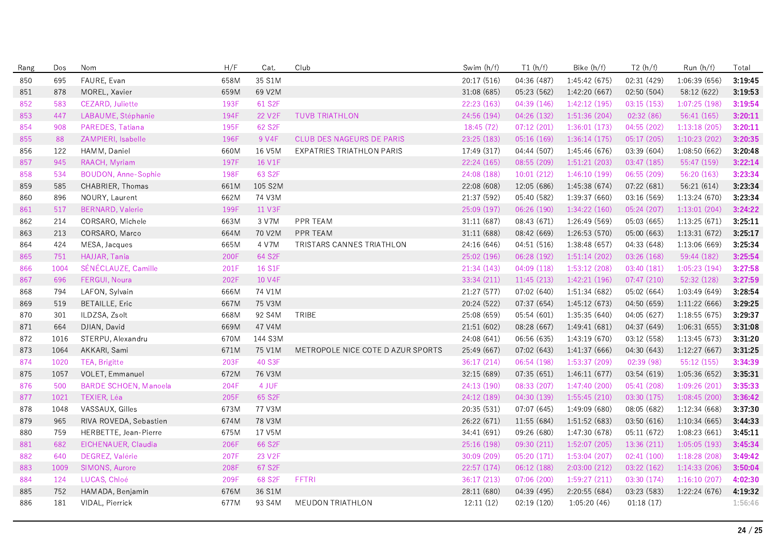| Rang | Dos  | Nom                          | H/F  | Cat.                | Club                              | Swim (h/f)  | T1(h/f)     | Bike (h/f)    | T2(h/f)     | Run (h/f)     | Total   |
|------|------|------------------------------|------|---------------------|-----------------------------------|-------------|-------------|---------------|-------------|---------------|---------|
| 850  | 695  | FAURE, Evan                  | 658M | 35 S1M              |                                   | 20:17 (516) | 04:36 (487) | 1:45:42 (675) | 02:31 (429) | 1:06:39 (656) | 3:19:45 |
| 851  | 878  | MOREL, Xavier                | 659M | 69 V2M              |                                   | 31:08 (685) | 05:23 (562) | 1:42:20 (667) | 02:50 (504) | 58:12 (622)   | 3:19:53 |
| 852  | 583  | CEZARD, Juliette             | 193F | 61 S2F              |                                   | 22:23 (163) | 04:39 (146) | 1:42:12(195)  | 03:15(153)  | 1:07:25 (198) | 3:19:54 |
| 853  | 447  | LABAUME, Stéphanie           | 194F | 22 V <sub>2</sub> F | <b>TUVB TRIATHLON</b>             | 24:56 (194) | 04:26 (132) | 1:51:36 (204) | 02:32 (86)  | 56:41 (165)   | 3:20:11 |
| 854  | 908  | PAREDES, Tatiana             | 195F | 62 S <sub>2</sub> F |                                   | 18:45(72)   | 07:12(201)  | 1:36:01(173)  | 04:55(202)  | 1:13:18(205)  | 3:20:11 |
| 855  | 88   | ZAMPIERI, Isabelle           | 196F | 9 V4F               | CLUB DES NAGEURS DE PARIS         | 23:25 (183) | 05:16 (169) | 1:36:14(175)  | 05:17 (205) | 1:10:23(202)  | 3:20:35 |
| 856  | 122  | HAMM, Daniel                 | 660M | 16 V5M              | EXPATRIES TRIATHLON PARIS         | 17:49 (317) | 04:44 (507) | 1:45:46 (676) | 03:39 (604) | 1:08:50 (662) | 3:20:48 |
| 857  | 945  | RAACH, Myriam                | 197F | 16 V1F              |                                   | 22:24 (165) | 08:55(209)  | 1:51:21(203)  | 03:47 (185) | 55:47 (159)   | 3:22:14 |
| 858  | 534  | <b>BOUDON, Anne-Sophie</b>   | 198F | 63 S2F              |                                   | 24:08 (188) | 10:01(212)  | 1:46:10(199)  | 06:55 (209) | 56:20 (163)   | 3:23:34 |
| 859  | 585  | CHABRIER, Thomas             | 661M | 105 S2M             |                                   | 22:08 (608) | 12:05 (686) | 1:45:38 (674) | 07:22 (681) | 56:21 (614)   | 3:23:34 |
| 860  | 896  | NOURY, Laurent               | 662M | 74 V3M              |                                   | 21:37 (592) | 05:40 (582) | 1:39:37 (660) | 03:16 (569) | 1:13:24(670)  | 3:23:34 |
| 861  | 517  | <b>BERNARD, Valerie</b>      | 199F | 11 V3F              |                                   | 25:09 (197) | 06:26 (190) | 1:34:22 (160) | 05:24 (207) | 1:13:01(204)  | 3:24:22 |
| 862  | 214  | CORSARO, Michele             | 663M | 3 V7M               | PPR TEAM                          | 31:11 (687) | 08:43 (671) | 1:26:49 (569) | 05:03 (665) | 1:13:25(671)  | 3:25:11 |
| 863  | 213  | CORSARO, Marco               | 664M | 70 V2M              | PPR TEAM                          | 31:11(688)  | 08:42 (669) | 1:26:53(570)  | 05:00 (663) | 1:13:31(672)  | 3:25:17 |
| 864  | 424  | MESA, Jacques                | 665M | 4 V7M               | TRISTARS CANNES TRIATHLON         | 24:16 (646) | 04:51 (516) | 1:38:48 (657) | 04:33 (648) | 1:13:06 (669) | 3:25:34 |
| 865  | 751  | HAJJAR, Tania                | 200F | 64 S2F              |                                   | 25:02 (196) | 06:28 (192) | 1:51:14(202)  | 03:26 (168) | 59:44 (182)   | 3:25:54 |
| 866  | 1004 | SÉNÉCLAUZE, Camille          | 201F | 16 S1F              |                                   | 21:34(143)  | 04:09(118)  | 1:53:12(208)  | 03:40(181)  | 1:05:23(194)  | 3:27:58 |
| 867  | 696  | FERGUI, Noura                | 202F | 10 V4F              |                                   | 33:34 (211) | 11:45(213)  | 1:42:21(196)  | 07:47 (210) | 52:32 (128)   | 3:27:59 |
| 868  | 794  | LAFON, Sylvain               | 666M | 74 V1M              |                                   | 21:27 (577) | 07:02 (640) | 1:51:34 (682) | 05:02 (664) | 1:03:49 (649) | 3:28:54 |
| 869  | 519  | <b>BETAILLE, Eric</b>        | 667M | 75 V3M              |                                   | 20:24 (522) | 07:37 (654) | 1:45:12(673)  | 04:50 (659) | 1:11:22(666)  | 3:29:25 |
| 870  | 301  | ILDZSA, Zsolt                | 668M | 92 S4M              | TRIBE                             | 25:08 (659) | 05:54(601)  | 1:35:35(640)  | 04:05 (627) | 1:18:55(675)  | 3:29:37 |
| 871  | 664  | DJIAN, David                 | 669M | 47 V4M              |                                   | 21:51 (602) | 08:28 (667) | 1:49:41 (681) | 04:37 (649) | 1:06:31(655)  | 3:31:08 |
| 872  | 1016 | STERPU, Alexandru            | 670M | 144 S3M             |                                   | 24:08 (641) | 06:56 (635) | 1:43:19 (670) | 03:12 (558) | 1:13:45(673)  | 3:31:20 |
| 873  | 1064 | AKKARI, Sami                 | 671M | 75 V1M              | METROPOLE NICE COTE D AZUR SPORTS | 25:49 (667) | 07:02 (643) | 1:41:37 (666) | 04:30 (643) | 1:12:27(667)  | 3:31:25 |
| 874  | 1020 | TEA, Brigitte                | 203F | 40 S3F              |                                   | 36:17 (214) | 06:54 (198) | 1:53:37(209)  | 02:39 (98)  | 55:12 (155)   | 3:34:39 |
| 875  | 1057 | VOLET, Emmanuel              | 672M | 76 V3M              |                                   | 32:15 (689) | 07:35(651)  | 1:46:11(677)  | 03:54 (619) | 1:05:36 (652) | 3:35:31 |
| 876  | 500  | <b>BARDE SCHOEN, Manoela</b> | 204F | 4 JUF               |                                   | 24:13 (190) | 08:33 (207) | 1:47:40 (200) | 05:41 (208) | 1:09:26(201)  | 3:35:33 |
| 877  | 1021 | TEXIER, Léa                  | 205F | 65 S2F              |                                   | 24:12 (189) | 04:30 (139) | 1:55:45(210)  | 03:30 (175) | 1:08:45(200)  | 3:36:42 |
| 878  | 1048 | VASSAUX, Gilles              | 673M | 77 V3M              |                                   | 20:35 (531) | 07:07 (645) | 1:49:09 (680) | 08:05 (682) | 1:12:34 (668) | 3:37:30 |
| 879  | 965  | RIVA ROVEDA, Sebastien       | 674M | 78 V3M              |                                   | 26:22 (671) | 11:55 (684) | 1:51:52 (683) | 03:50 (616) | 1:10:34(665)  | 3:44:33 |
| 880  | 759  | HERBETTE, Jean-Pierre        | 675M | 17 V5M              |                                   | 34:41 (691) | 09:26 (680) | 1:47:30 (678) | 05:11 (672) | 1:08:23 (661) | 3:45:11 |
| 881  | 682  | EICHENAUER, Claudia          | 206F | 66 S2F              |                                   | 25:16 (198) | 09:30 (211) | 1:52:07(205)  | 13:36 (211) | 1:05:05(193)  | 3:45:34 |
| 882  | 640  | DEGREZ, Valérie              | 207F | 23 V <sub>2</sub> F |                                   | 30:09 (209) | 05:20 (171) | 1:53:04 (207) | 02:41 (100) | 1:18:28(208)  | 3:49:42 |
| 883  | 1009 | SIMONS, Aurore               | 208F | 67 S2F              |                                   | 22:57 (174) | 06:12 (188) | 2:03:00(212)  | 03:22 (162) | 1:14:33(206)  | 3:50:04 |
| 884  | 124  | LUCAS, Chloé                 | 209F | 68 S2F              | <b>FFTRI</b>                      | 36:17 (213) | 07:06(200)  | 1:59:27(211)  | 03:30 (174) | 1:16:10(207)  | 4:02:30 |
| 885  | 752  | HAMADA, Benjamin             | 676M | 36 S1M              |                                   | 28:11 (680) | 04:39 (495) | 2:20:55 (684) | 03:23 (583) | 1:22:24 (676) | 4:19:32 |
| 886  | 181  | VIDAL, Pierrick              | 677M | 93 S4M              | <b>MEUDON TRIATHLON</b>           | 12:11(12)   | 02:19 (120) | 1:05:20(46)   | 01:18(17)   |               | 1:56:46 |